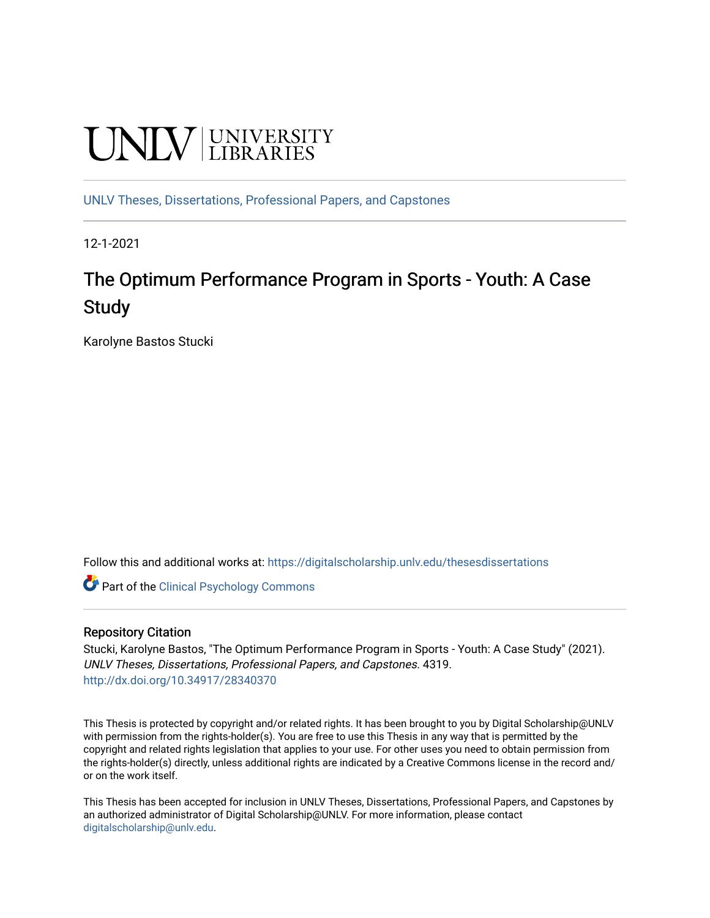# **UNIVERSITY**

[UNLV Theses, Dissertations, Professional Papers, and Capstones](https://digitalscholarship.unlv.edu/thesesdissertations)

12-1-2021

## The Optimum Performance Program in Sports - Youth: A Case **Study**

Karolyne Bastos Stucki

Follow this and additional works at: [https://digitalscholarship.unlv.edu/thesesdissertations](https://digitalscholarship.unlv.edu/thesesdissertations?utm_source=digitalscholarship.unlv.edu%2Fthesesdissertations%2F4319&utm_medium=PDF&utm_campaign=PDFCoverPages)

**C** Part of the Clinical Psychology Commons

#### Repository Citation

Stucki, Karolyne Bastos, "The Optimum Performance Program in Sports - Youth: A Case Study" (2021). UNLV Theses, Dissertations, Professional Papers, and Capstones. 4319. <http://dx.doi.org/10.34917/28340370>

This Thesis is protected by copyright and/or related rights. It has been brought to you by Digital Scholarship@UNLV with permission from the rights-holder(s). You are free to use this Thesis in any way that is permitted by the copyright and related rights legislation that applies to your use. For other uses you need to obtain permission from the rights-holder(s) directly, unless additional rights are indicated by a Creative Commons license in the record and/ or on the work itself.

This Thesis has been accepted for inclusion in UNLV Theses, Dissertations, Professional Papers, and Capstones by an authorized administrator of Digital Scholarship@UNLV. For more information, please contact [digitalscholarship@unlv.edu](mailto:digitalscholarship@unlv.edu).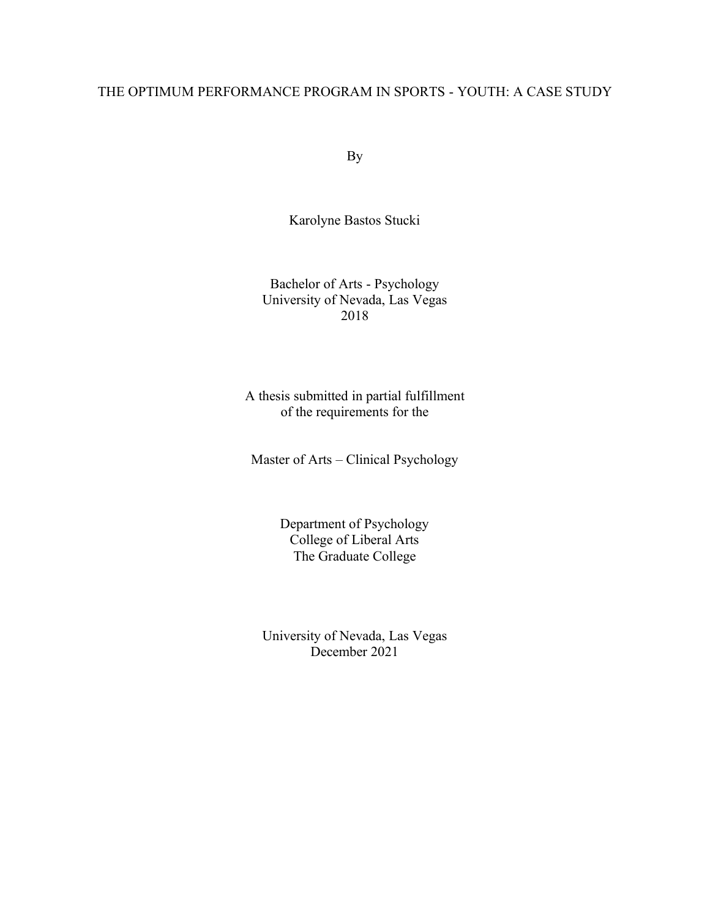#### THE OPTIMUM PERFORMANCE PROGRAM IN SPORTS - YOUTH: A CASE STUDY

By

Karolyne Bastos Stucki

Bachelor of Arts - Psychology University of Nevada, Las Vegas 2018

A thesis submitted in partial fulfillment of the requirements for the

Master of Arts – Clinical Psychology

Department of Psychology College of Liberal Arts The Graduate College

University of Nevada, Las Vegas December 2021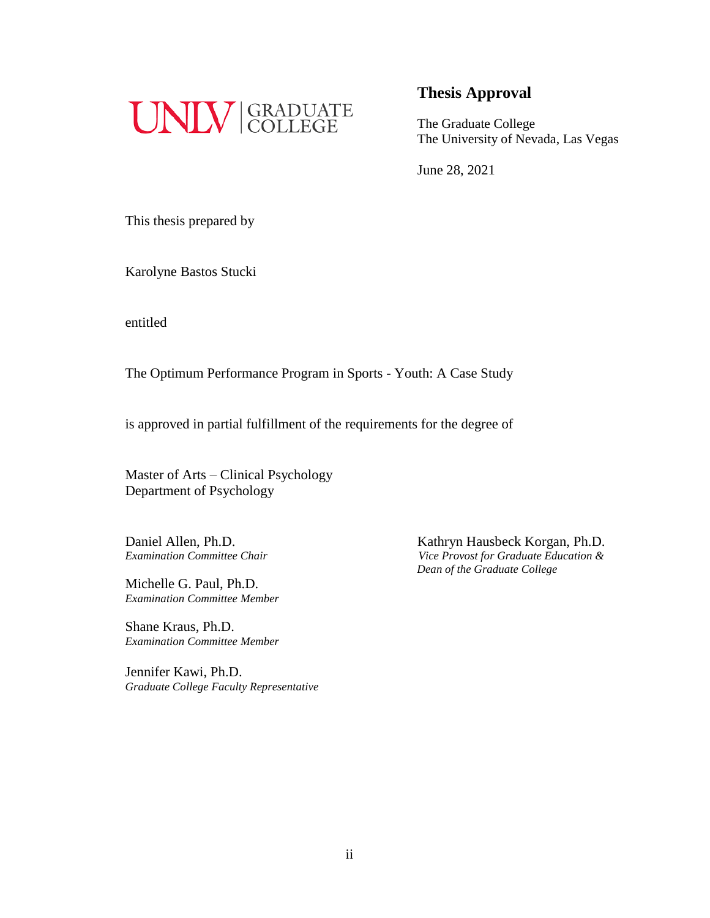

The Graduate College The University of Nevada, Las Vegas

June 28, 2021

This thesis prepared by

Karolyne Bastos Stucki

entitled

The Optimum Performance Program in Sports - Youth: A Case Study

is approved in partial fulfillment of the requirements for the degree of

Master of Arts – Clinical Psychology Department of Psychology

Michelle G. Paul, Ph.D. *Examination Committee Member*

Shane Kraus, Ph.D. *Examination Committee Member*

Jennifer Kawi, Ph.D. *Graduate College Faculty Representative*

Daniel Allen, Ph.D.<br> *Examination Committee Chair*<br> *Vice Provost for Graduate Education & Examination Committee Chair Vice Provost for Graduate Education & Dean of the Graduate College*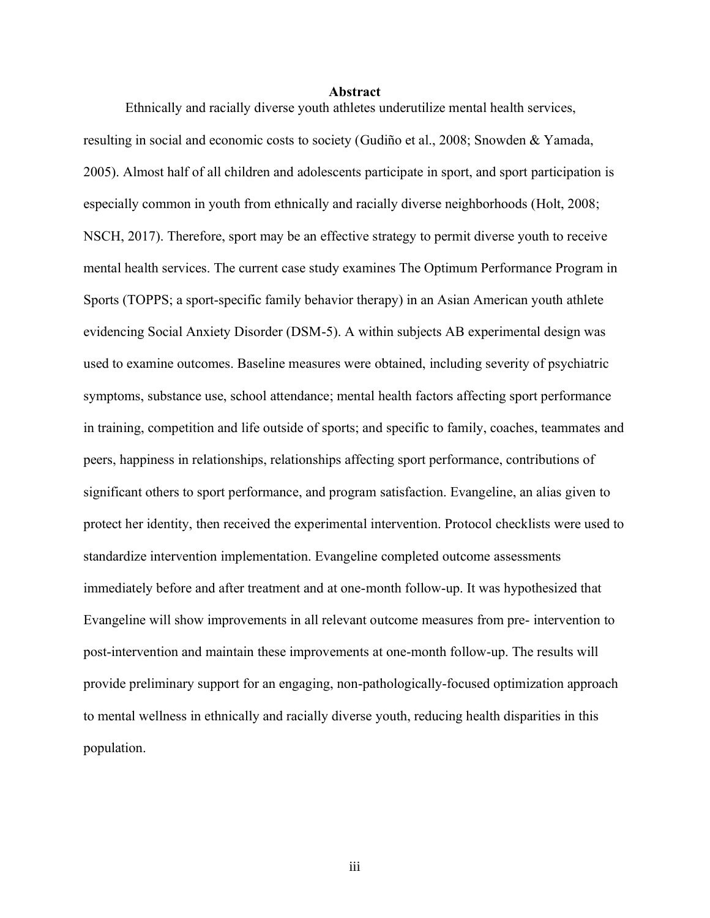#### **Abstract**

Ethnically and racially diverse youth athletes underutilize mental health services, resulting in social and economic costs to society (Gudiño et al., 2008; Snowden & Yamada, 2005). Almost half of all children and adolescents participate in sport, and sport participation is especially common in youth from ethnically and racially diverse neighborhoods (Holt, 2008; NSCH, 2017). Therefore, sport may be an effective strategy to permit diverse youth to receive mental health services. The current case study examines The Optimum Performance Program in Sports (TOPPS; a sport-specific family behavior therapy) in an Asian American youth athlete evidencing Social Anxiety Disorder (DSM-5). A within subjects AB experimental design was used to examine outcomes. Baseline measures were obtained, including severity of psychiatric symptoms, substance use, school attendance; mental health factors affecting sport performance in training, competition and life outside of sports; and specific to family, coaches, teammates and peers, happiness in relationships, relationships affecting sport performance, contributions of significant others to sport performance, and program satisfaction. Evangeline, an alias given to protect her identity, then received the experimental intervention. Protocol checklists were used to standardize intervention implementation. Evangeline completed outcome assessments immediately before and after treatment and at one-month follow-up. It was hypothesized that Evangeline will show improvements in all relevant outcome measures from pre- intervention to post-intervention and maintain these improvements at one-month follow-up. The results will provide preliminary support for an engaging, non-pathologically-focused optimization approach to mental wellness in ethnically and racially diverse youth, reducing health disparities in this population.

iii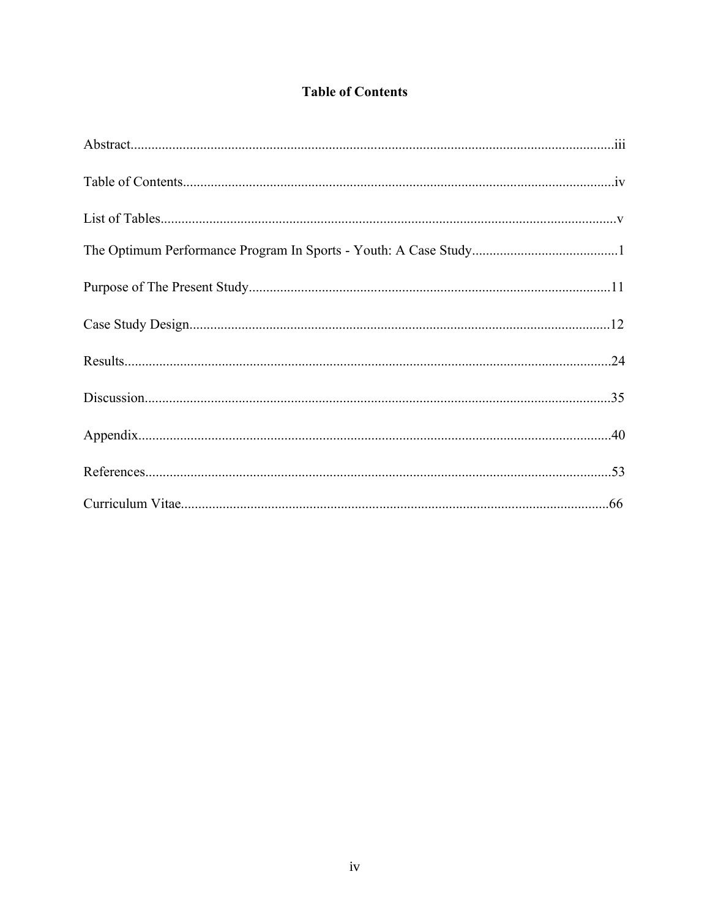### **Table of Contents**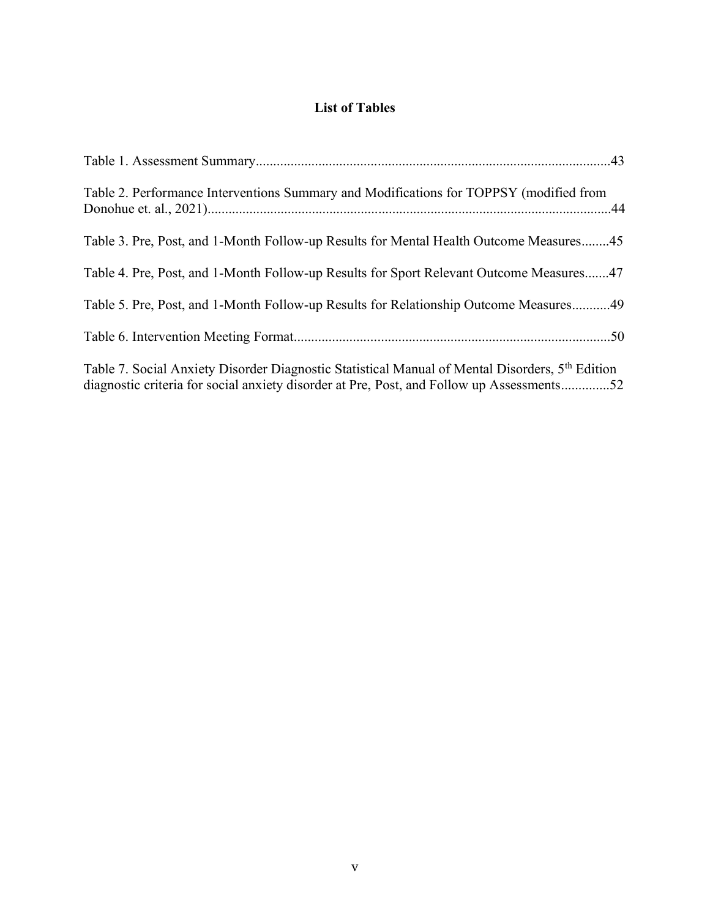### **List of Tables**

| Table 2. Performance Interventions Summary and Modifications for TOPPSY (modified from                                                                                                                   |
|----------------------------------------------------------------------------------------------------------------------------------------------------------------------------------------------------------|
| Table 3. Pre, Post, and 1-Month Follow-up Results for Mental Health Outcome Measures45                                                                                                                   |
| Table 4. Pre, Post, and 1-Month Follow-up Results for Sport Relevant Outcome Measures47                                                                                                                  |
| Table 5. Pre, Post, and 1-Month Follow-up Results for Relationship Outcome Measures49                                                                                                                    |
|                                                                                                                                                                                                          |
| Table 7. Social Anxiety Disorder Diagnostic Statistical Manual of Mental Disorders, 5 <sup>th</sup> Edition<br>diagnostic criteria for social anxiety disorder at Pre, Post, and Follow up Assessments52 |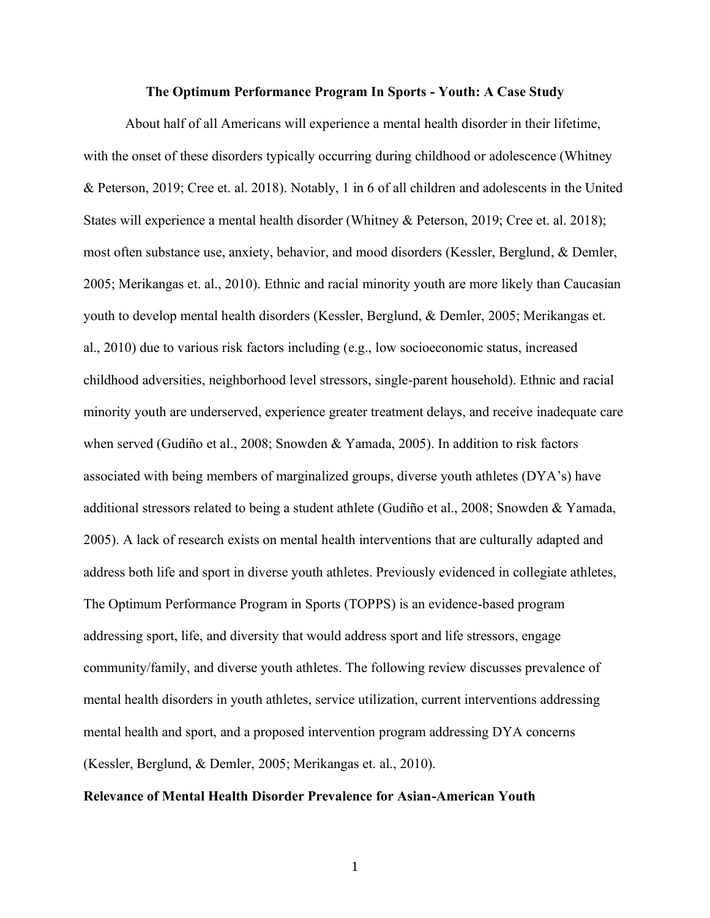#### **The Optimum Performance Program In Sports - Youth: A Case Study**

About half of all Americans will experience a mental health disorder in their lifetime, with the onset of these disorders typically occurring during childhood or adolescence (Whitney & Peterson, 2019; Cree et. al. 2018). Notably, 1 in 6 of all children and adolescents in the United States will experience a mental health disorder (Whitney & Peterson, 2019; Cree et. al. 2018); most often substance use, anxiety, behavior, and mood disorders (Kessler, Berglund, & Demler, 2005; Merikangas et. al., 2010). Ethnic and racial minority youth are more likely than Caucasian youth to develop mental health disorders (Kessler, Berglund, & Demler, 2005; Merikangas et. al., 2010) due to various risk factors including (e.g., low socioeconomic status, increased childhood adversities, neighborhood level stressors, single-parent household). Ethnic and racial minority youth are underserved, experience greater treatment delays, and receive inadequate care when served (Gudiño et al., 2008; Snowden & Yamada, 2005). In addition to risk factors associated with being members of marginalized groups, diverse youth athletes (DYA's) have additional stressors related to being a student athlete (Gudiño et al., 2008; Snowden & Yamada, 2005). A lack of research exists on mental health interventions that are culturally adapted and address both life and sport in diverse youth athletes. Previously evidenced in collegiate athletes, The Optimum Performance Program in Sports (TOPPS) is an evidence-based program addressing sport, life, and diversity that would address sport and life stressors, engage community/family, and diverse youth athletes. The following review discusses prevalence of mental health disorders in youth athletes, service utilization, current interventions addressing mental health and sport, and a proposed intervention program addressing DYA concerns (Kessler, Berglund, & Demler, 2005; Merikangas et. al., 2010).

#### **Relevance of Mental Health Disorder Prevalence for Asian-American Youth**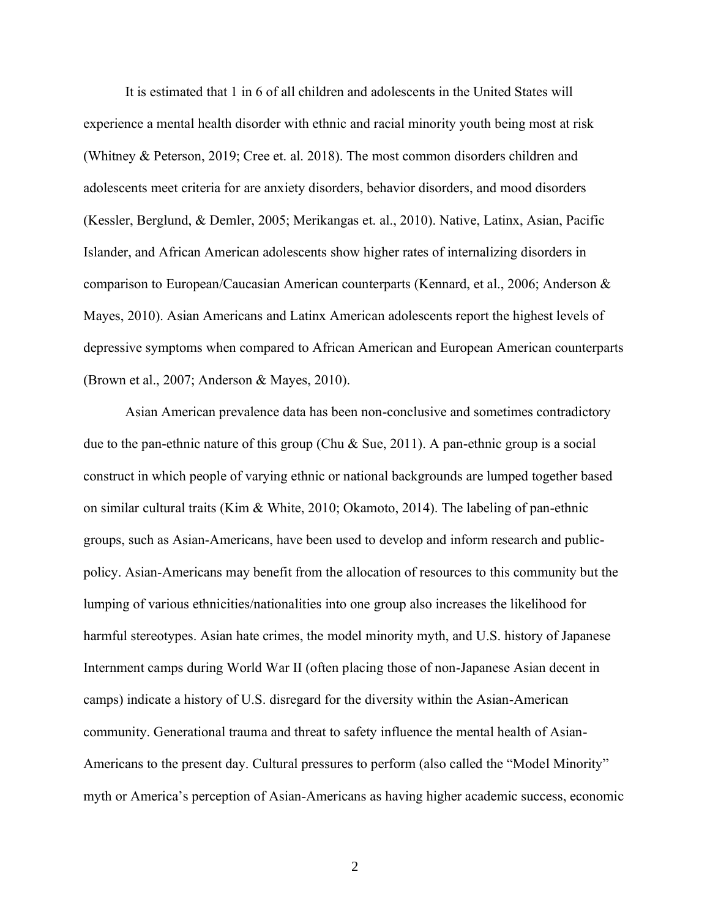It is estimated that 1 in 6 of all children and adolescents in the United States will experience a mental health disorder with ethnic and racial minority youth being most at risk (Whitney & Peterson, 2019; Cree et. al. 2018). The most common disorders children and adolescents meet criteria for are anxiety disorders, behavior disorders, and mood disorders (Kessler, Berglund, & Demler, 2005; Merikangas et. al., 2010). Native, Latinx, Asian, Pacific Islander, and African American adolescents show higher rates of internalizing disorders in comparison to European/Caucasian American counterparts (Kennard, et al., 2006; Anderson & Mayes, 2010). Asian Americans and Latinx American adolescents report the highest levels of depressive symptoms when compared to African American and European American counterparts (Brown et al., 2007; Anderson & Mayes, 2010).

Asian American prevalence data has been non-conclusive and sometimes contradictory due to the pan-ethnic nature of this group (Chu & Sue, 2011). A pan-ethnic group is a social construct in which people of varying ethnic or national backgrounds are lumped together based on similar cultural traits (Kim & White, 2010; Okamoto, 2014). The labeling of pan-ethnic groups, such as Asian-Americans, have been used to develop and inform research and publicpolicy. Asian-Americans may benefit from the allocation of resources to this community but the lumping of various ethnicities/nationalities into one group also increases the likelihood for harmful stereotypes. Asian hate crimes, the model minority myth, and U.S. history of Japanese Internment camps during World War II (often placing those of non-Japanese Asian decent in camps) indicate a history of U.S. disregard for the diversity within the Asian-American community. Generational trauma and threat to safety influence the mental health of Asian-Americans to the present day. Cultural pressures to perform (also called the "Model Minority" myth or America's perception of Asian-Americans as having higher academic success, economic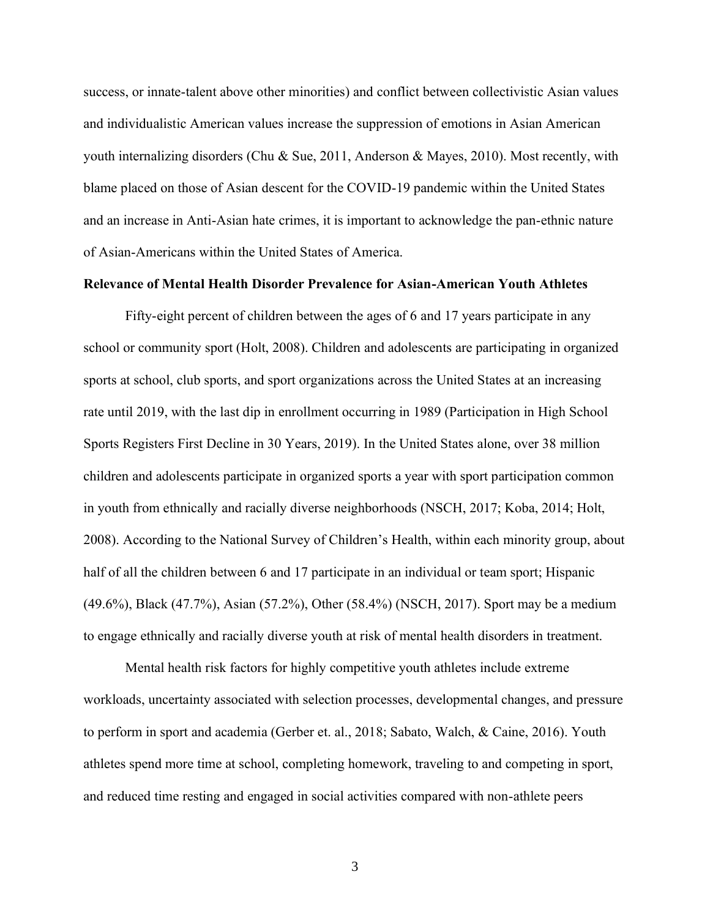success, or innate-talent above other minorities) and conflict between collectivistic Asian values and individualistic American values increase the suppression of emotions in Asian American youth internalizing disorders (Chu & Sue, 2011, Anderson & Mayes, 2010). Most recently, with blame placed on those of Asian descent for the COVID-19 pandemic within the United States and an increase in Anti-Asian hate crimes, it is important to acknowledge the pan-ethnic nature of Asian-Americans within the United States of America.

#### **Relevance of Mental Health Disorder Prevalence for Asian-American Youth Athletes**

Fifty-eight percent of children between the ages of 6 and 17 years participate in any school or community sport (Holt, 2008). Children and adolescents are participating in organized sports at school, club sports, and sport organizations across the United States at an increasing rate until 2019, with the last dip in enrollment occurring in 1989 (Participation in High School Sports Registers First Decline in 30 Years, 2019). In the United States alone, over 38 million children and adolescents participate in organized sports a year with sport participation common in youth from ethnically and racially diverse neighborhoods (NSCH, 2017; Koba, 2014; Holt, 2008). According to the National Survey of Children's Health, within each minority group, about half of all the children between 6 and 17 participate in an individual or team sport; Hispanic (49.6%), Black (47.7%), Asian (57.2%), Other (58.4%) (NSCH, 2017). Sport may be a medium to engage ethnically and racially diverse youth at risk of mental health disorders in treatment.

Mental health risk factors for highly competitive youth athletes include extreme workloads, uncertainty associated with selection processes, developmental changes, and pressure to perform in sport and academia (Gerber et. al., 2018; Sabato, Walch, & Caine, 2016). Youth athletes spend more time at school, completing homework, traveling to and competing in sport, and reduced time resting and engaged in social activities compared with non-athlete peers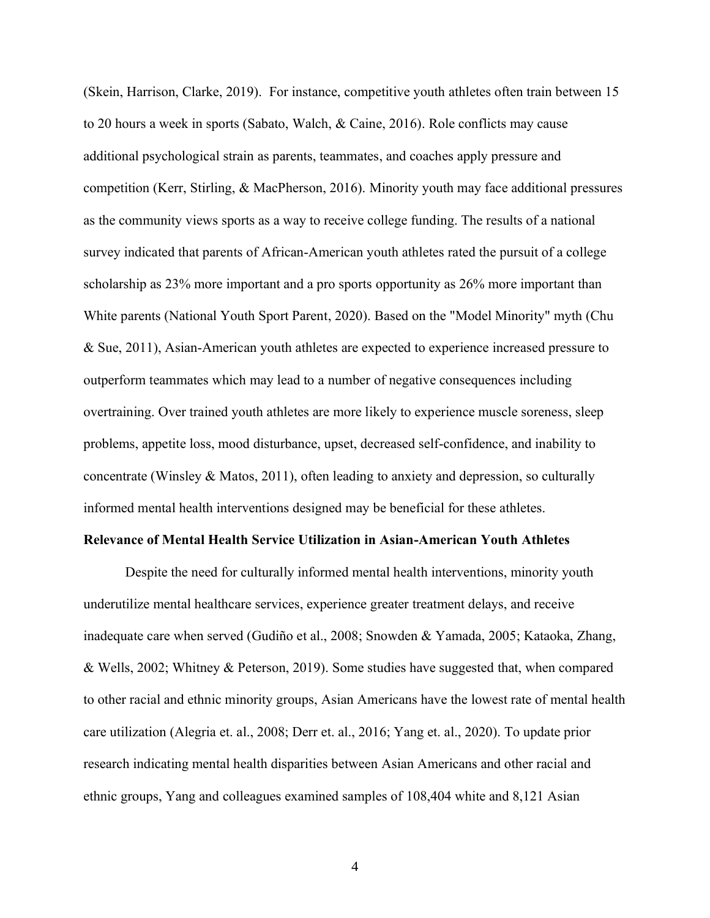(Skein, Harrison, Clarke, 2019). For instance, competitive youth athletes often train between 15 to 20 hours a week in sports (Sabato, Walch, & Caine, 2016). Role conflicts may cause additional psychological strain as parents, teammates, and coaches apply pressure and competition (Kerr, Stirling, & MacPherson, 2016). Minority youth may face additional pressures as the community views sports as a way to receive college funding. The results of a national survey indicated that parents of African-American youth athletes rated the pursuit of a college scholarship as 23% more important and a pro sports opportunity as 26% more important than White parents (National Youth Sport Parent, 2020). Based on the "Model Minority" myth (Chu & Sue, 2011), Asian-American youth athletes are expected to experience increased pressure to outperform teammates which may lead to a number of negative consequences including overtraining. Over trained youth athletes are more likely to experience muscle soreness, sleep problems, appetite loss, mood disturbance, upset, decreased self-confidence, and inability to concentrate (Winsley & Matos, 2011), often leading to anxiety and depression, so culturally informed mental health interventions designed may be beneficial for these athletes.

#### **Relevance of Mental Health Service Utilization in Asian-American Youth Athletes**

Despite the need for culturally informed mental health interventions, minority youth underutilize mental healthcare services, experience greater treatment delays, and receive inadequate care when served (Gudiño et al., 2008; Snowden & Yamada, 2005; Kataoka, Zhang, & Wells, 2002; Whitney & Peterson, 2019). Some studies have suggested that, when compared to other racial and ethnic minority groups, Asian Americans have the lowest rate of mental health care utilization (Alegria et. al., 2008; Derr et. al., 2016; Yang et. al., 2020). To update prior research indicating mental health disparities between Asian Americans and other racial and ethnic groups, Yang and colleagues examined samples of 108,404 white and 8,121 Asian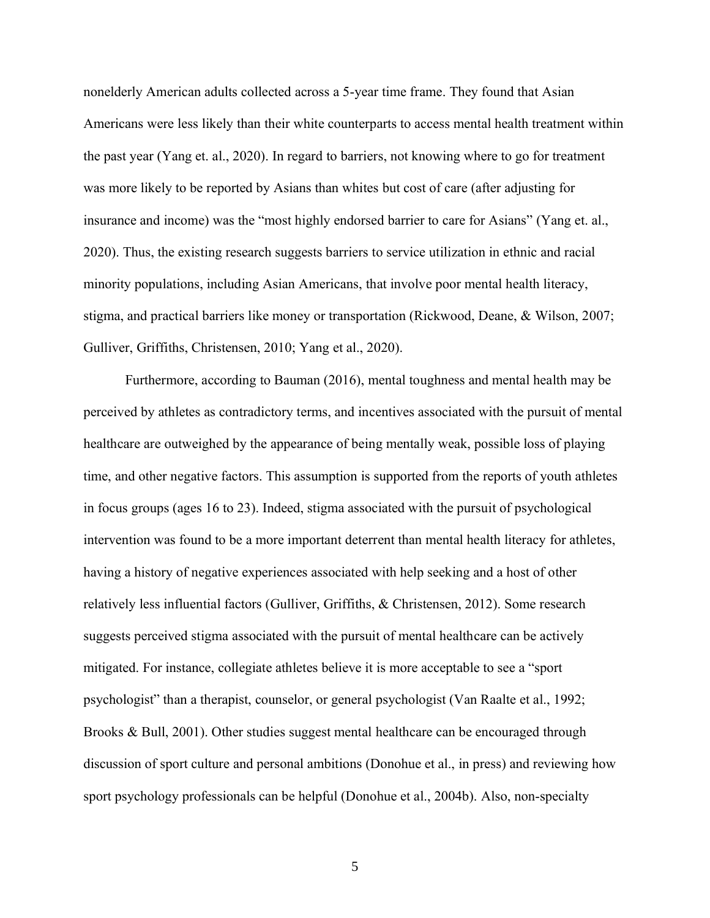nonelderly American adults collected across a 5-year time frame. They found that Asian Americans were less likely than their white counterparts to access mental health treatment within the past year (Yang et. al., 2020). In regard to barriers, not knowing where to go for treatment was more likely to be reported by Asians than whites but cost of care (after adjusting for insurance and income) was the "most highly endorsed barrier to care for Asians" (Yang et. al., 2020). Thus, the existing research suggests barriers to service utilization in ethnic and racial minority populations, including Asian Americans, that involve poor mental health literacy, stigma, and practical barriers like money or transportation (Rickwood, Deane, & Wilson, 2007; Gulliver, Griffiths, Christensen, 2010; Yang et al., 2020).

Furthermore, according to Bauman (2016), mental toughness and mental health may be perceived by athletes as contradictory terms, and incentives associated with the pursuit of mental healthcare are outweighed by the appearance of being mentally weak, possible loss of playing time, and other negative factors. This assumption is supported from the reports of youth athletes in focus groups (ages 16 to 23). Indeed, stigma associated with the pursuit of psychological intervention was found to be a more important deterrent than mental health literacy for athletes, having a history of negative experiences associated with help seeking and a host of other relatively less influential factors (Gulliver, Griffiths, & Christensen, 2012). Some research suggests perceived stigma associated with the pursuit of mental healthcare can be actively mitigated. For instance, collegiate athletes believe it is more acceptable to see a "sport psychologist" than a therapist, counselor, or general psychologist (Van Raalte et al., 1992; Brooks & Bull, 2001). Other studies suggest mental healthcare can be encouraged through discussion of sport culture and personal ambitions (Donohue et al., in press) and reviewing how sport psychology professionals can be helpful (Donohue et al., 2004b). Also, non-specialty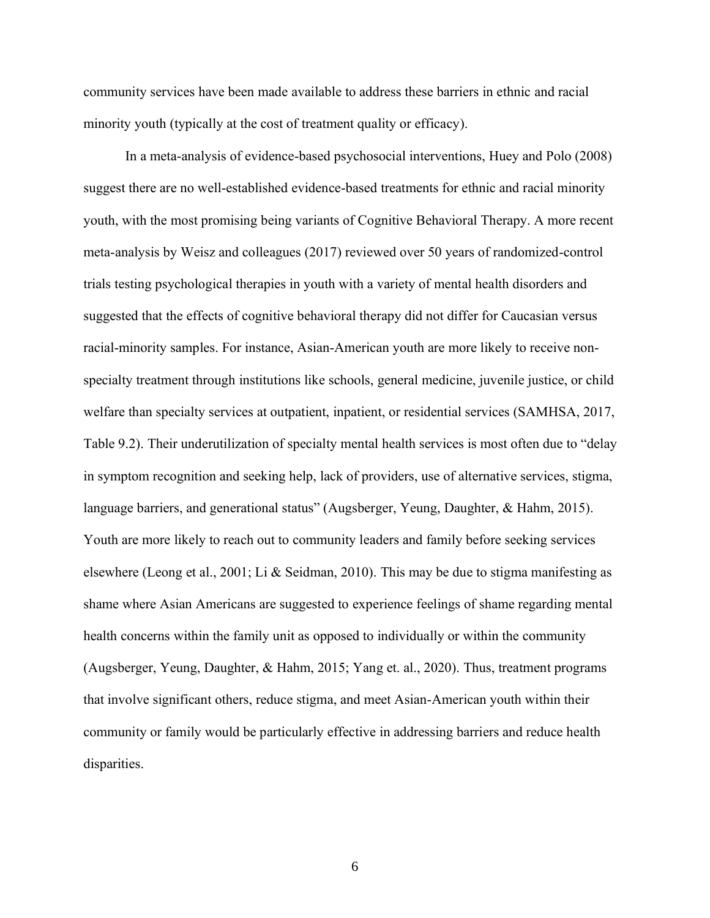community services have been made available to address these barriers in ethnic and racial minority youth (typically at the cost of treatment quality or efficacy).

In a meta-analysis of evidence-based psychosocial interventions, Huey and Polo (2008) suggest there are no well-established evidence-based treatments for ethnic and racial minority youth, with the most promising being variants of Cognitive Behavioral Therapy. A more recent meta-analysis by Weisz and colleagues (2017) reviewed over 50 years of randomized-control trials testing psychological therapies in youth with a variety of mental health disorders and suggested that the effects of cognitive behavioral therapy did not differ for Caucasian versus racial-minority samples. For instance, Asian-American youth are more likely to receive nonspecialty treatment through institutions like schools, general medicine, juvenile justice, or child welfare than specialty services at outpatient, inpatient, or residential services (SAMHSA, 2017, Table 9.2). Their underutilization of specialty mental health services is most often due to "delay in symptom recognition and seeking help, lack of providers, use of alternative services, stigma, language barriers, and generational status" (Augsberger, Yeung, Daughter, & Hahm, 2015). Youth are more likely to reach out to community leaders and family before seeking services elsewhere (Leong et al., 2001; Li & Seidman, 2010). This may be due to stigma manifesting as shame where Asian Americans are suggested to experience feelings of shame regarding mental health concerns within the family unit as opposed to individually or within the community (Augsberger, Yeung, Daughter, & Hahm, 2015; Yang et. al., 2020). Thus, treatment programs that involve significant others, reduce stigma, and meet Asian-American youth within their community or family would be particularly effective in addressing barriers and reduce health disparities.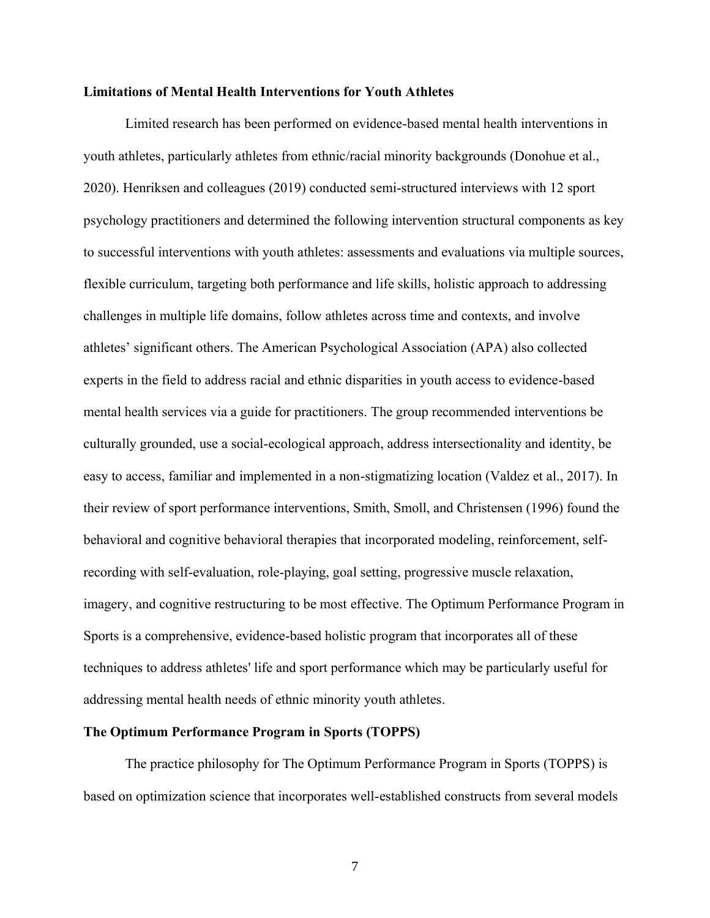#### **Limitations of Mental Health Interventions for Youth Athletes**

Limited research has been performed on evidence-based mental health interventions in youth athletes, particularly athletes from ethnic/racial minority backgrounds (Donohue et al., 2020). Henriksen and colleagues (2019) conducted semi-structured interviews with 12 sport psychology practitioners and determined the following intervention structural components as key to successful interventions with youth athletes: assessments and evaluations via multiple sources, flexible curriculum, targeting both performance and life skills, holistic approach to addressing challenges in multiple life domains, follow athletes across time and contexts, and involve athletes' significant others. The American Psychological Association (APA) also collected experts in the field to address racial and ethnic disparities in youth access to evidence-based mental health services via a guide for practitioners. The group recommended interventions be culturally grounded, use a social-ecological approach, address intersectionality and identity, be easy to access, familiar and implemented in a non-stigmatizing location (Valdez et al., 2017). In their review of sport performance interventions, Smith, Smoll, and Christensen (1996) found the behavioral and cognitive behavioral therapies that incorporated modeling, reinforcement, selfrecording with self-evaluation, role-playing, goal setting, progressive muscle relaxation, imagery, and cognitive restructuring to be most effective. The Optimum Performance Program in Sports is a comprehensive, evidence-based holistic program that incorporates all of these techniques to address athletes' life and sport performance which may be particularly useful for addressing mental health needs of ethnic minority youth athletes.

#### **The Optimum Performance Program in Sports (TOPPS)**

The practice philosophy for The Optimum Performance Program in Sports (TOPPS) is based on optimization science that incorporates well-established constructs from several models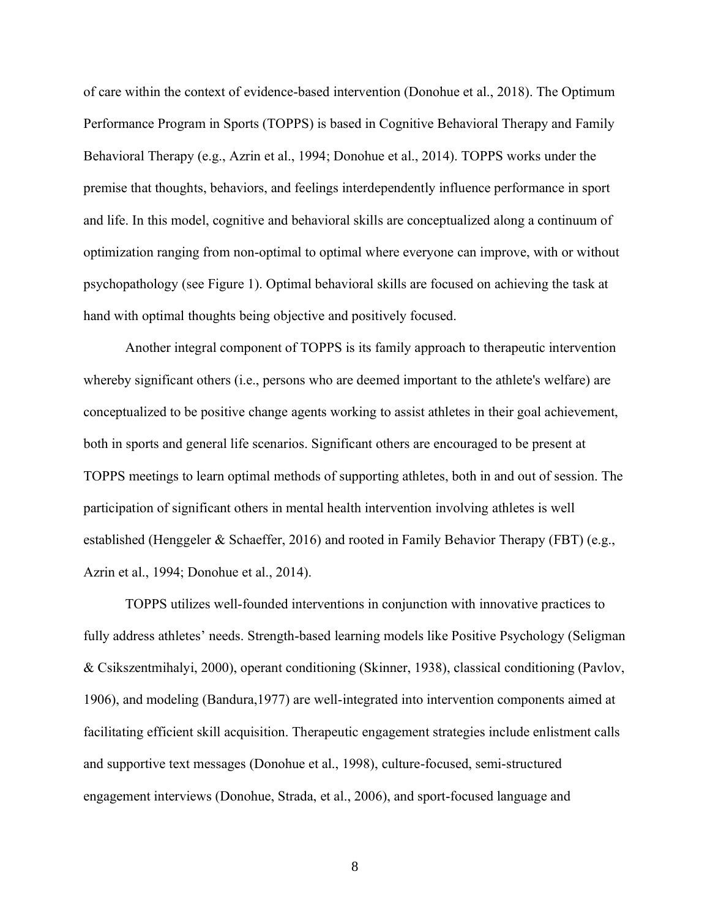of care within the context of evidence-based intervention (Donohue et al., 2018). The Optimum Performance Program in Sports (TOPPS) is based in Cognitive Behavioral Therapy and Family Behavioral Therapy (e.g., Azrin et al., 1994; Donohue et al., 2014). TOPPS works under the premise that thoughts, behaviors, and feelings interdependently influence performance in sport and life. In this model, cognitive and behavioral skills are conceptualized along a continuum of optimization ranging from non-optimal to optimal where everyone can improve, with or without psychopathology (see Figure 1). Optimal behavioral skills are focused on achieving the task at hand with optimal thoughts being objective and positively focused.

Another integral component of TOPPS is its family approach to therapeutic intervention whereby significant others (i.e., persons who are deemed important to the athlete's welfare) are conceptualized to be positive change agents working to assist athletes in their goal achievement, both in sports and general life scenarios. Significant others are encouraged to be present at TOPPS meetings to learn optimal methods of supporting athletes, both in and out of session. The participation of significant others in mental health intervention involving athletes is well established (Henggeler & Schaeffer, 2016) and rooted in Family Behavior Therapy (FBT) (e.g., Azrin et al., 1994; Donohue et al., 2014).

TOPPS utilizes well-founded interventions in conjunction with innovative practices to fully address athletes' needs. Strength-based learning models like Positive Psychology (Seligman & Csikszentmihalyi, 2000), operant conditioning (Skinner, 1938), classical conditioning (Pavlov, 1906), and modeling (Bandura,1977) are well-integrated into intervention components aimed at facilitating efficient skill acquisition. Therapeutic engagement strategies include enlistment calls and supportive text messages (Donohue et al., 1998), culture-focused, semi-structured engagement interviews (Donohue, Strada, et al., 2006), and sport-focused language and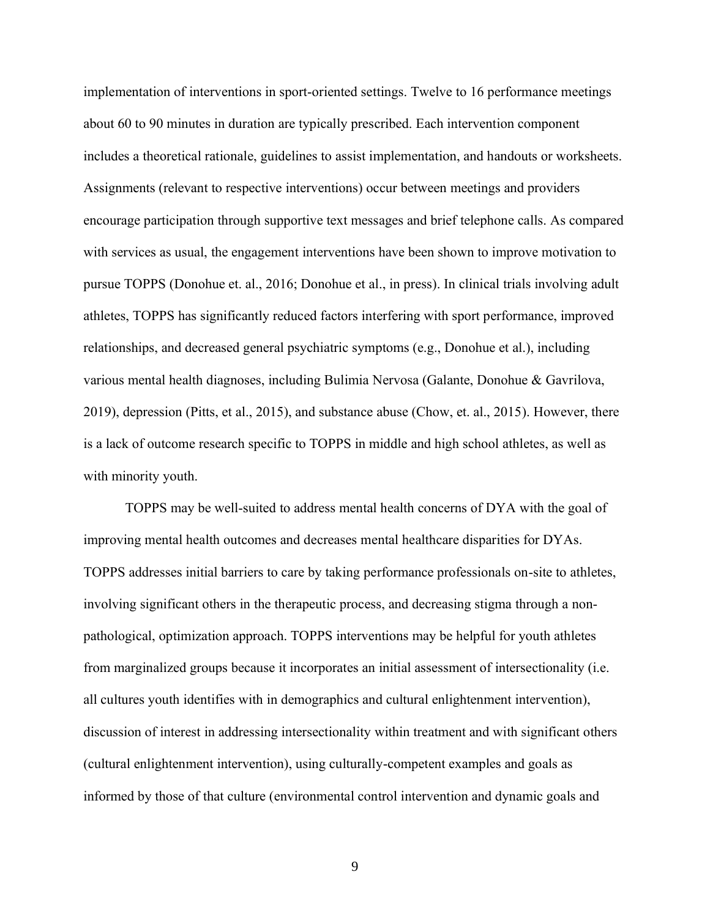implementation of interventions in sport-oriented settings. Twelve to 16 performance meetings about 60 to 90 minutes in duration are typically prescribed. Each intervention component includes a theoretical rationale, guidelines to assist implementation, and handouts or worksheets. Assignments (relevant to respective interventions) occur between meetings and providers encourage participation through supportive text messages and brief telephone calls. As compared with services as usual, the engagement interventions have been shown to improve motivation to pursue TOPPS (Donohue et. al., 2016; Donohue et al., in press). In clinical trials involving adult athletes, TOPPS has significantly reduced factors interfering with sport performance, improved relationships, and decreased general psychiatric symptoms (e.g., Donohue et al.), including various mental health diagnoses, including Bulimia Nervosa (Galante, Donohue & Gavrilova, 2019), depression (Pitts, et al., 2015), and substance abuse (Chow, et. al., 2015). However, there is a lack of outcome research specific to TOPPS in middle and high school athletes, as well as with minority youth.

TOPPS may be well-suited to address mental health concerns of DYA with the goal of improving mental health outcomes and decreases mental healthcare disparities for DYAs. TOPPS addresses initial barriers to care by taking performance professionals on-site to athletes, involving significant others in the therapeutic process, and decreasing stigma through a nonpathological, optimization approach. TOPPS interventions may be helpful for youth athletes from marginalized groups because it incorporates an initial assessment of intersectionality (i.e. all cultures youth identifies with in demographics and cultural enlightenment intervention), discussion of interest in addressing intersectionality within treatment and with significant others (cultural enlightenment intervention), using culturally-competent examples and goals as informed by those of that culture (environmental control intervention and dynamic goals and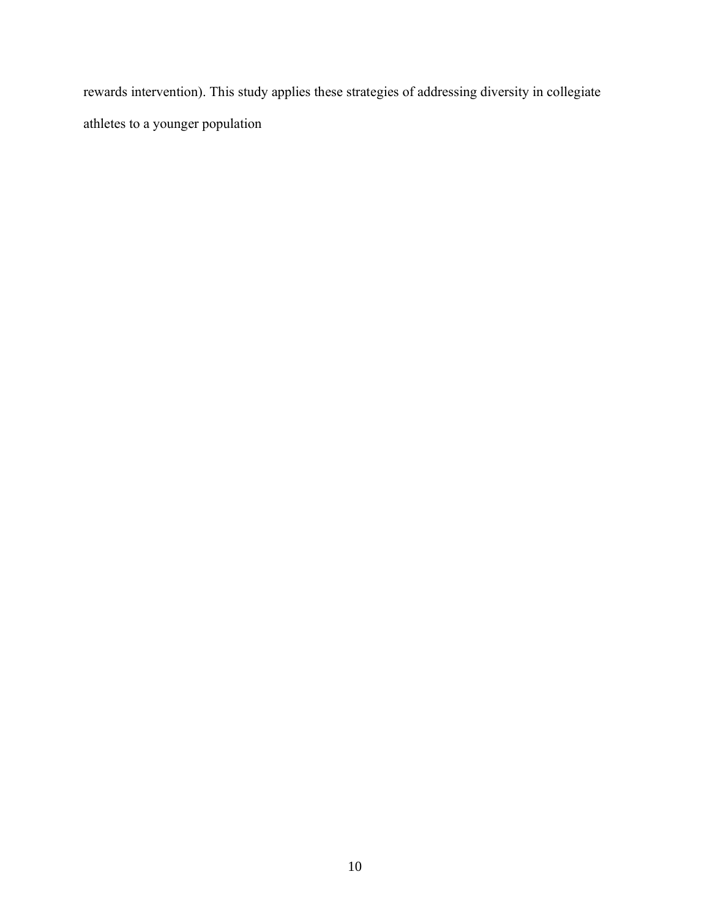rewards intervention). This study applies these strategies of addressing diversity in collegiate athletes to a younger population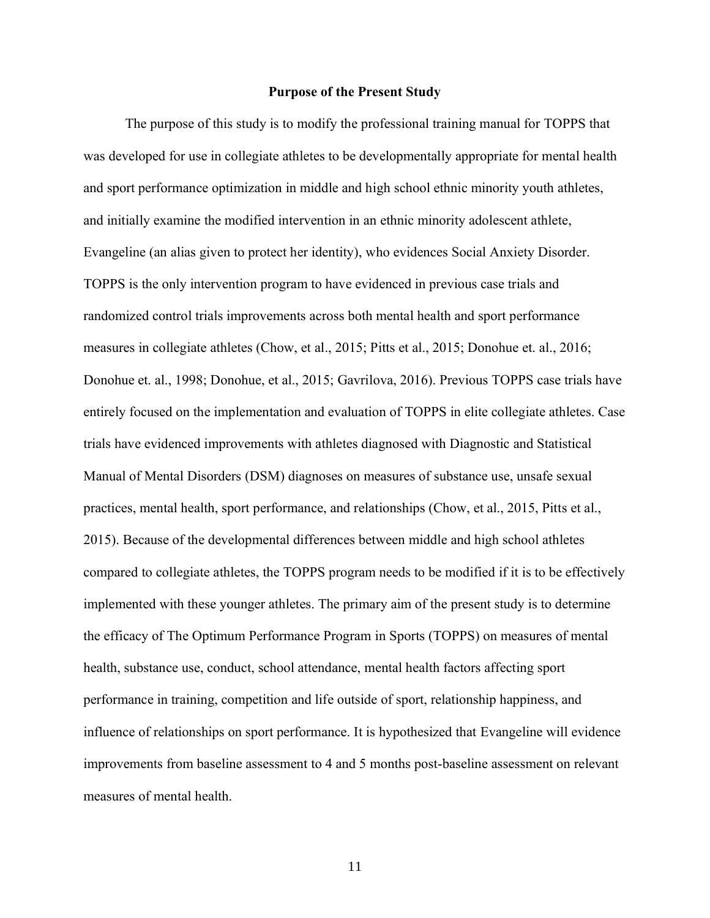#### **Purpose of the Present Study**

The purpose of this study is to modify the professional training manual for TOPPS that was developed for use in collegiate athletes to be developmentally appropriate for mental health and sport performance optimization in middle and high school ethnic minority youth athletes, and initially examine the modified intervention in an ethnic minority adolescent athlete, Evangeline (an alias given to protect her identity), who evidences Social Anxiety Disorder. TOPPS is the only intervention program to have evidenced in previous case trials and randomized control trials improvements across both mental health and sport performance measures in collegiate athletes (Chow, et al., 2015; Pitts et al., 2015; Donohue et. al., 2016; Donohue et. al., 1998; Donohue, et al., 2015; Gavrilova, 2016). Previous TOPPS case trials have entirely focused on the implementation and evaluation of TOPPS in elite collegiate athletes. Case trials have evidenced improvements with athletes diagnosed with Diagnostic and Statistical Manual of Mental Disorders (DSM) diagnoses on measures of substance use, unsafe sexual practices, mental health, sport performance, and relationships (Chow, et al., 2015, Pitts et al., 2015). Because of the developmental differences between middle and high school athletes compared to collegiate athletes, the TOPPS program needs to be modified if it is to be effectively implemented with these younger athletes. The primary aim of the present study is to determine the efficacy of The Optimum Performance Program in Sports (TOPPS) on measures of mental health, substance use, conduct, school attendance, mental health factors affecting sport performance in training, competition and life outside of sport, relationship happiness, and influence of relationships on sport performance. It is hypothesized that Evangeline will evidence improvements from baseline assessment to 4 and 5 months post-baseline assessment on relevant measures of mental health.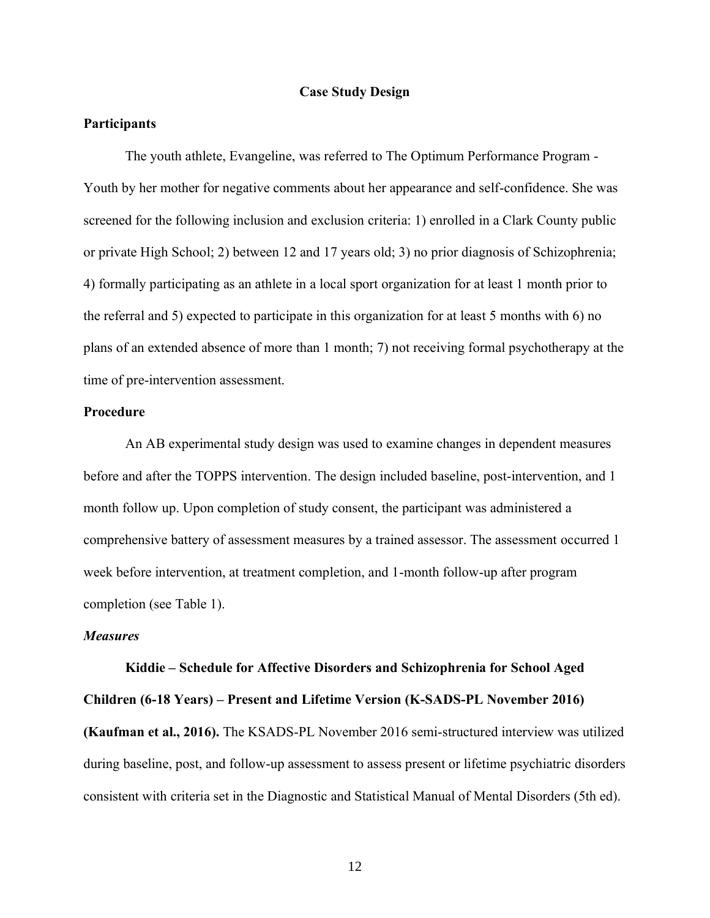#### **Case Study Design**

#### **Participants**

The youth athlete, Evangeline, was referred to The Optimum Performance Program - Youth by her mother for negative comments about her appearance and self-confidence. She was screened for the following inclusion and exclusion criteria: 1) enrolled in a Clark County public or private High School; 2) between 12 and 17 years old; 3) no prior diagnosis of Schizophrenia; 4) formally participating as an athlete in a local sport organization for at least 1 month prior to the referral and 5) expected to participate in this organization for at least 5 months with 6) no plans of an extended absence of more than 1 month; 7) not receiving formal psychotherapy at the time of pre-intervention assessment.

#### **Procedure**

An AB experimental study design was used to examine changes in dependent measures before and after the TOPPS intervention. The design included baseline, post-intervention, and 1 month follow up. Upon completion of study consent, the participant was administered a comprehensive battery of assessment measures by a trained assessor. The assessment occurred 1 week before intervention, at treatment completion, and 1-month follow-up after program completion (see Table 1).

#### *Measures*

**Kiddie – Schedule for Affective Disorders and Schizophrenia for School Aged Children (6-18 Years) – Present and Lifetime Version (K-SADS-PL November 2016) (Kaufman et al., 2016).** The KSADS-PL November 2016 semi-structured interview was utilized during baseline, post, and follow-up assessment to assess present or lifetime psychiatric disorders consistent with criteria set in the Diagnostic and Statistical Manual of Mental Disorders (5th ed).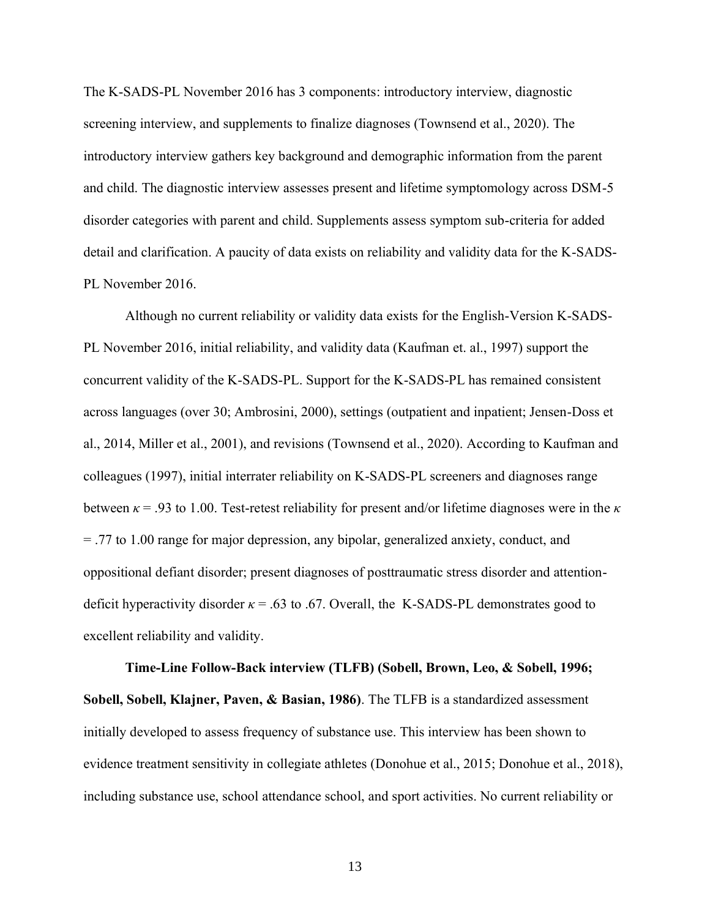The K-SADS-PL November 2016 has 3 components: introductory interview, diagnostic screening interview, and supplements to finalize diagnoses (Townsend et al., 2020). The introductory interview gathers key background and demographic information from the parent and child. The diagnostic interview assesses present and lifetime symptomology across DSM-5 disorder categories with parent and child. Supplements assess symptom sub-criteria for added detail and clarification. A paucity of data exists on reliability and validity data for the K-SADS-PL November 2016.

Although no current reliability or validity data exists for the English-Version K-SADS-PL November 2016, initial reliability, and validity data (Kaufman et. al., 1997) support the concurrent validity of the K-SADS-PL. Support for the K-SADS-PL has remained consistent across languages (over 30; Ambrosini, 2000), settings (outpatient and inpatient; Jensen-Doss et al., 2014, Miller et al., 2001), and revisions (Townsend et al., 2020). According to Kaufman and colleagues (1997), initial interrater reliability on K-SADS-PL screeners and diagnoses range between  $\kappa$  = .93 to 1.00. Test-retest reliability for present and/or lifetime diagnoses were in the  $\kappa$ = .77 to 1.00 range for major depression, any bipolar, generalized anxiety, conduct, and oppositional defiant disorder; present diagnoses of posttraumatic stress disorder and attentiondeficit hyperactivity disorder  $\kappa = .63$  to .67. Overall, the K-SADS-PL demonstrates good to excellent reliability and validity.

**Time-Line Follow-Back interview (TLFB) (Sobell, Brown, Leo, & Sobell, 1996; Sobell, Sobell, Klajner, Paven, & Basian, 1986)**. The TLFB is a standardized assessment initially developed to assess frequency of substance use. This interview has been shown to evidence treatment sensitivity in collegiate athletes (Donohue et al., 2015; Donohue et al., 2018), including substance use, school attendance school, and sport activities. No current reliability or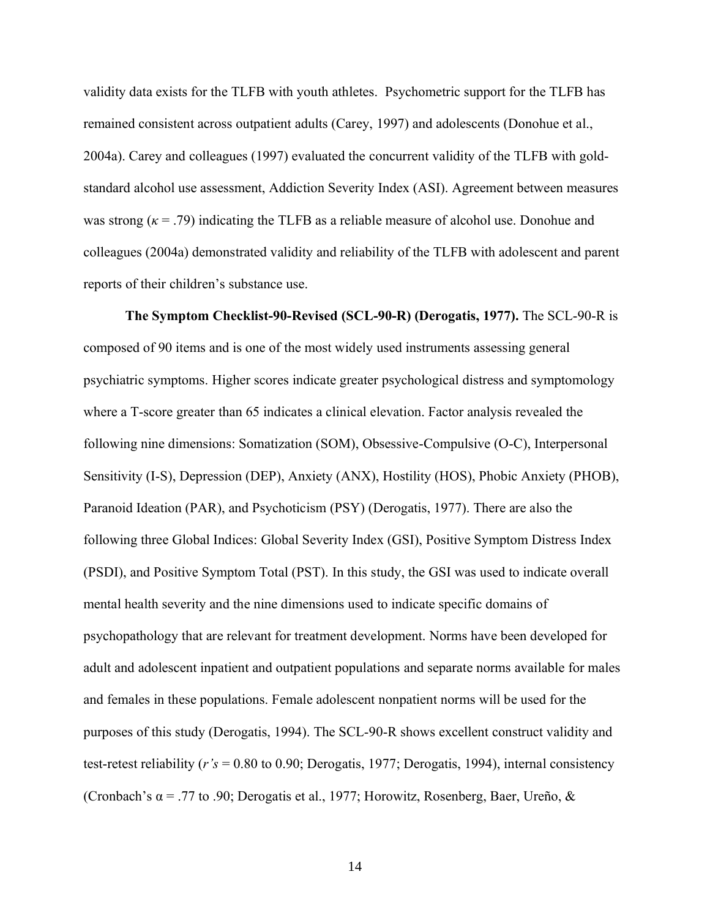validity data exists for the TLFB with youth athletes. Psychometric support for the TLFB has remained consistent across outpatient adults (Carey, 1997) and adolescents (Donohue et al., 2004a). Carey and colleagues (1997) evaluated the concurrent validity of the TLFB with goldstandard alcohol use assessment, Addiction Severity Index (ASI). Agreement between measures was strong (*κ* = .79) indicating the TLFB as a reliable measure of alcohol use. Donohue and colleagues (2004a) demonstrated validity and reliability of the TLFB with adolescent and parent reports of their children's substance use.

**The Symptom Checklist-90-Revised (SCL-90-R) (Derogatis, 1977).** The SCL-90-R is composed of 90 items and is one of the most widely used instruments assessing general psychiatric symptoms. Higher scores indicate greater psychological distress and symptomology where a T-score greater than 65 indicates a clinical elevation. Factor analysis revealed the following nine dimensions: Somatization (SOM), Obsessive-Compulsive (O-C), Interpersonal Sensitivity (I-S), Depression (DEP), Anxiety (ANX), Hostility (HOS), Phobic Anxiety (PHOB), Paranoid Ideation (PAR), and Psychoticism (PSY) (Derogatis, 1977). There are also the following three Global Indices: Global Severity Index (GSI), Positive Symptom Distress Index (PSDI), and Positive Symptom Total (PST). In this study, the GSI was used to indicate overall mental health severity and the nine dimensions used to indicate specific domains of psychopathology that are relevant for treatment development. Norms have been developed for adult and adolescent inpatient and outpatient populations and separate norms available for males and females in these populations. Female adolescent nonpatient norms will be used for the purposes of this study (Derogatis, 1994). The SCL-90-R shows excellent construct validity and test-retest reliability (*r's* = 0.80 to 0.90; Derogatis, 1977; Derogatis, 1994), internal consistency (Cronbach's  $\alpha$  = .77 to .90; Derogatis et al., 1977; Horowitz, Rosenberg, Baer, Ureño, &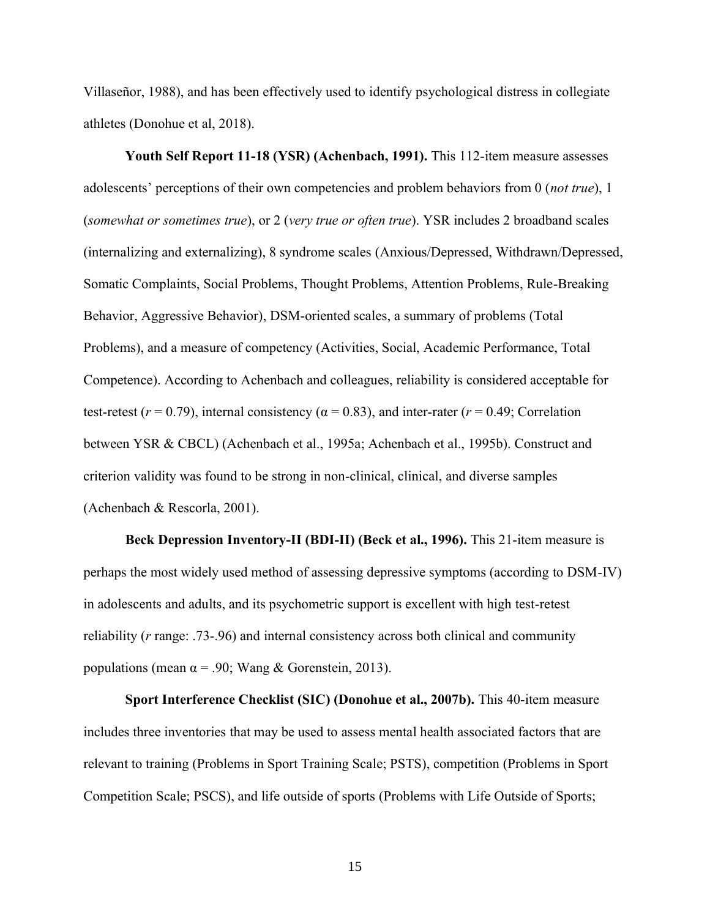Villaseñor, 1988), and has been effectively used to identify psychological distress in collegiate athletes (Donohue et al, 2018).

**Youth Self Report 11-18 (YSR) (Achenbach, 1991).** This 112-item measure assesses adolescents' perceptions of their own competencies and problem behaviors from 0 (*not true*), 1 (*somewhat or sometimes true*), or 2 (*very true or often true*). YSR includes 2 broadband scales (internalizing and externalizing), 8 syndrome scales (Anxious/Depressed, Withdrawn/Depressed, Somatic Complaints, Social Problems, Thought Problems, Attention Problems, Rule-Breaking Behavior, Aggressive Behavior), DSM-oriented scales, a summary of problems (Total Problems), and a measure of competency (Activities, Social, Academic Performance, Total Competence). According to Achenbach and colleagues, reliability is considered acceptable for test-retest ( $r = 0.79$ ), internal consistency ( $\alpha = 0.83$ ), and inter-rater ( $r = 0.49$ ; Correlation between YSR & CBCL) (Achenbach et al., 1995a; Achenbach et al., 1995b). Construct and criterion validity was found to be strong in non-clinical, clinical, and diverse samples (Achenbach & Rescorla, 2001).

**Beck Depression Inventory-II (BDI-II) (Beck et al., 1996).** This 21-item measure is perhaps the most widely used method of assessing depressive symptoms (according to DSM-IV) in adolescents and adults, and its psychometric support is excellent with high test-retest reliability (*r* range: .73-.96) and internal consistency across both clinical and community populations (mean  $\alpha$  = .90; Wang & Gorenstein, 2013).

**Sport Interference Checklist (SIC) (Donohue et al., 2007b).** This 40-item measure includes three inventories that may be used to assess mental health associated factors that are relevant to training (Problems in Sport Training Scale; PSTS), competition (Problems in Sport Competition Scale; PSCS), and life outside of sports (Problems with Life Outside of Sports;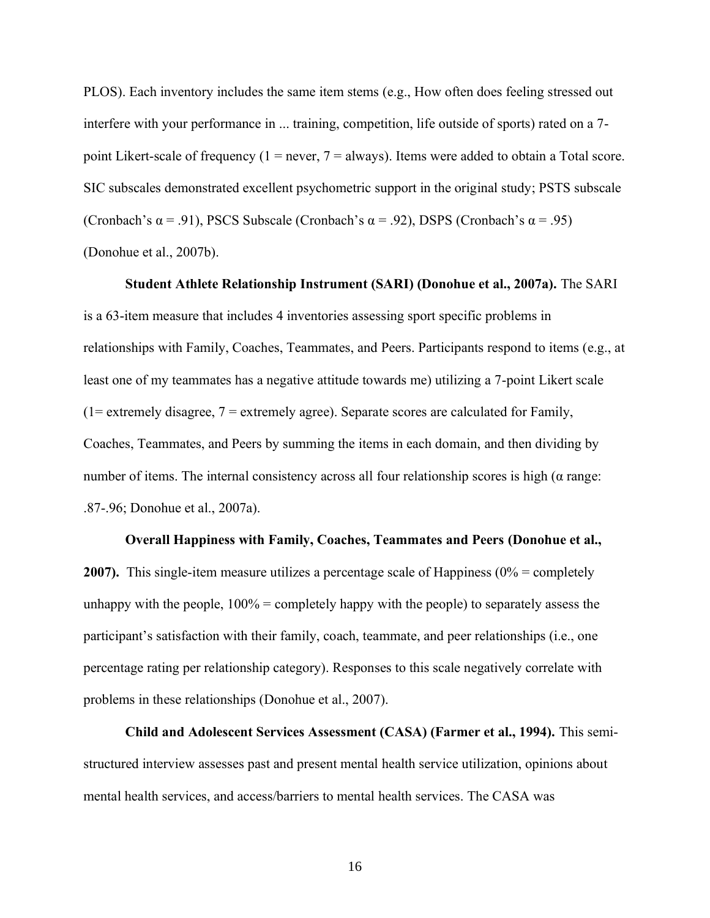PLOS). Each inventory includes the same item stems (e.g., How often does feeling stressed out interfere with your performance in ... training, competition, life outside of sports) rated on a 7 point Likert-scale of frequency  $(1 = never, 7 = always)$ . Items were added to obtain a Total score. SIC subscales demonstrated excellent psychometric support in the original study; PSTS subscale (Cronbach's  $\alpha$  = .91), PSCS Subscale (Cronbach's  $\alpha$  = .92), DSPS (Cronbach's  $\alpha$  = .95) (Donohue et al., 2007b).

**Student Athlete Relationship Instrument (SARI) (Donohue et al., 2007a).** The SARI is a 63-item measure that includes 4 inventories assessing sport specific problems in relationships with Family, Coaches, Teammates, and Peers. Participants respond to items (e.g., at least one of my teammates has a negative attitude towards me) utilizing a 7-point Likert scale  $(1=$  extremely disagree,  $7 =$  extremely agree). Separate scores are calculated for Family, Coaches, Teammates, and Peers by summing the items in each domain, and then dividing by number of items. The internal consistency across all four relationship scores is high ( $\alpha$  range: .87-.96; Donohue et al., 2007a).

#### **Overall Happiness with Family, Coaches, Teammates and Peers (Donohue et al.,**

**2007).** This single-item measure utilizes a percentage scale of Happiness (0% = completely unhappy with the people,  $100\%$  = completely happy with the people) to separately assess the participant's satisfaction with their family, coach, teammate, and peer relationships (i.e., one percentage rating per relationship category). Responses to this scale negatively correlate with problems in these relationships (Donohue et al., 2007).

**Child and Adolescent Services Assessment (CASA) (Farmer et al., 1994).** This semistructured interview assesses past and present mental health service utilization, opinions about mental health services, and access/barriers to mental health services. The CASA was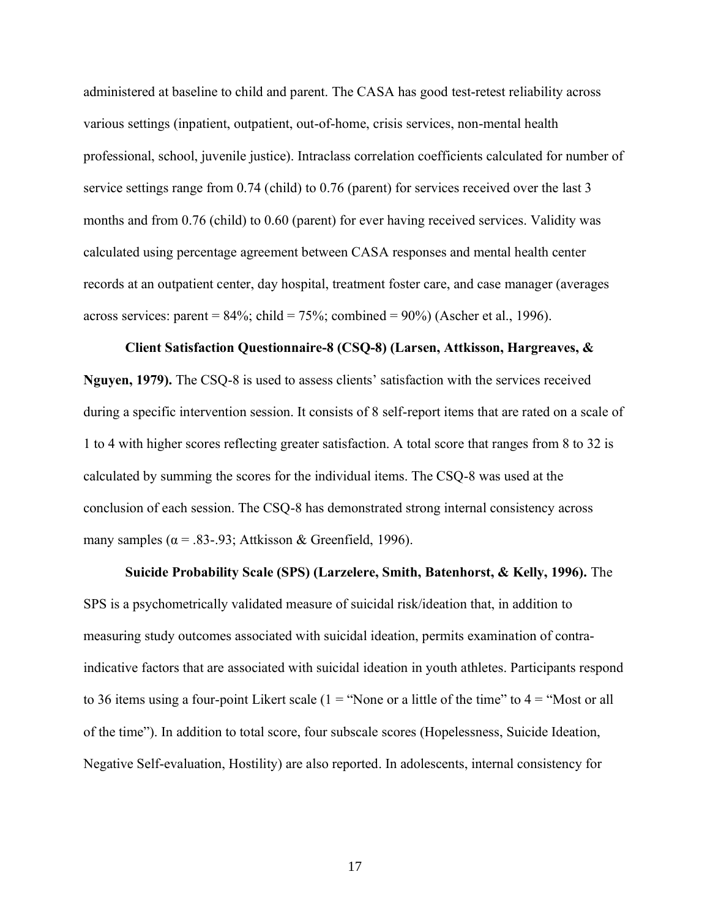administered at baseline to child and parent. The CASA has good test-retest reliability across various settings (inpatient, outpatient, out-of-home, crisis services, non-mental health professional, school, juvenile justice). Intraclass correlation coefficients calculated for number of service settings range from 0.74 (child) to 0.76 (parent) for services received over the last 3 months and from 0.76 (child) to 0.60 (parent) for ever having received services. Validity was calculated using percentage agreement between CASA responses and mental health center records at an outpatient center, day hospital, treatment foster care, and case manager (averages across services: parent =  $84\%$ ; child =  $75\%$ ; combined =  $90\%$ ) (Ascher et al., 1996).

#### **Client Satisfaction Questionnaire-8 (CSQ-8) (Larsen, Attkisson, Hargreaves, &**

**Nguyen, 1979).** The CSQ-8 is used to assess clients' satisfaction with the services received during a specific intervention session. It consists of 8 self-report items that are rated on a scale of 1 to 4 with higher scores reflecting greater satisfaction. A total score that ranges from 8 to 32 is calculated by summing the scores for the individual items. The CSQ-8 was used at the conclusion of each session. The CSQ-8 has demonstrated strong internal consistency across many samples ( $\alpha$  = .83-.93; Attkisson & Greenfield, 1996).

#### **Suicide Probability Scale (SPS) (Larzelere, Smith, Batenhorst, & Kelly, 1996).** The

SPS is a psychometrically validated measure of suicidal risk/ideation that, in addition to measuring study outcomes associated with suicidal ideation, permits examination of contraindicative factors that are associated with suicidal ideation in youth athletes. Participants respond to 36 items using a four-point Likert scale ( $1 =$  "None or a little of the time" to  $4 =$  "Most or all" of the time"). In addition to total score, four subscale scores (Hopelessness, Suicide Ideation, Negative Self-evaluation, Hostility) are also reported. In adolescents, internal consistency for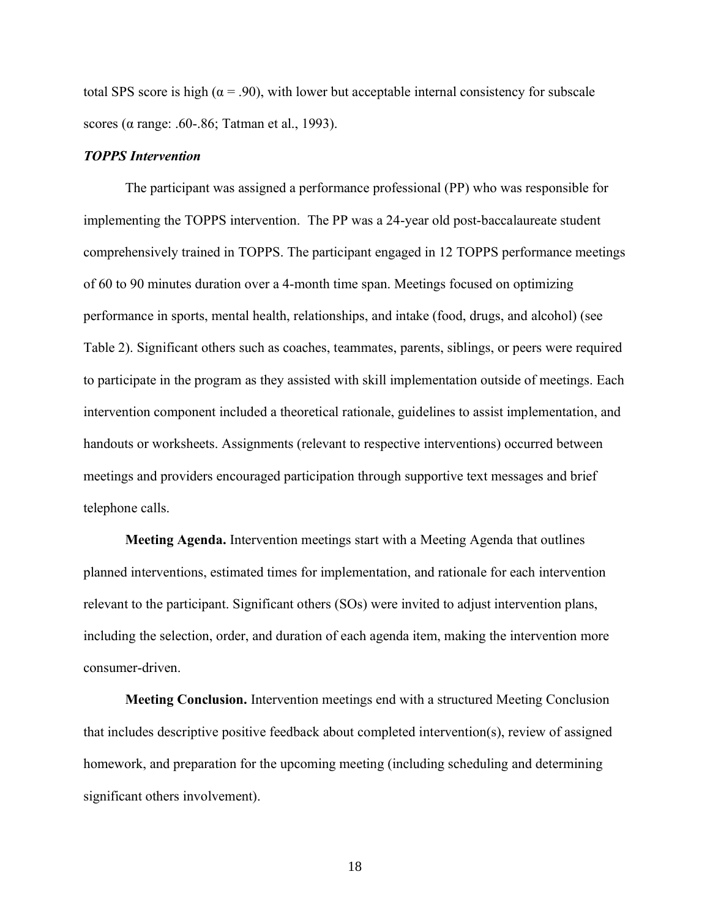total SPS score is high ( $\alpha$  = .90), with lower but acceptable internal consistency for subscale scores (α range: .60-.86; Tatman et al., 1993).

#### *TOPPS Intervention*

The participant was assigned a performance professional (PP) who was responsible for implementing the TOPPS intervention. The PP was a 24-year old post-baccalaureate student comprehensively trained in TOPPS. The participant engaged in 12 TOPPS performance meetings of 60 to 90 minutes duration over a 4-month time span. Meetings focused on optimizing performance in sports, mental health, relationships, and intake (food, drugs, and alcohol) (see Table 2). Significant others such as coaches, teammates, parents, siblings, or peers were required to participate in the program as they assisted with skill implementation outside of meetings. Each intervention component included a theoretical rationale, guidelines to assist implementation, and handouts or worksheets. Assignments (relevant to respective interventions) occurred between meetings and providers encouraged participation through supportive text messages and brief telephone calls.

**Meeting Agenda.** Intervention meetings start with a Meeting Agenda that outlines planned interventions, estimated times for implementation, and rationale for each intervention relevant to the participant. Significant others (SOs) were invited to adjust intervention plans, including the selection, order, and duration of each agenda item, making the intervention more consumer-driven.

**Meeting Conclusion.** Intervention meetings end with a structured Meeting Conclusion that includes descriptive positive feedback about completed intervention(s), review of assigned homework, and preparation for the upcoming meeting (including scheduling and determining significant others involvement).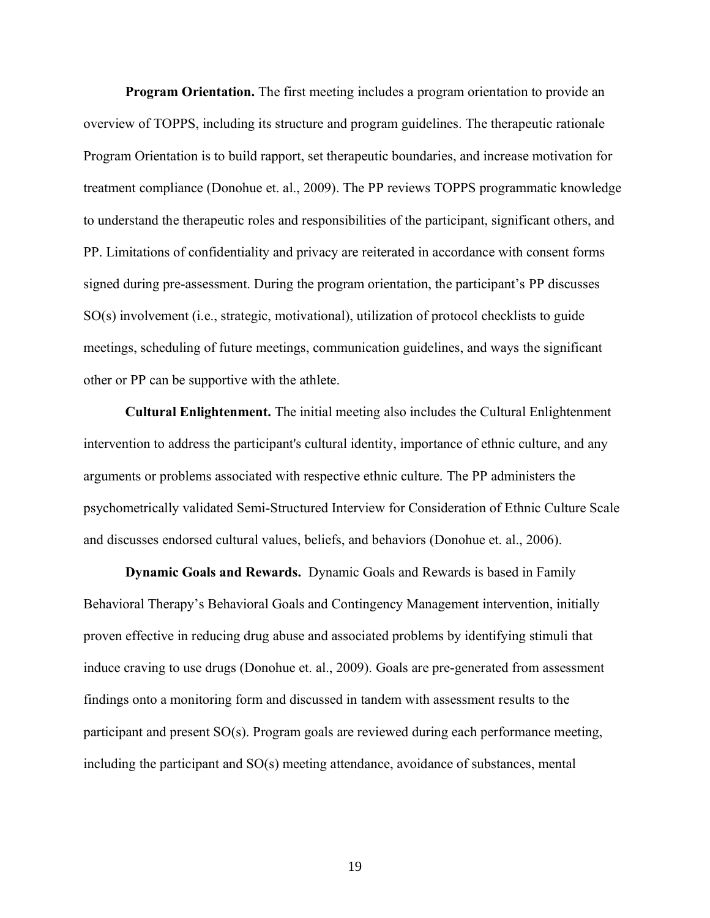**Program Orientation.** The first meeting includes a program orientation to provide an overview of TOPPS, including its structure and program guidelines. The therapeutic rationale Program Orientation is to build rapport, set therapeutic boundaries, and increase motivation for treatment compliance (Donohue et. al., 2009). The PP reviews TOPPS programmatic knowledge to understand the therapeutic roles and responsibilities of the participant, significant others, and PP. Limitations of confidentiality and privacy are reiterated in accordance with consent forms signed during pre-assessment. During the program orientation, the participant's PP discusses SO(s) involvement (i.e., strategic, motivational), utilization of protocol checklists to guide meetings, scheduling of future meetings, communication guidelines, and ways the significant other or PP can be supportive with the athlete.

**Cultural Enlightenment.** The initial meeting also includes the Cultural Enlightenment intervention to address the participant's cultural identity, importance of ethnic culture, and any arguments or problems associated with respective ethnic culture. The PP administers the psychometrically validated Semi-Structured Interview for Consideration of Ethnic Culture Scale and discusses endorsed cultural values, beliefs, and behaviors (Donohue et. al., 2006).

**Dynamic Goals and Rewards.** Dynamic Goals and Rewards is based in Family Behavioral Therapy's Behavioral Goals and Contingency Management intervention, initially proven effective in reducing drug abuse and associated problems by identifying stimuli that induce craving to use drugs (Donohue et. al., 2009). Goals are pre-generated from assessment findings onto a monitoring form and discussed in tandem with assessment results to the participant and present SO(s). Program goals are reviewed during each performance meeting, including the participant and SO(s) meeting attendance, avoidance of substances, mental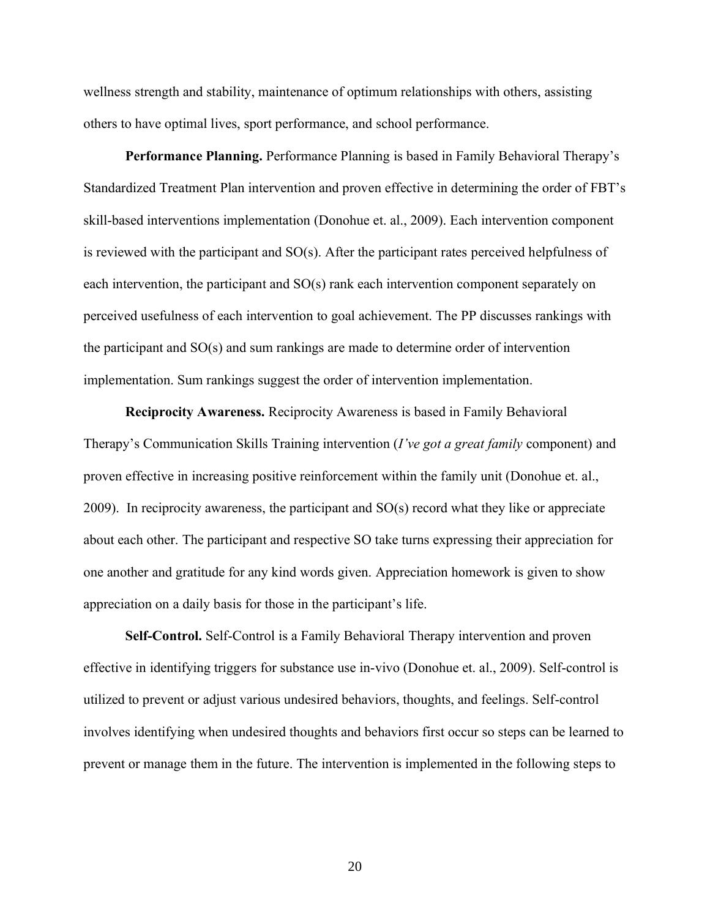wellness strength and stability, maintenance of optimum relationships with others, assisting others to have optimal lives, sport performance, and school performance.

**Performance Planning.** Performance Planning is based in Family Behavioral Therapy's Standardized Treatment Plan intervention and proven effective in determining the order of FBT's skill-based interventions implementation (Donohue et. al., 2009). Each intervention component is reviewed with the participant and SO(s). After the participant rates perceived helpfulness of each intervention, the participant and SO(s) rank each intervention component separately on perceived usefulness of each intervention to goal achievement. The PP discusses rankings with the participant and SO(s) and sum rankings are made to determine order of intervention implementation. Sum rankings suggest the order of intervention implementation.

**Reciprocity Awareness.** Reciprocity Awareness is based in Family Behavioral Therapy's Communication Skills Training intervention (*I've got a great family* component) and proven effective in increasing positive reinforcement within the family unit (Donohue et. al., 2009). In reciprocity awareness, the participant and SO(s) record what they like or appreciate about each other. The participant and respective SO take turns expressing their appreciation for one another and gratitude for any kind words given. Appreciation homework is given to show appreciation on a daily basis for those in the participant's life.

**Self-Control.** Self-Control is a Family Behavioral Therapy intervention and proven effective in identifying triggers for substance use in-vivo (Donohue et. al., 2009). Self-control is utilized to prevent or adjust various undesired behaviors, thoughts, and feelings. Self-control involves identifying when undesired thoughts and behaviors first occur so steps can be learned to prevent or manage them in the future. The intervention is implemented in the following steps to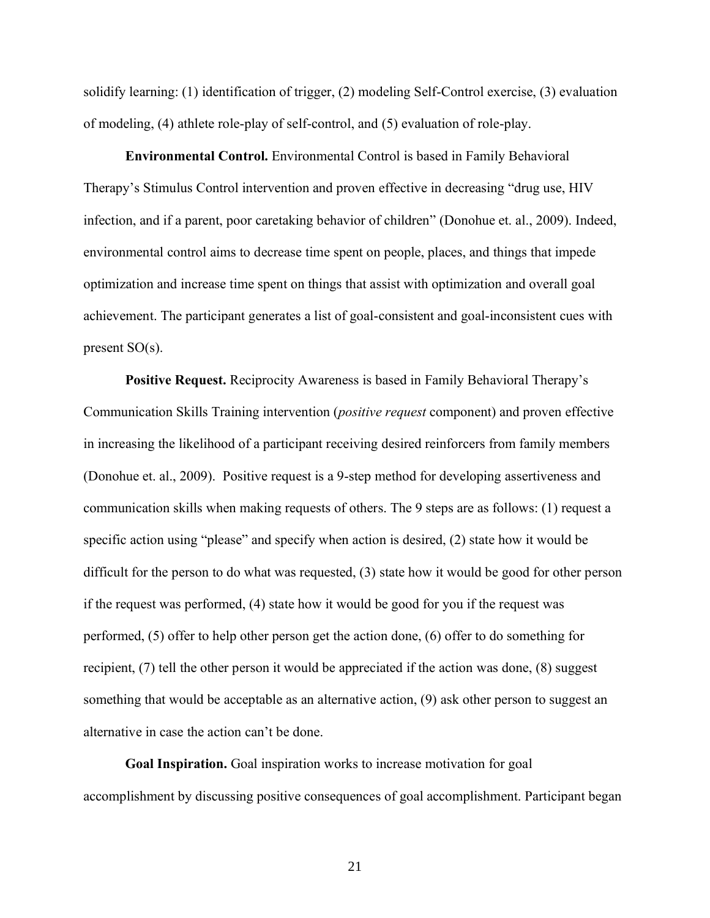solidify learning: (1) identification of trigger, (2) modeling Self-Control exercise, (3) evaluation of modeling, (4) athlete role-play of self-control, and (5) evaluation of role-play.

**Environmental Control.** Environmental Control is based in Family Behavioral Therapy's Stimulus Control intervention and proven effective in decreasing "drug use, HIV infection, and if a parent, poor caretaking behavior of children" (Donohue et. al., 2009). Indeed, environmental control aims to decrease time spent on people, places, and things that impede optimization and increase time spent on things that assist with optimization and overall goal achievement. The participant generates a list of goal-consistent and goal-inconsistent cues with present SO(s).

**Positive Request.** Reciprocity Awareness is based in Family Behavioral Therapy's Communication Skills Training intervention (*positive request* component) and proven effective in increasing the likelihood of a participant receiving desired reinforcers from family members (Donohue et. al., 2009). Positive request is a 9-step method for developing assertiveness and communication skills when making requests of others. The 9 steps are as follows: (1) request a specific action using "please" and specify when action is desired, (2) state how it would be difficult for the person to do what was requested, (3) state how it would be good for other person if the request was performed, (4) state how it would be good for you if the request was performed, (5) offer to help other person get the action done, (6) offer to do something for recipient, (7) tell the other person it would be appreciated if the action was done, (8) suggest something that would be acceptable as an alternative action, (9) ask other person to suggest an alternative in case the action can't be done.

**Goal Inspiration.** Goal inspiration works to increase motivation for goal accomplishment by discussing positive consequences of goal accomplishment. Participant began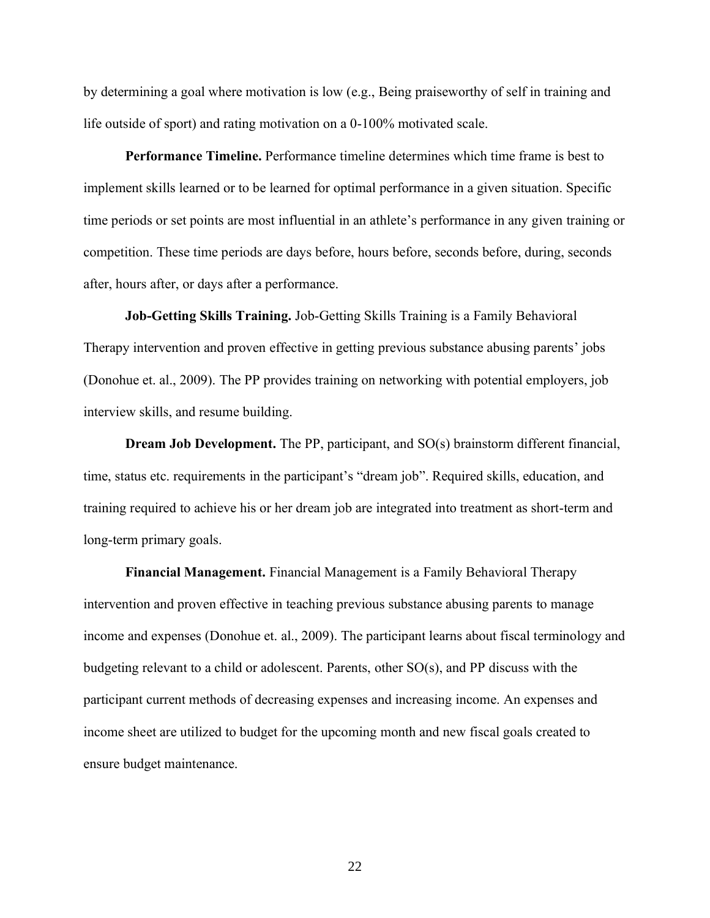by determining a goal where motivation is low (e.g., Being praiseworthy of self in training and life outside of sport) and rating motivation on a 0-100% motivated scale.

**Performance Timeline.** Performance timeline determines which time frame is best to implement skills learned or to be learned for optimal performance in a given situation. Specific time periods or set points are most influential in an athlete's performance in any given training or competition. These time periods are days before, hours before, seconds before, during, seconds after, hours after, or days after a performance.

**Job-Getting Skills Training.** Job-Getting Skills Training is a Family Behavioral Therapy intervention and proven effective in getting previous substance abusing parents' jobs (Donohue et. al., 2009). The PP provides training on networking with potential employers, job interview skills, and resume building.

**Dream Job Development.** The PP, participant, and SO(s) brainstorm different financial, time, status etc. requirements in the participant's "dream job". Required skills, education, and training required to achieve his or her dream job are integrated into treatment as short-term and long-term primary goals.

**Financial Management.** Financial Management is a Family Behavioral Therapy intervention and proven effective in teaching previous substance abusing parents to manage income and expenses (Donohue et. al., 2009). The participant learns about fiscal terminology and budgeting relevant to a child or adolescent. Parents, other SO(s), and PP discuss with the participant current methods of decreasing expenses and increasing income. An expenses and income sheet are utilized to budget for the upcoming month and new fiscal goals created to ensure budget maintenance.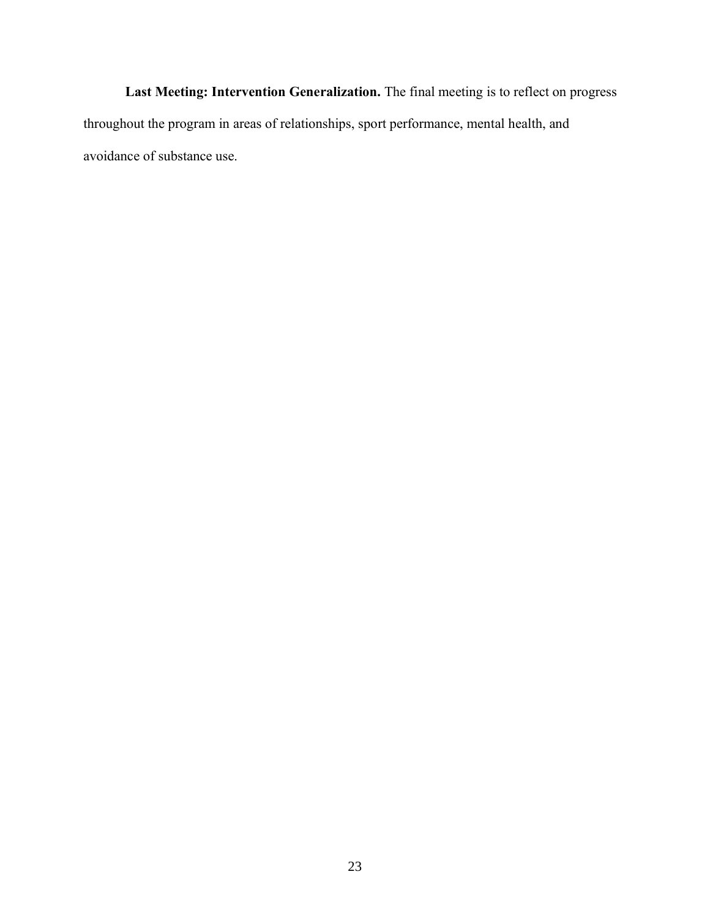**Last Meeting: Intervention Generalization.** The final meeting is to reflect on progress throughout the program in areas of relationships, sport performance, mental health, and avoidance of substance use.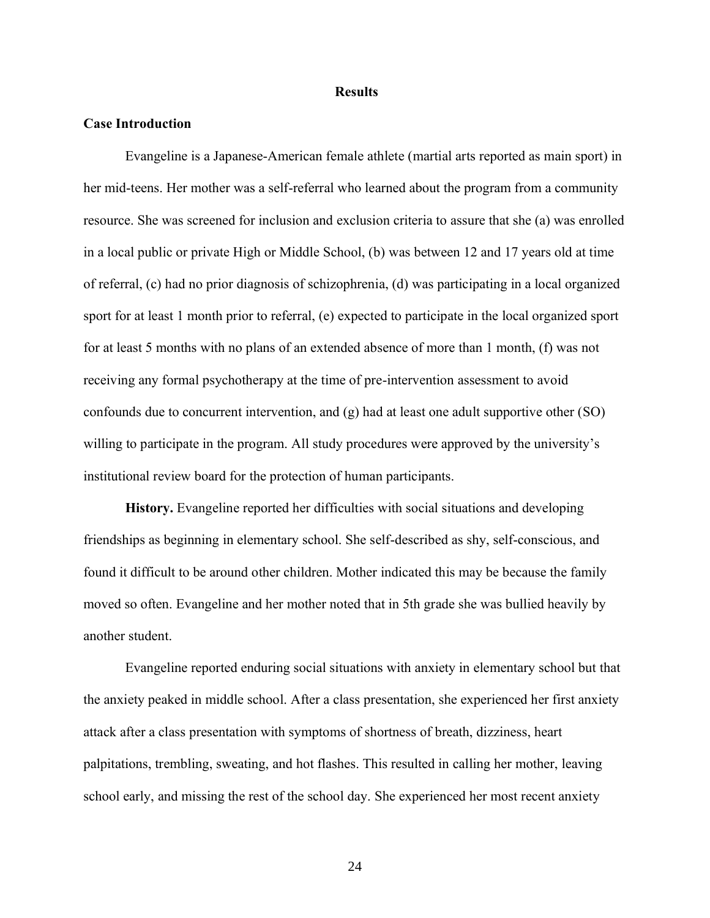#### **Results**

#### **Case Introduction**

Evangeline is a Japanese-American female athlete (martial arts reported as main sport) in her mid-teens. Her mother was a self-referral who learned about the program from a community resource. She was screened for inclusion and exclusion criteria to assure that she (a) was enrolled in a local public or private High or Middle School, (b) was between 12 and 17 years old at time of referral, (c) had no prior diagnosis of schizophrenia, (d) was participating in a local organized sport for at least 1 month prior to referral, (e) expected to participate in the local organized sport for at least 5 months with no plans of an extended absence of more than 1 month, (f) was not receiving any formal psychotherapy at the time of pre-intervention assessment to avoid confounds due to concurrent intervention, and (g) had at least one adult supportive other (SO) willing to participate in the program. All study procedures were approved by the university's institutional review board for the protection of human participants.

**History.** Evangeline reported her difficulties with social situations and developing friendships as beginning in elementary school. She self-described as shy, self-conscious, and found it difficult to be around other children. Mother indicated this may be because the family moved so often. Evangeline and her mother noted that in 5th grade she was bullied heavily by another student.

Evangeline reported enduring social situations with anxiety in elementary school but that the anxiety peaked in middle school. After a class presentation, she experienced her first anxiety attack after a class presentation with symptoms of shortness of breath, dizziness, heart palpitations, trembling, sweating, and hot flashes. This resulted in calling her mother, leaving school early, and missing the rest of the school day. She experienced her most recent anxiety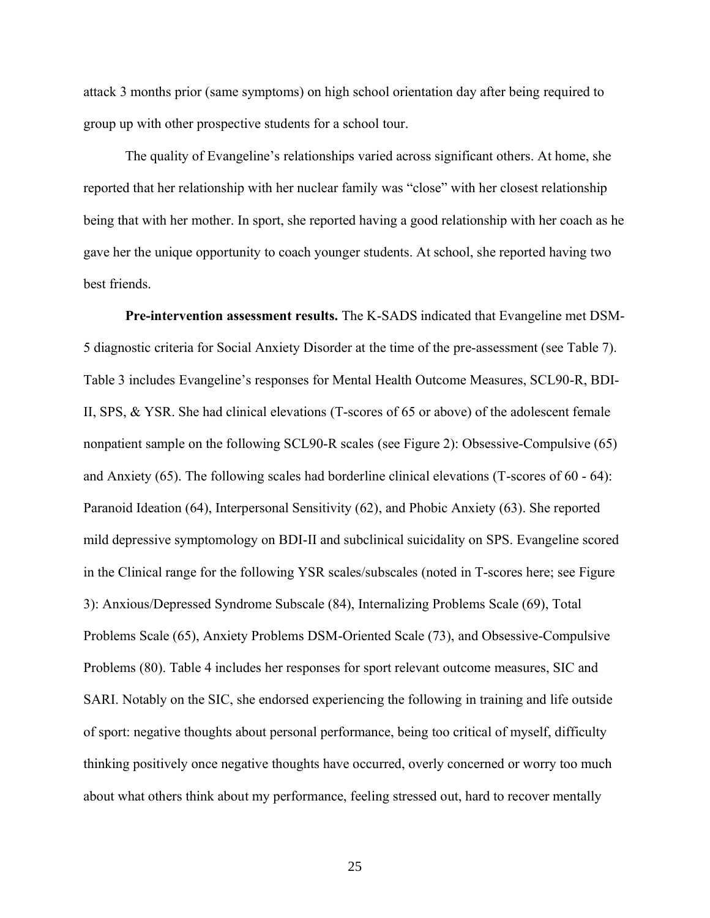attack 3 months prior (same symptoms) on high school orientation day after being required to group up with other prospective students for a school tour.

The quality of Evangeline's relationships varied across significant others. At home, she reported that her relationship with her nuclear family was "close" with her closest relationship being that with her mother. In sport, she reported having a good relationship with her coach as he gave her the unique opportunity to coach younger students. At school, she reported having two best friends.

**Pre-intervention assessment results.** The K-SADS indicated that Evangeline met DSM-5 diagnostic criteria for Social Anxiety Disorder at the time of the pre-assessment (see Table 7). Table 3 includes Evangeline's responses for Mental Health Outcome Measures, SCL90-R, BDI-II, SPS, & YSR. She had clinical elevations (T-scores of 65 or above) of the adolescent female nonpatient sample on the following SCL90-R scales (see Figure 2): Obsessive-Compulsive (65) and Anxiety (65). The following scales had borderline clinical elevations (T-scores of 60 - 64): Paranoid Ideation (64), Interpersonal Sensitivity (62), and Phobic Anxiety (63). She reported mild depressive symptomology on BDI-II and subclinical suicidality on SPS. Evangeline scored in the Clinical range for the following YSR scales/subscales (noted in T-scores here; see Figure 3): Anxious/Depressed Syndrome Subscale (84), Internalizing Problems Scale (69), Total Problems Scale (65), Anxiety Problems DSM-Oriented Scale (73), and Obsessive-Compulsive Problems (80). Table 4 includes her responses for sport relevant outcome measures, SIC and SARI. Notably on the SIC, she endorsed experiencing the following in training and life outside of sport: negative thoughts about personal performance, being too critical of myself, difficulty thinking positively once negative thoughts have occurred, overly concerned or worry too much about what others think about my performance, feeling stressed out, hard to recover mentally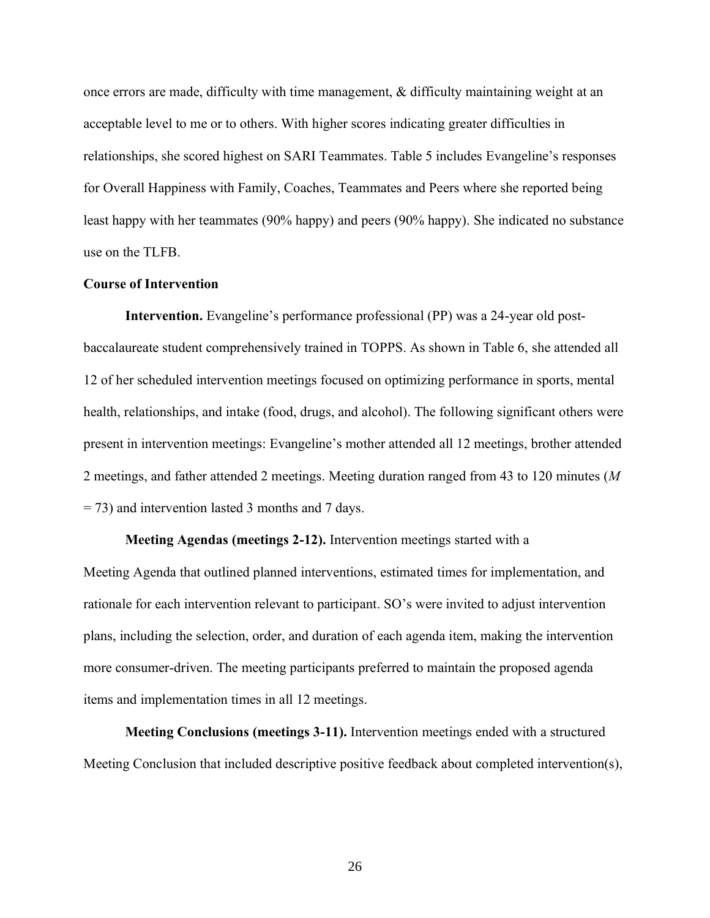once errors are made, difficulty with time management, & difficulty maintaining weight at an acceptable level to me or to others. With higher scores indicating greater difficulties in relationships, she scored highest on SARI Teammates. Table 5 includes Evangeline's responses for Overall Happiness with Family, Coaches, Teammates and Peers where she reported being least happy with her teammates (90% happy) and peers (90% happy). She indicated no substance use on the TLFB.

#### **Course of Intervention**

**Intervention.** Evangeline's performance professional (PP) was a 24-year old postbaccalaureate student comprehensively trained in TOPPS. As shown in Table 6, she attended all 12 of her scheduled intervention meetings focused on optimizing performance in sports, mental health, relationships, and intake (food, drugs, and alcohol). The following significant others were present in intervention meetings: Evangeline's mother attended all 12 meetings, brother attended 2 meetings, and father attended 2 meetings. Meeting duration ranged from 43 to 120 minutes (*M* = 73) and intervention lasted 3 months and 7 days.

**Meeting Agendas (meetings 2-12).** Intervention meetings started with a Meeting Agenda that outlined planned interventions, estimated times for implementation, and rationale for each intervention relevant to participant. SO's were invited to adjust intervention plans, including the selection, order, and duration of each agenda item, making the intervention more consumer-driven. The meeting participants preferred to maintain the proposed agenda items and implementation times in all 12 meetings.

**Meeting Conclusions (meetings 3-11).** Intervention meetings ended with a structured Meeting Conclusion that included descriptive positive feedback about completed intervention(s),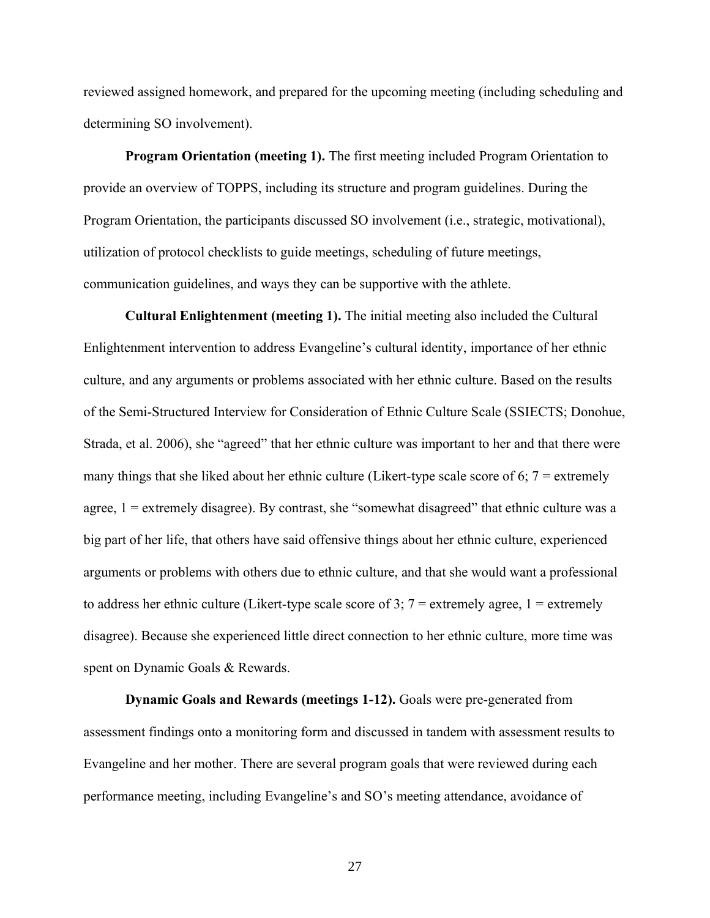reviewed assigned homework, and prepared for the upcoming meeting (including scheduling and determining SO involvement).

**Program Orientation (meeting 1).** The first meeting included Program Orientation to provide an overview of TOPPS, including its structure and program guidelines. During the Program Orientation, the participants discussed SO involvement (i.e., strategic, motivational), utilization of protocol checklists to guide meetings, scheduling of future meetings, communication guidelines, and ways they can be supportive with the athlete.

**Cultural Enlightenment (meeting 1).** The initial meeting also included the Cultural Enlightenment intervention to address Evangeline's cultural identity, importance of her ethnic culture, and any arguments or problems associated with her ethnic culture. Based on the results of the Semi-Structured Interview for Consideration of Ethnic Culture Scale (SSIECTS; Donohue, Strada, et al. 2006), she "agreed" that her ethnic culture was important to her and that there were many things that she liked about her ethnic culture (Likert-type scale score of 6;  $7 =$  extremely agree,  $1 =$  extremely disagree). By contrast, she "somewhat disagreed" that ethnic culture was a big part of her life, that others have said offensive things about her ethnic culture, experienced arguments or problems with others due to ethnic culture, and that she would want a professional to address her ethnic culture (Likert-type scale score of 3;  $7 =$  extremely agree,  $1 =$  extremely disagree). Because she experienced little direct connection to her ethnic culture, more time was spent on Dynamic Goals & Rewards.

**Dynamic Goals and Rewards (meetings 1-12).** Goals were pre-generated from assessment findings onto a monitoring form and discussed in tandem with assessment results to Evangeline and her mother. There are several program goals that were reviewed during each performance meeting, including Evangeline's and SO's meeting attendance, avoidance of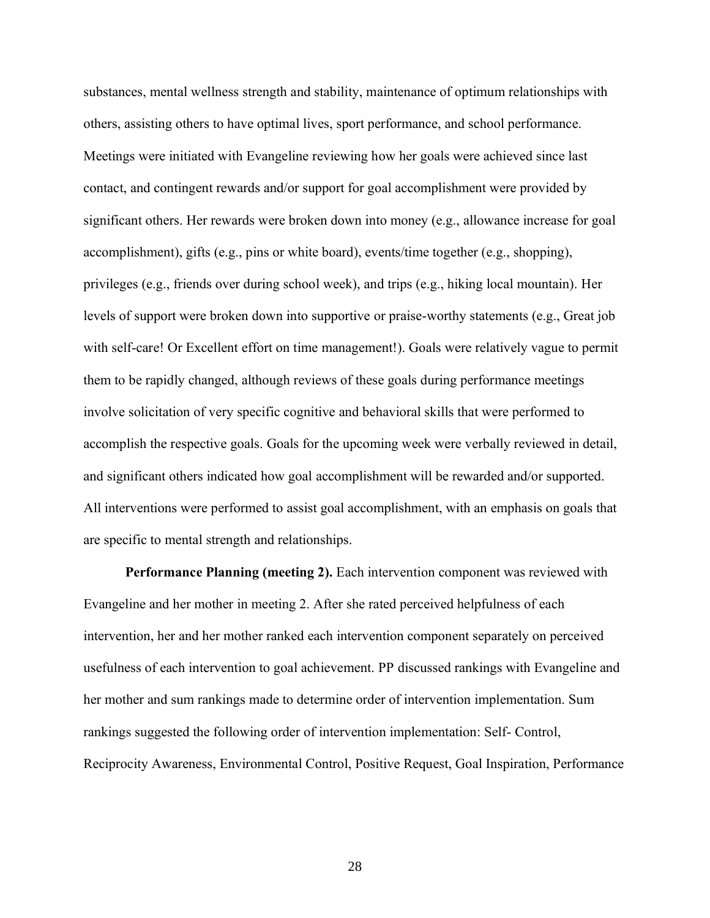substances, mental wellness strength and stability, maintenance of optimum relationships with others, assisting others to have optimal lives, sport performance, and school performance. Meetings were initiated with Evangeline reviewing how her goals were achieved since last contact, and contingent rewards and/or support for goal accomplishment were provided by significant others. Her rewards were broken down into money (e.g., allowance increase for goal accomplishment), gifts (e.g., pins or white board), events/time together (e.g., shopping), privileges (e.g., friends over during school week), and trips (e.g., hiking local mountain). Her levels of support were broken down into supportive or praise-worthy statements (e.g., Great job with self-care! Or Excellent effort on time management!). Goals were relatively vague to permit them to be rapidly changed, although reviews of these goals during performance meetings involve solicitation of very specific cognitive and behavioral skills that were performed to accomplish the respective goals. Goals for the upcoming week were verbally reviewed in detail, and significant others indicated how goal accomplishment will be rewarded and/or supported. All interventions were performed to assist goal accomplishment, with an emphasis on goals that are specific to mental strength and relationships.

**Performance Planning (meeting 2).** Each intervention component was reviewed with Evangeline and her mother in meeting 2. After she rated perceived helpfulness of each intervention, her and her mother ranked each intervention component separately on perceived usefulness of each intervention to goal achievement. PP discussed rankings with Evangeline and her mother and sum rankings made to determine order of intervention implementation. Sum rankings suggested the following order of intervention implementation: Self- Control, Reciprocity Awareness, Environmental Control, Positive Request, Goal Inspiration, Performance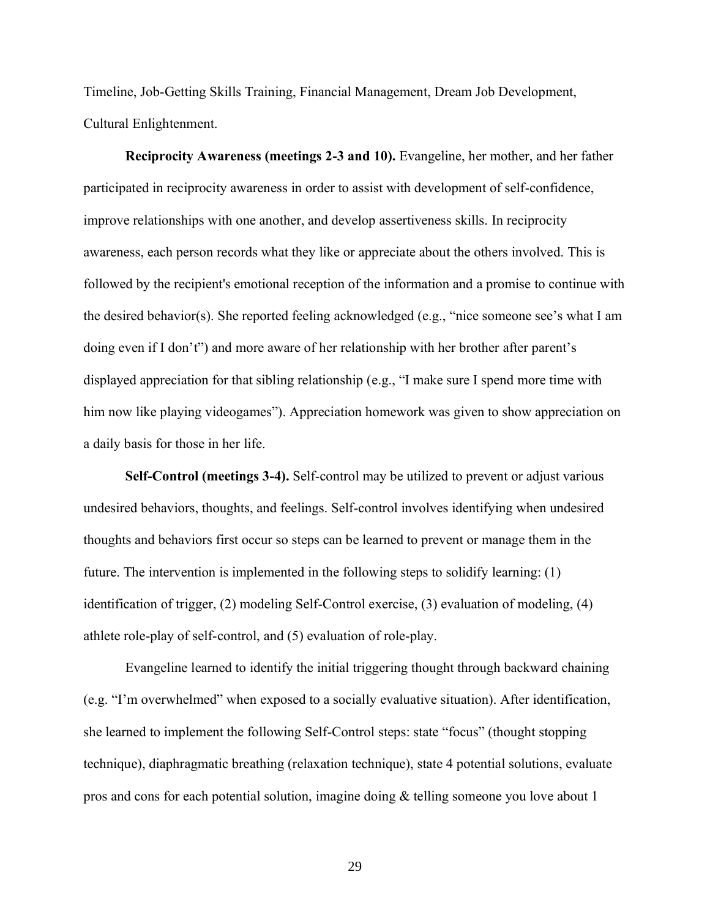Timeline, Job-Getting Skills Training, Financial Management, Dream Job Development, Cultural Enlightenment.

**Reciprocity Awareness (meetings 2-3 and 10).** Evangeline, her mother, and her father participated in reciprocity awareness in order to assist with development of self-confidence, improve relationships with one another, and develop assertiveness skills. In reciprocity awareness, each person records what they like or appreciate about the others involved. This is followed by the recipient's emotional reception of the information and a promise to continue with the desired behavior(s). She reported feeling acknowledged (e.g., "nice someone see's what I am doing even if I don't") and more aware of her relationship with her brother after parent's displayed appreciation for that sibling relationship (e.g., "I make sure I spend more time with him now like playing videogames"). Appreciation homework was given to show appreciation on a daily basis for those in her life.

**Self-Control (meetings 3-4).** Self-control may be utilized to prevent or adjust various undesired behaviors, thoughts, and feelings. Self-control involves identifying when undesired thoughts and behaviors first occur so steps can be learned to prevent or manage them in the future. The intervention is implemented in the following steps to solidify learning: (1) identification of trigger, (2) modeling Self-Control exercise, (3) evaluation of modeling, (4) athlete role-play of self-control, and (5) evaluation of role-play.

Evangeline learned to identify the initial triggering thought through backward chaining (e.g. "I'm overwhelmed" when exposed to a socially evaluative situation). After identification, she learned to implement the following Self-Control steps: state "focus" (thought stopping technique), diaphragmatic breathing (relaxation technique), state 4 potential solutions, evaluate pros and cons for each potential solution, imagine doing & telling someone you love about 1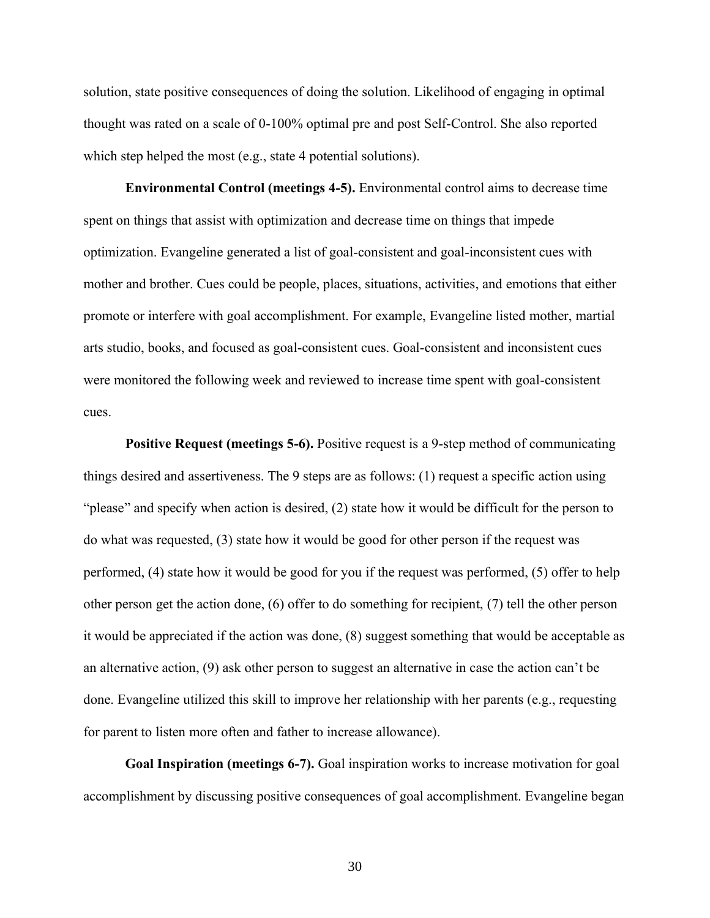solution, state positive consequences of doing the solution. Likelihood of engaging in optimal thought was rated on a scale of 0-100% optimal pre and post Self-Control. She also reported which step helped the most (e.g., state 4 potential solutions).

**Environmental Control (meetings 4-5).** Environmental control aims to decrease time spent on things that assist with optimization and decrease time on things that impede optimization. Evangeline generated a list of goal-consistent and goal-inconsistent cues with mother and brother. Cues could be people, places, situations, activities, and emotions that either promote or interfere with goal accomplishment. For example, Evangeline listed mother, martial arts studio, books, and focused as goal-consistent cues. Goal-consistent and inconsistent cues were monitored the following week and reviewed to increase time spent with goal-consistent cues.

**Positive Request (meetings 5-6).** Positive request is a 9-step method of communicating things desired and assertiveness. The 9 steps are as follows: (1) request a specific action using "please" and specify when action is desired, (2) state how it would be difficult for the person to do what was requested, (3) state how it would be good for other person if the request was performed, (4) state how it would be good for you if the request was performed, (5) offer to help other person get the action done, (6) offer to do something for recipient, (7) tell the other person it would be appreciated if the action was done, (8) suggest something that would be acceptable as an alternative action, (9) ask other person to suggest an alternative in case the action can't be done. Evangeline utilized this skill to improve her relationship with her parents (e.g., requesting for parent to listen more often and father to increase allowance).

**Goal Inspiration (meetings 6-7).** Goal inspiration works to increase motivation for goal accomplishment by discussing positive consequences of goal accomplishment. Evangeline began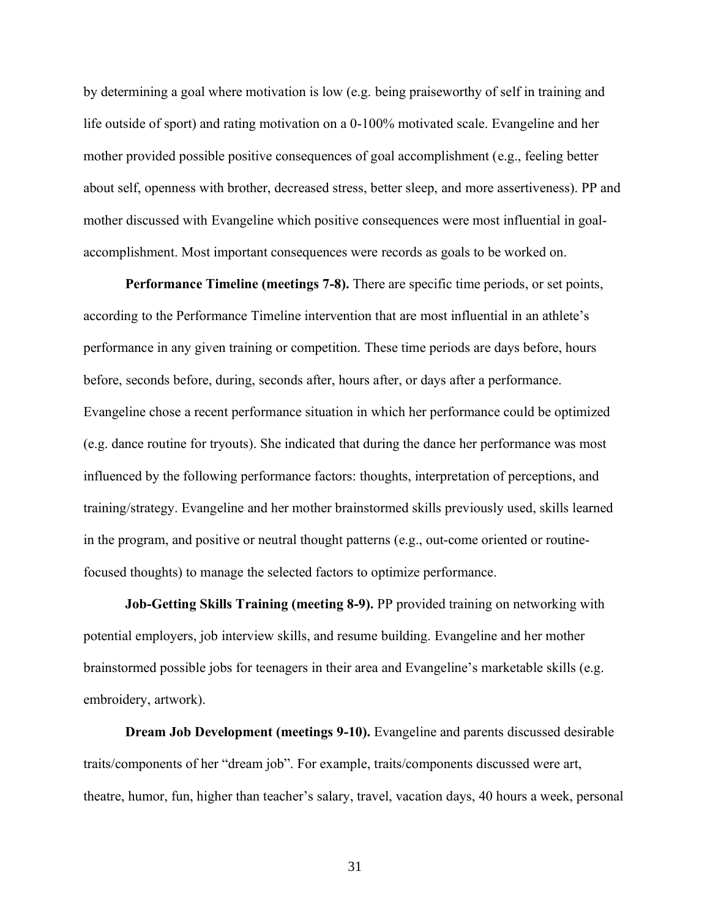by determining a goal where motivation is low (e.g. being praiseworthy of self in training and life outside of sport) and rating motivation on a 0-100% motivated scale. Evangeline and her mother provided possible positive consequences of goal accomplishment (e.g., feeling better about self, openness with brother, decreased stress, better sleep, and more assertiveness). PP and mother discussed with Evangeline which positive consequences were most influential in goalaccomplishment. Most important consequences were records as goals to be worked on.

**Performance Timeline (meetings 7-8).** There are specific time periods, or set points, according to the Performance Timeline intervention that are most influential in an athlete's performance in any given training or competition. These time periods are days before, hours before, seconds before, during, seconds after, hours after, or days after a performance. Evangeline chose a recent performance situation in which her performance could be optimized (e.g. dance routine for tryouts). She indicated that during the dance her performance was most influenced by the following performance factors: thoughts, interpretation of perceptions, and training/strategy. Evangeline and her mother brainstormed skills previously used, skills learned in the program, and positive or neutral thought patterns (e.g., out-come oriented or routinefocused thoughts) to manage the selected factors to optimize performance.

**Job-Getting Skills Training (meeting 8-9).** PP provided training on networking with potential employers, job interview skills, and resume building. Evangeline and her mother brainstormed possible jobs for teenagers in their area and Evangeline's marketable skills (e.g. embroidery, artwork).

**Dream Job Development (meetings 9-10).** Evangeline and parents discussed desirable traits/components of her "dream job". For example, traits/components discussed were art, theatre, humor, fun, higher than teacher's salary, travel, vacation days, 40 hours a week, personal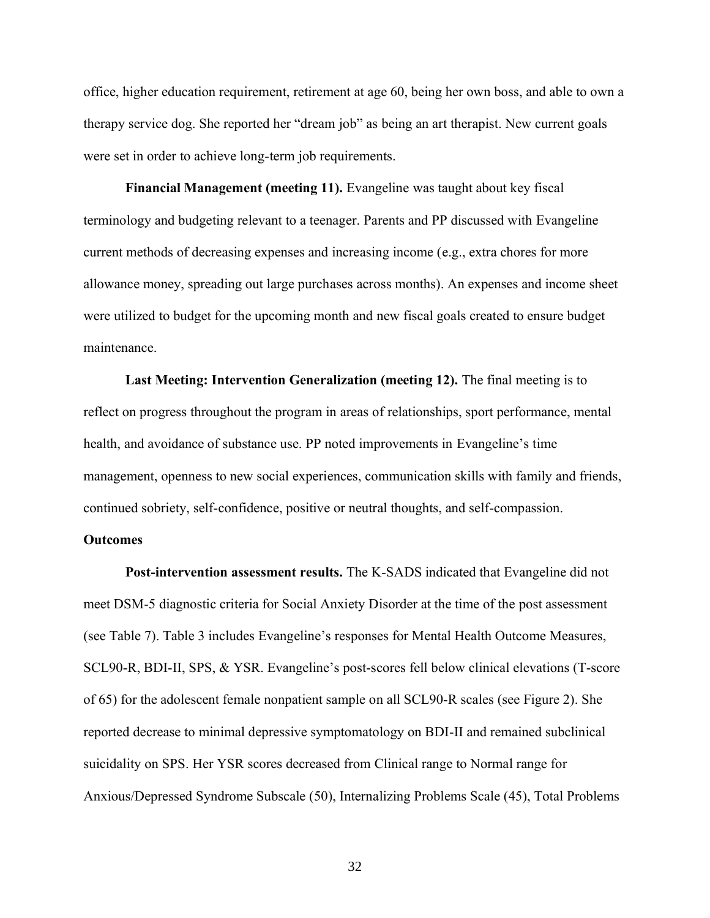office, higher education requirement, retirement at age 60, being her own boss, and able to own a therapy service dog. She reported her "dream job" as being an art therapist. New current goals were set in order to achieve long-term job requirements.

**Financial Management (meeting 11).** Evangeline was taught about key fiscal terminology and budgeting relevant to a teenager. Parents and PP discussed with Evangeline current methods of decreasing expenses and increasing income (e.g., extra chores for more allowance money, spreading out large purchases across months). An expenses and income sheet were utilized to budget for the upcoming month and new fiscal goals created to ensure budget maintenance.

**Last Meeting: Intervention Generalization (meeting 12).** The final meeting is to reflect on progress throughout the program in areas of relationships, sport performance, mental health, and avoidance of substance use. PP noted improvements in Evangeline's time management, openness to new social experiences, communication skills with family and friends, continued sobriety, self-confidence, positive or neutral thoughts, and self-compassion.

## **Outcomes**

**Post-intervention assessment results.** The K-SADS indicated that Evangeline did not meet DSM-5 diagnostic criteria for Social Anxiety Disorder at the time of the post assessment (see Table 7). Table 3 includes Evangeline's responses for Mental Health Outcome Measures, SCL90-R, BDI-II, SPS, & YSR. Evangeline's post-scores fell below clinical elevations (T-score of 65) for the adolescent female nonpatient sample on all SCL90-R scales (see Figure 2). She reported decrease to minimal depressive symptomatology on BDI-II and remained subclinical suicidality on SPS. Her YSR scores decreased from Clinical range to Normal range for Anxious/Depressed Syndrome Subscale (50), Internalizing Problems Scale (45), Total Problems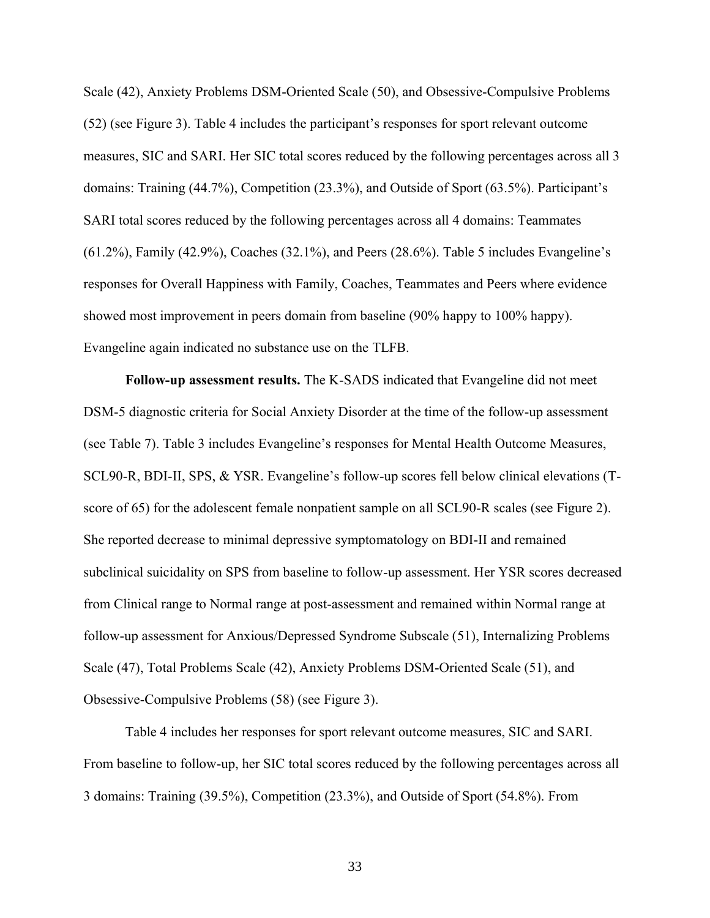Scale (42), Anxiety Problems DSM-Oriented Scale (50), and Obsessive-Compulsive Problems (52) (see Figure 3). Table 4 includes the participant's responses for sport relevant outcome measures, SIC and SARI. Her SIC total scores reduced by the following percentages across all 3 domains: Training (44.7%), Competition (23.3%), and Outside of Sport (63.5%). Participant's SARI total scores reduced by the following percentages across all 4 domains: Teammates (61.2%), Family (42.9%), Coaches (32.1%), and Peers (28.6%). Table 5 includes Evangeline's responses for Overall Happiness with Family, Coaches, Teammates and Peers where evidence showed most improvement in peers domain from baseline (90% happy to 100% happy). Evangeline again indicated no substance use on the TLFB.

**Follow-up assessment results.** The K-SADS indicated that Evangeline did not meet DSM-5 diagnostic criteria for Social Anxiety Disorder at the time of the follow-up assessment (see Table 7). Table 3 includes Evangeline's responses for Mental Health Outcome Measures, SCL90-R, BDI-II, SPS, & YSR. Evangeline's follow-up scores fell below clinical elevations (Tscore of 65) for the adolescent female nonpatient sample on all SCL90-R scales (see Figure 2). She reported decrease to minimal depressive symptomatology on BDI-II and remained subclinical suicidality on SPS from baseline to follow-up assessment. Her YSR scores decreased from Clinical range to Normal range at post-assessment and remained within Normal range at follow-up assessment for Anxious/Depressed Syndrome Subscale (51), Internalizing Problems Scale (47), Total Problems Scale (42), Anxiety Problems DSM-Oriented Scale (51), and Obsessive-Compulsive Problems (58) (see Figure 3).

Table 4 includes her responses for sport relevant outcome measures, SIC and SARI. From baseline to follow-up, her SIC total scores reduced by the following percentages across all 3 domains: Training (39.5%), Competition (23.3%), and Outside of Sport (54.8%). From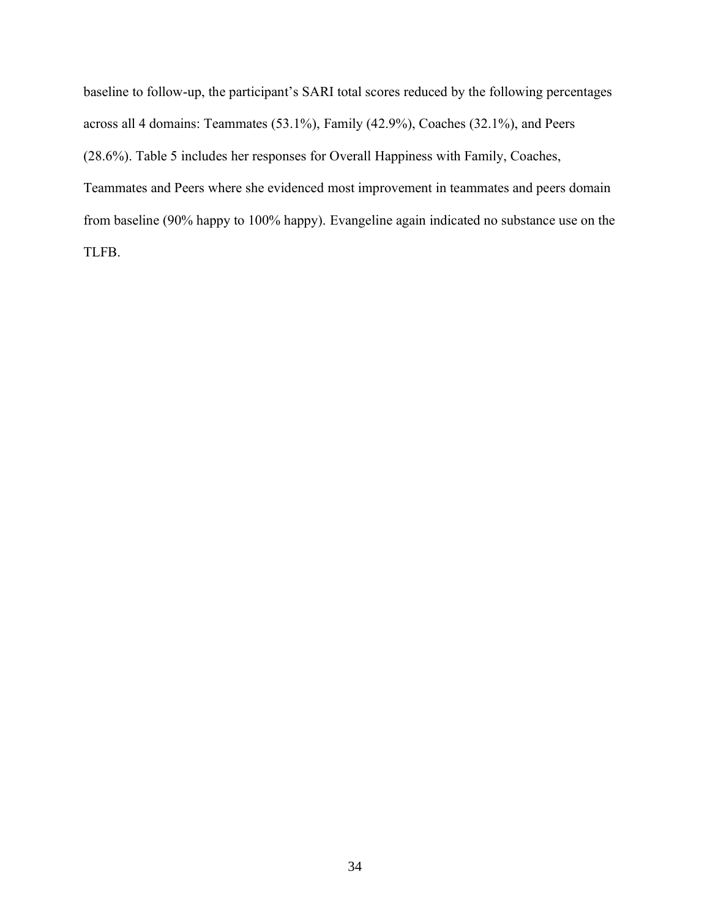baseline to follow-up, the participant's SARI total scores reduced by the following percentages across all 4 domains: Teammates (53.1%), Family (42.9%), Coaches (32.1%), and Peers (28.6%). Table 5 includes her responses for Overall Happiness with Family, Coaches, Teammates and Peers where she evidenced most improvement in teammates and peers domain from baseline (90% happy to 100% happy). Evangeline again indicated no substance use on the TLFB.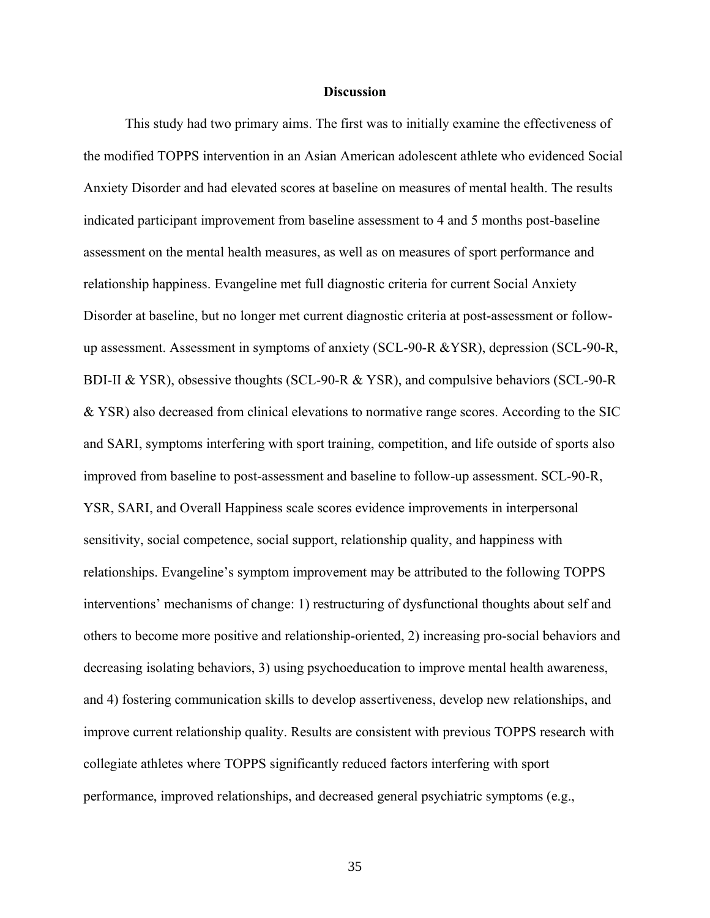### **Discussion**

This study had two primary aims. The first was to initially examine the effectiveness of the modified TOPPS intervention in an Asian American adolescent athlete who evidenced Social Anxiety Disorder and had elevated scores at baseline on measures of mental health. The results indicated participant improvement from baseline assessment to 4 and 5 months post-baseline assessment on the mental health measures, as well as on measures of sport performance and relationship happiness. Evangeline met full diagnostic criteria for current Social Anxiety Disorder at baseline, but no longer met current diagnostic criteria at post-assessment or followup assessment. Assessment in symptoms of anxiety (SCL-90-R &YSR), depression (SCL-90-R, BDI-II & YSR), obsessive thoughts (SCL-90-R & YSR), and compulsive behaviors (SCL-90-R & YSR) also decreased from clinical elevations to normative range scores. According to the SIC and SARI, symptoms interfering with sport training, competition, and life outside of sports also improved from baseline to post-assessment and baseline to follow-up assessment. SCL-90-R, YSR, SARI, and Overall Happiness scale scores evidence improvements in interpersonal sensitivity, social competence, social support, relationship quality, and happiness with relationships. Evangeline's symptom improvement may be attributed to the following TOPPS interventions' mechanisms of change: 1) restructuring of dysfunctional thoughts about self and others to become more positive and relationship-oriented, 2) increasing pro-social behaviors and decreasing isolating behaviors, 3) using psychoeducation to improve mental health awareness, and 4) fostering communication skills to develop assertiveness, develop new relationships, and improve current relationship quality. Results are consistent with previous TOPPS research with collegiate athletes where TOPPS significantly reduced factors interfering with sport performance, improved relationships, and decreased general psychiatric symptoms (e.g.,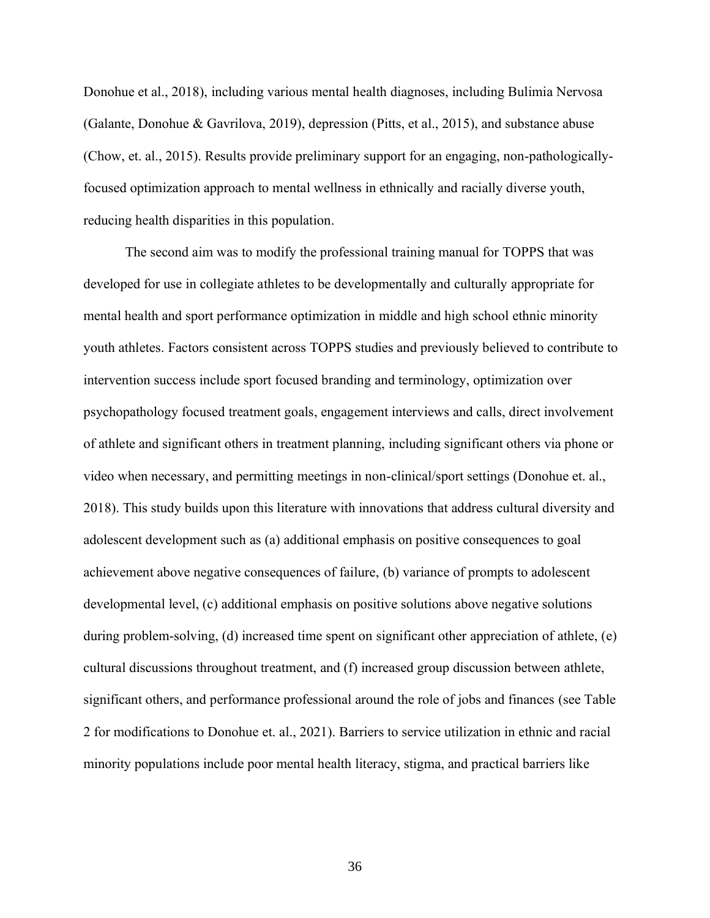Donohue et al., 2018), including various mental health diagnoses, including Bulimia Nervosa (Galante, Donohue & Gavrilova, 2019), depression (Pitts, et al., 2015), and substance abuse (Chow, et. al., 2015). Results provide preliminary support for an engaging, non-pathologicallyfocused optimization approach to mental wellness in ethnically and racially diverse youth, reducing health disparities in this population.

The second aim was to modify the professional training manual for TOPPS that was developed for use in collegiate athletes to be developmentally and culturally appropriate for mental health and sport performance optimization in middle and high school ethnic minority youth athletes. Factors consistent across TOPPS studies and previously believed to contribute to intervention success include sport focused branding and terminology, optimization over psychopathology focused treatment goals, engagement interviews and calls, direct involvement of athlete and significant others in treatment planning, including significant others via phone or video when necessary, and permitting meetings in non-clinical/sport settings (Donohue et. al., 2018). This study builds upon this literature with innovations that address cultural diversity and adolescent development such as (a) additional emphasis on positive consequences to goal achievement above negative consequences of failure, (b) variance of prompts to adolescent developmental level, (c) additional emphasis on positive solutions above negative solutions during problem-solving, (d) increased time spent on significant other appreciation of athlete, (e) cultural discussions throughout treatment, and (f) increased group discussion between athlete, significant others, and performance professional around the role of jobs and finances (see Table 2 for modifications to Donohue et. al., 2021). Barriers to service utilization in ethnic and racial minority populations include poor mental health literacy, stigma, and practical barriers like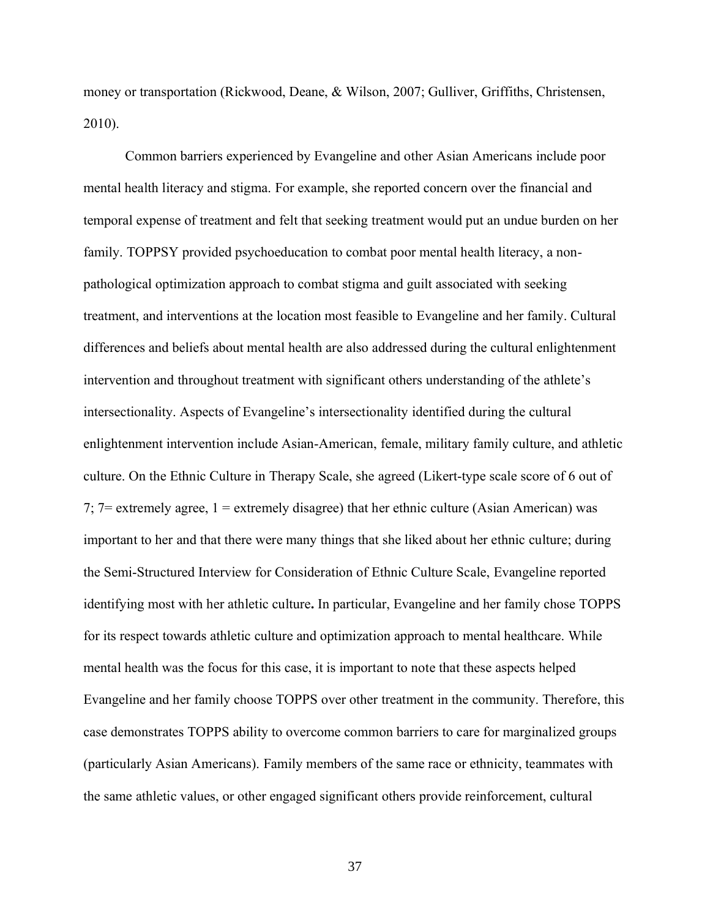money or transportation (Rickwood, Deane, & Wilson, 2007; Gulliver, Griffiths, Christensen, 2010).

Common barriers experienced by Evangeline and other Asian Americans include poor mental health literacy and stigma. For example, she reported concern over the financial and temporal expense of treatment and felt that seeking treatment would put an undue burden on her family. TOPPSY provided psychoeducation to combat poor mental health literacy, a nonpathological optimization approach to combat stigma and guilt associated with seeking treatment, and interventions at the location most feasible to Evangeline and her family. Cultural differences and beliefs about mental health are also addressed during the cultural enlightenment intervention and throughout treatment with significant others understanding of the athlete's intersectionality. Aspects of Evangeline's intersectionality identified during the cultural enlightenment intervention include Asian-American, female, military family culture, and athletic culture. On the Ethnic Culture in Therapy Scale, she agreed (Likert-type scale score of 6 out of 7;  $7 =$  extremely agree,  $1 =$  extremely disagree) that her ethnic culture (Asian American) was important to her and that there were many things that she liked about her ethnic culture; during the Semi-Structured Interview for Consideration of Ethnic Culture Scale, Evangeline reported identifying most with her athletic culture**.** In particular, Evangeline and her family chose TOPPS for its respect towards athletic culture and optimization approach to mental healthcare. While mental health was the focus for this case, it is important to note that these aspects helped Evangeline and her family choose TOPPS over other treatment in the community. Therefore, this case demonstrates TOPPS ability to overcome common barriers to care for marginalized groups (particularly Asian Americans). Family members of the same race or ethnicity, teammates with the same athletic values, or other engaged significant others provide reinforcement, cultural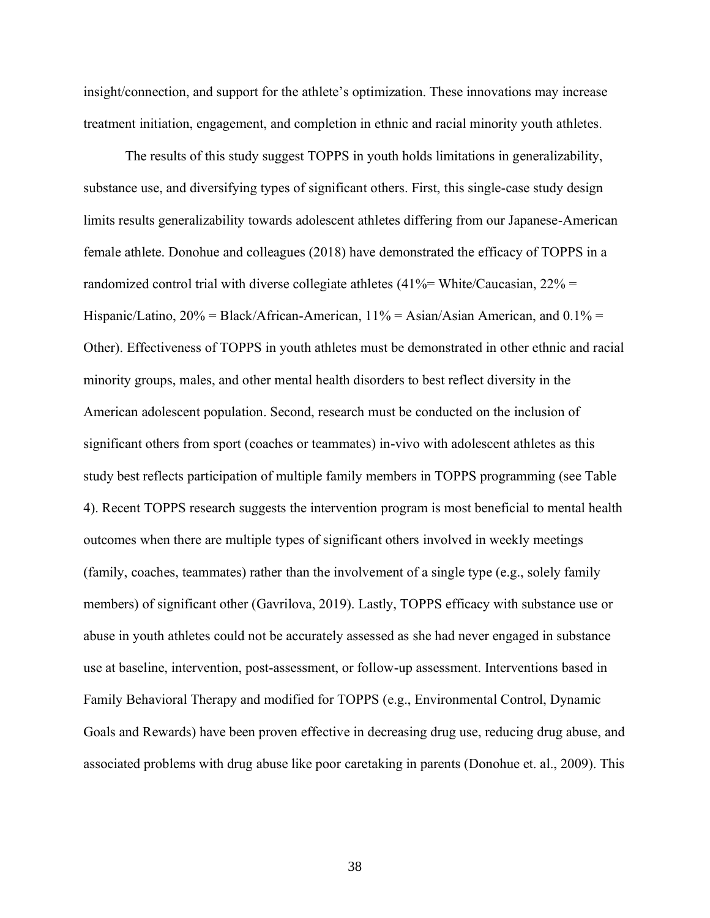insight/connection, and support for the athlete's optimization. These innovations may increase treatment initiation, engagement, and completion in ethnic and racial minority youth athletes.

The results of this study suggest TOPPS in youth holds limitations in generalizability, substance use, and diversifying types of significant others. First, this single-case study design limits results generalizability towards adolescent athletes differing from our Japanese-American female athlete. Donohue and colleagues (2018) have demonstrated the efficacy of TOPPS in a randomized control trial with diverse collegiate athletes  $(41\% = \text{White/Caucasian}, 22\% =$ Hispanic/Latino,  $20\%$  = Black/African-American,  $11\%$  = Asian/Asian American, and  $0.1\%$  = Other). Effectiveness of TOPPS in youth athletes must be demonstrated in other ethnic and racial minority groups, males, and other mental health disorders to best reflect diversity in the American adolescent population. Second, research must be conducted on the inclusion of significant others from sport (coaches or teammates) in-vivo with adolescent athletes as this study best reflects participation of multiple family members in TOPPS programming (see Table 4). Recent TOPPS research suggests the intervention program is most beneficial to mental health outcomes when there are multiple types of significant others involved in weekly meetings (family, coaches, teammates) rather than the involvement of a single type (e.g., solely family members) of significant other (Gavrilova, 2019). Lastly, TOPPS efficacy with substance use or abuse in youth athletes could not be accurately assessed as she had never engaged in substance use at baseline, intervention, post-assessment, or follow-up assessment. Interventions based in Family Behavioral Therapy and modified for TOPPS (e.g., Environmental Control, Dynamic Goals and Rewards) have been proven effective in decreasing drug use, reducing drug abuse, and associated problems with drug abuse like poor caretaking in parents (Donohue et. al., 2009). This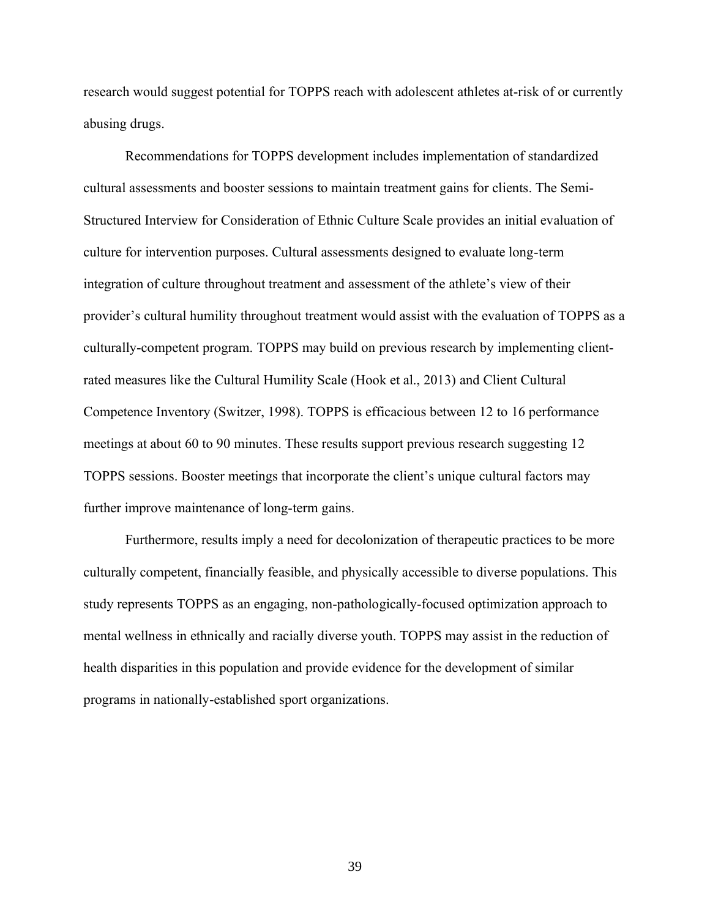research would suggest potential for TOPPS reach with adolescent athletes at-risk of or currently abusing drugs.

Recommendations for TOPPS development includes implementation of standardized cultural assessments and booster sessions to maintain treatment gains for clients. The Semi-Structured Interview for Consideration of Ethnic Culture Scale provides an initial evaluation of culture for intervention purposes. Cultural assessments designed to evaluate long-term integration of culture throughout treatment and assessment of the athlete's view of their provider's cultural humility throughout treatment would assist with the evaluation of TOPPS as a culturally-competent program. TOPPS may build on previous research by implementing clientrated measures like the Cultural Humility Scale (Hook et al., 2013) and Client Cultural Competence Inventory (Switzer, 1998). TOPPS is efficacious between 12 to 16 performance meetings at about 60 to 90 minutes. These results support previous research suggesting 12 TOPPS sessions. Booster meetings that incorporate the client's unique cultural factors may further improve maintenance of long-term gains.

Furthermore, results imply a need for decolonization of therapeutic practices to be more culturally competent, financially feasible, and physically accessible to diverse populations. This study represents TOPPS as an engaging, non-pathologically-focused optimization approach to mental wellness in ethnically and racially diverse youth. TOPPS may assist in the reduction of health disparities in this population and provide evidence for the development of similar programs in nationally-established sport organizations.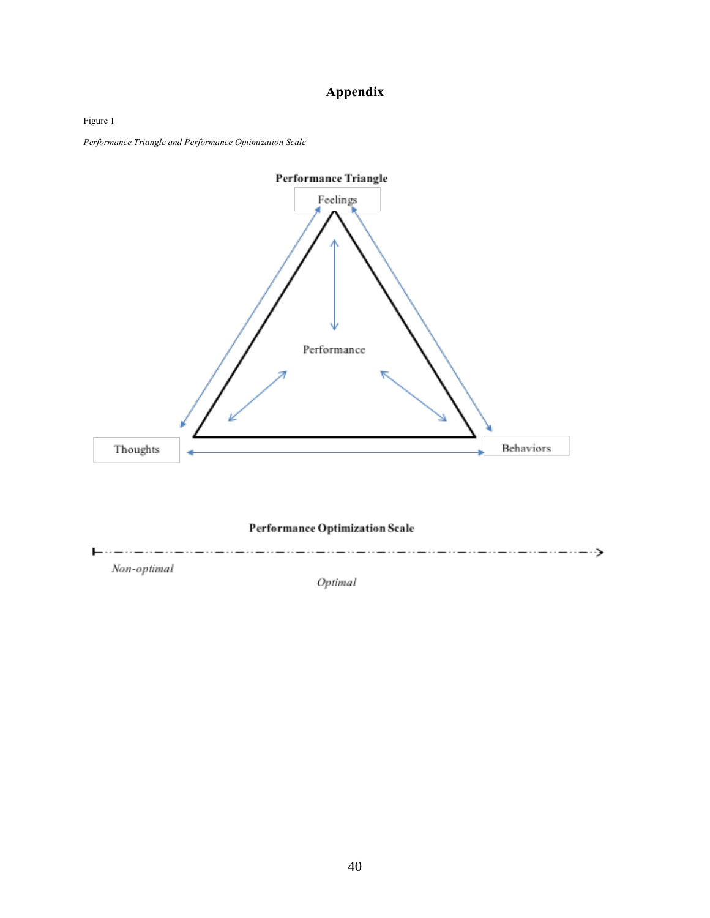# **Appendix**

Figure 1

*Performance Triangle and Performance Optimization Scale*



Optimal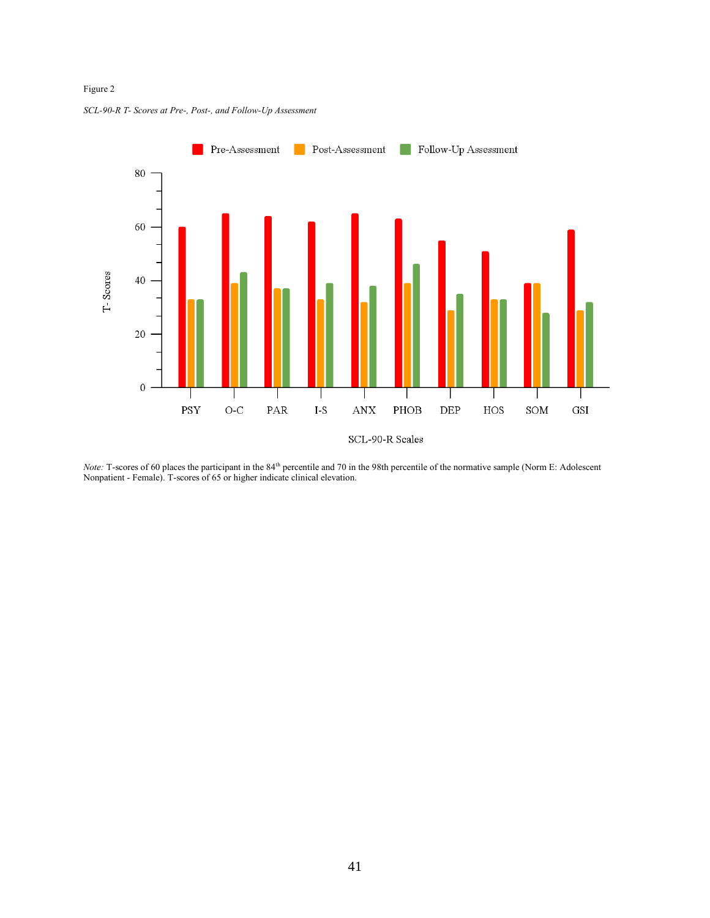## Figure 2



#### *SCL-90-R T- Scores at Pre-, Post-, and Follow-Up Assessment*

*Note:* T-scores of 60 places the participant in the 84<sup>th</sup> percentile and 70 in the 98th percentile of the normative sample (Norm E: Adolescent Nonpatient - Female). T-scores of 65 or higher indicate clinical elevation.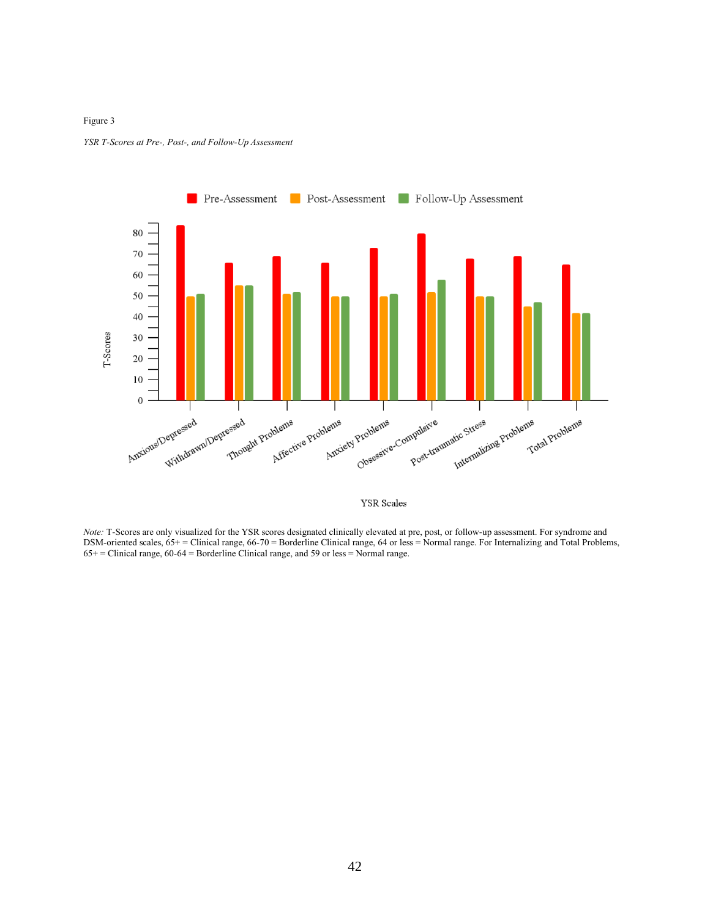#### Figure 3





**YSR** Scales

*Note:* T-Scores are only visualized for the YSR scores designated clinically elevated at pre, post, or follow-up assessment. For syndrome and DSM-oriented scales, 65+ = Clinical range, 66-70 = Borderline Clinical range, 64 or less = Normal range. For Internalizing and Total Problems, 65+ = Clinical range, 60-64 = Borderline Clinical range, and 59 or less = Normal range.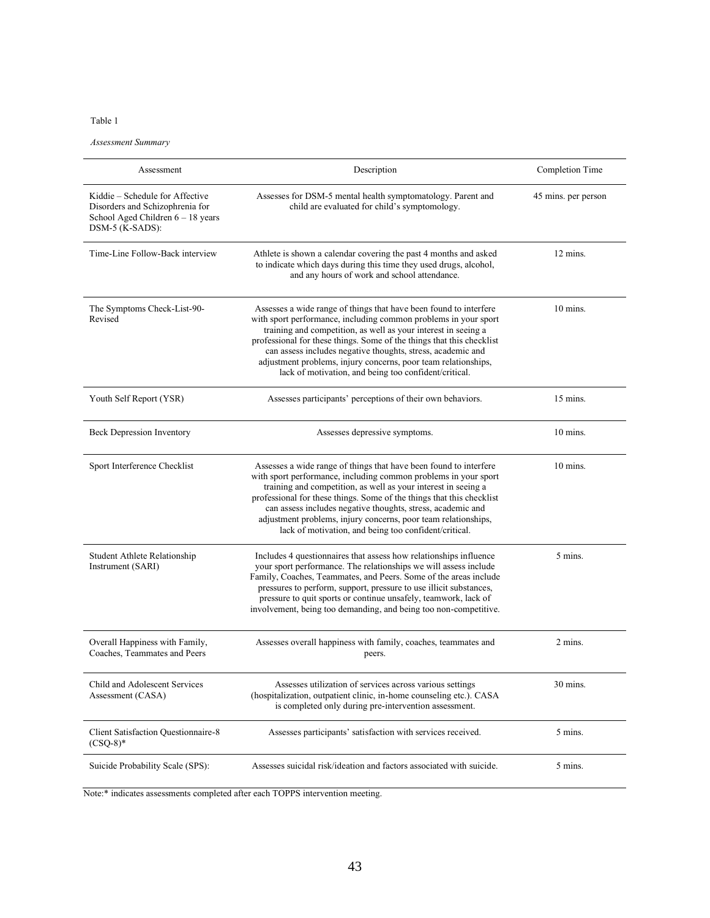*Assessment Summary* 

| Assessment                                                                                                                   | Description                                                                                                                                                                                                                                                                                                                                                                                                                                                               | Completion Time     |
|------------------------------------------------------------------------------------------------------------------------------|---------------------------------------------------------------------------------------------------------------------------------------------------------------------------------------------------------------------------------------------------------------------------------------------------------------------------------------------------------------------------------------------------------------------------------------------------------------------------|---------------------|
| Kiddie – Schedule for Affective<br>Disorders and Schizophrenia for<br>School Aged Children $6 - 18$ years<br>DSM-5 (K-SADS): | Assesses for DSM-5 mental health symptomatology. Parent and<br>child are evaluated for child's symptomology.                                                                                                                                                                                                                                                                                                                                                              | 45 mins. per person |
| Time-Line Follow-Back interview                                                                                              | Athlete is shown a calendar covering the past 4 months and asked<br>to indicate which days during this time they used drugs, alcohol,<br>and any hours of work and school attendance.                                                                                                                                                                                                                                                                                     | 12 mins.            |
| The Symptoms Check-List-90-<br>Revised                                                                                       | Assesses a wide range of things that have been found to interfere<br>with sport performance, including common problems in your sport<br>training and competition, as well as your interest in seeing a<br>professional for these things. Some of the things that this checklist<br>can assess includes negative thoughts, stress, academic and<br>adjustment problems, injury concerns, poor team relationships,<br>lack of motivation, and being too confident/critical. | $10 \text{ mins}$ . |
| Youth Self Report (YSR)                                                                                                      | Assesses participants' perceptions of their own behaviors.                                                                                                                                                                                                                                                                                                                                                                                                                | $15 \text{ mins}$ . |
| Beck Depression Inventory                                                                                                    | Assesses depressive symptoms.                                                                                                                                                                                                                                                                                                                                                                                                                                             | $10 \text{ mins}$ . |
| Sport Interference Checklist                                                                                                 | Assesses a wide range of things that have been found to interfere<br>with sport performance, including common problems in your sport<br>training and competition, as well as your interest in seeing a<br>professional for these things. Some of the things that this checklist<br>can assess includes negative thoughts, stress, academic and<br>adjustment problems, injury concerns, poor team relationships,<br>lack of motivation, and being too confident/critical. | $10 \text{ mins}$ . |
| Student Athlete Relationship<br>Instrument (SARI)                                                                            | Includes 4 questionnaires that assess how relationships influence<br>your sport performance. The relationships we will assess include<br>Family, Coaches, Teammates, and Peers. Some of the areas include<br>pressures to perform, support, pressure to use illicit substances,<br>pressure to quit sports or continue unsafely, teamwork, lack of<br>involvement, being too demanding, and being too non-competitive.                                                    | 5 mins.             |
| Overall Happiness with Family,<br>Coaches, Teammates and Peers                                                               | Assesses overall happiness with family, coaches, teammates and<br>peers.                                                                                                                                                                                                                                                                                                                                                                                                  | 2 mins.             |
| Child and Adolescent Services<br>Assessment (CASA)                                                                           | Assesses utilization of services across various settings<br>(hospitalization, outpatient clinic, in-home counseling etc.). CASA<br>is completed only during pre-intervention assessment.                                                                                                                                                                                                                                                                                  | 30 mins.            |
| Client Satisfaction Questionnaire-8<br>$(CSQ-8)*$                                                                            | Assesses participants' satisfaction with services received.                                                                                                                                                                                                                                                                                                                                                                                                               | 5 mins.             |
| Suicide Probability Scale (SPS):                                                                                             | Assesses suicidal risk/ideation and factors associated with suicide.                                                                                                                                                                                                                                                                                                                                                                                                      | 5 mins.             |

Note:\* indicates assessments completed after each TOPPS intervention meeting.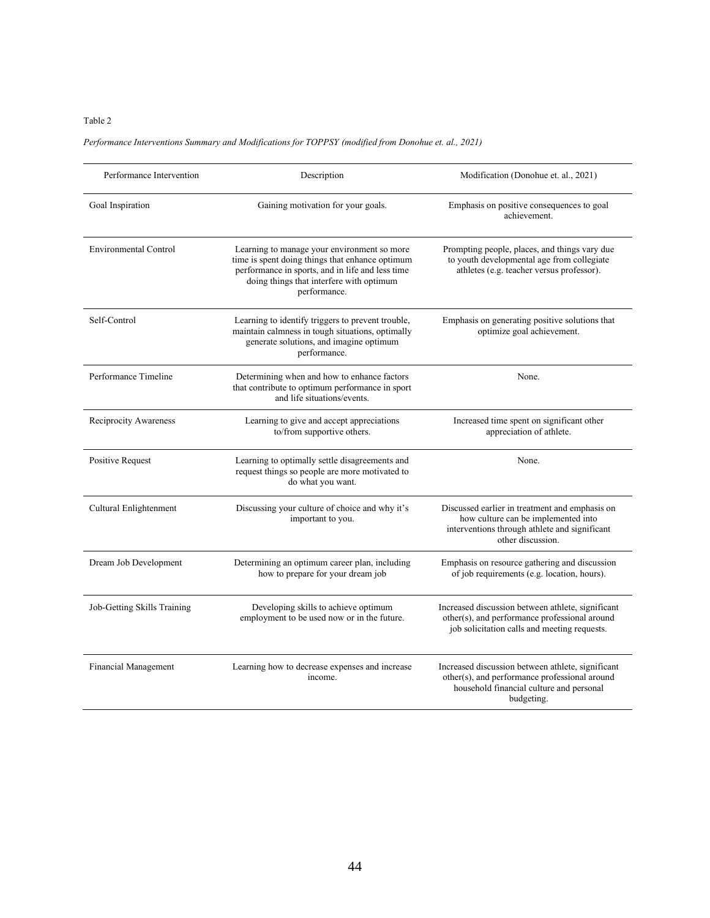## *Performance Interventions Summary and Modifications for TOPPSY (modified from Donohue et. al., 2021)*

| Performance Intervention     | Description                                                                                                                                                                                                    | Modification (Donohue et. al., 2021)                                                                                                                         |
|------------------------------|----------------------------------------------------------------------------------------------------------------------------------------------------------------------------------------------------------------|--------------------------------------------------------------------------------------------------------------------------------------------------------------|
| Goal Inspiration             | Gaining motivation for your goals.                                                                                                                                                                             | Emphasis on positive consequences to goal<br>achievement.                                                                                                    |
| <b>Environmental Control</b> | Learning to manage your environment so more<br>time is spent doing things that enhance optimum<br>performance in sports, and in life and less time<br>doing things that interfere with optimum<br>performance. | Prompting people, places, and things vary due<br>to youth developmental age from collegiate<br>athletes (e.g. teacher versus professor).                     |
| Self-Control                 | Learning to identify triggers to prevent trouble,<br>maintain calmness in tough situations, optimally<br>generate solutions, and imagine optimum<br>performance.                                               | Emphasis on generating positive solutions that<br>optimize goal achievement.                                                                                 |
| Performance Timeline         | Determining when and how to enhance factors<br>that contribute to optimum performance in sport<br>and life situations/events.                                                                                  | None.                                                                                                                                                        |
| Reciprocity Awareness        | Learning to give and accept appreciations<br>to/from supportive others.                                                                                                                                        | Increased time spent on significant other<br>appreciation of athlete.                                                                                        |
| <b>Positive Request</b>      | Learning to optimally settle disagreements and<br>request things so people are more motivated to<br>do what you want.                                                                                          | None.                                                                                                                                                        |
| Cultural Enlightenment       | Discussing your culture of choice and why it's<br>important to you.                                                                                                                                            | Discussed earlier in treatment and emphasis on<br>how culture can be implemented into<br>interventions through athlete and significant<br>other discussion.  |
| Dream Job Development        | Determining an optimum career plan, including<br>how to prepare for your dream job                                                                                                                             | Emphasis on resource gathering and discussion<br>of job requirements (e.g. location, hours).                                                                 |
| Job-Getting Skills Training  | Developing skills to achieve optimum<br>employment to be used now or in the future.                                                                                                                            | Increased discussion between athlete, significant<br>other(s), and performance professional around<br>job solicitation calls and meeting requests.           |
| Financial Management         | Learning how to decrease expenses and increase<br>income.                                                                                                                                                      | Increased discussion between athlete, significant<br>other(s), and performance professional around<br>household financial culture and personal<br>budgeting. |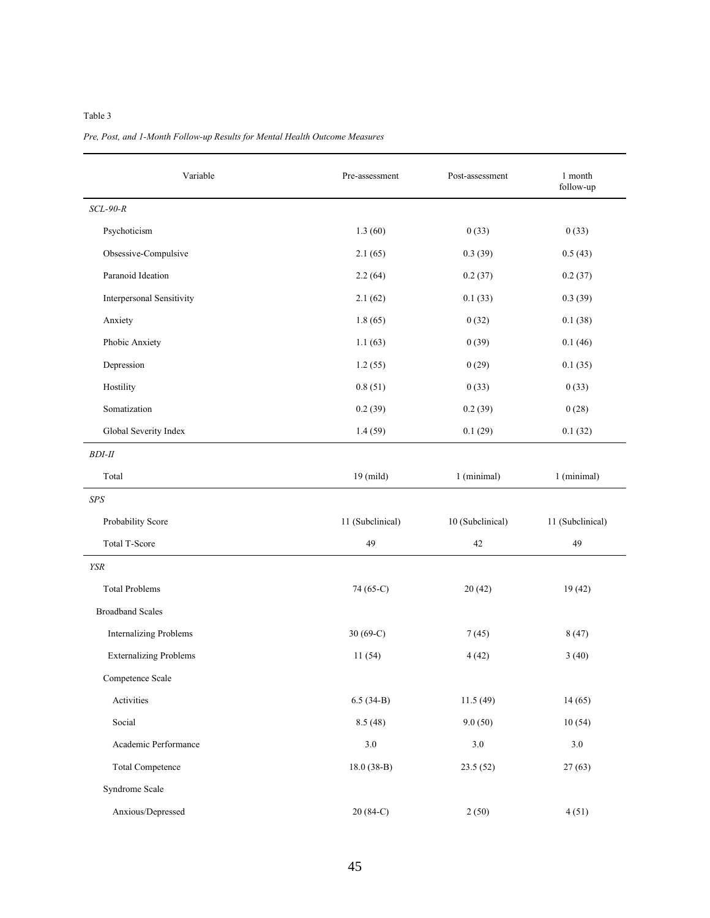| Variable                         | Pre-assessment   | Post-assessment  | 1 month<br>follow-up |
|----------------------------------|------------------|------------------|----------------------|
| $SCL-90-R$                       |                  |                  |                      |
| Psychoticism                     | 1.3(60)          | 0(33)            | 0(33)                |
| Obsessive-Compulsive             | 2.1(65)          | 0.3(39)          | 0.5(43)              |
| Paranoid Ideation                | 2.2(64)          | 0.2(37)          | 0.2(37)              |
| <b>Interpersonal Sensitivity</b> | 2.1(62)          | 0.1(33)          | 0.3(39)              |
| Anxiety                          | 1.8(65)          | 0(32)            | 0.1(38)              |
| Phobic Anxiety                   | 1.1(63)          | 0(39)            | 0.1(46)              |
| Depression                       | 1.2(55)          | 0(29)            | 0.1(35)              |
| Hostility                        | 0.8(51)          | 0(33)            | 0(33)                |
| Somatization                     | 0.2(39)          | 0.2(39)          | 0(28)                |
| Global Severity Index            | 1.4(59)          | 0.1(29)          | 0.1(32)              |
| <b>BDI-II</b>                    |                  |                  |                      |
| Total                            | $19$ (mild)      | 1 (minimal)      | 1 (minimal)          |
| $SPS$                            |                  |                  |                      |
| Probability Score                | 11 (Subclinical) | 10 (Subclinical) | 11 (Subclinical)     |
| Total T-Score                    | 49               | 42               | 49                   |
| <b>YSR</b>                       |                  |                  |                      |
| <b>Total Problems</b>            | 74 (65-C)        | 20(42)           | 19(42)               |
| <b>Broadband Scales</b>          |                  |                  |                      |
| <b>Internalizing Problems</b>    | 30 $(69-C)$      | 7(45)            | 8(47)                |
| <b>Externalizing Problems</b>    | 11(54)           | 4(42)            | 3(40)                |
| Competence Scale                 |                  |                  |                      |
| Activities                       | $6.5(34-B)$      | 11.5(49)         | 14(65)               |
| Social                           | 8.5(48)          | 9.0(50)          | 10(54)               |
| Academic Performance             | $3.0\,$          | $3.0\,$          | 3.0                  |
| <b>Total Competence</b>          | $18.0(38-B)$     | 23.5(52)         | 27(63)               |
| Syndrome Scale                   |                  |                  |                      |
| Anxious/Depressed                | 20 (84-C)        | 2(50)            | 4(51)                |

## *Pre, Post, and 1-Month Follow-up Results for Mental Health Outcome Measures*

### Table 3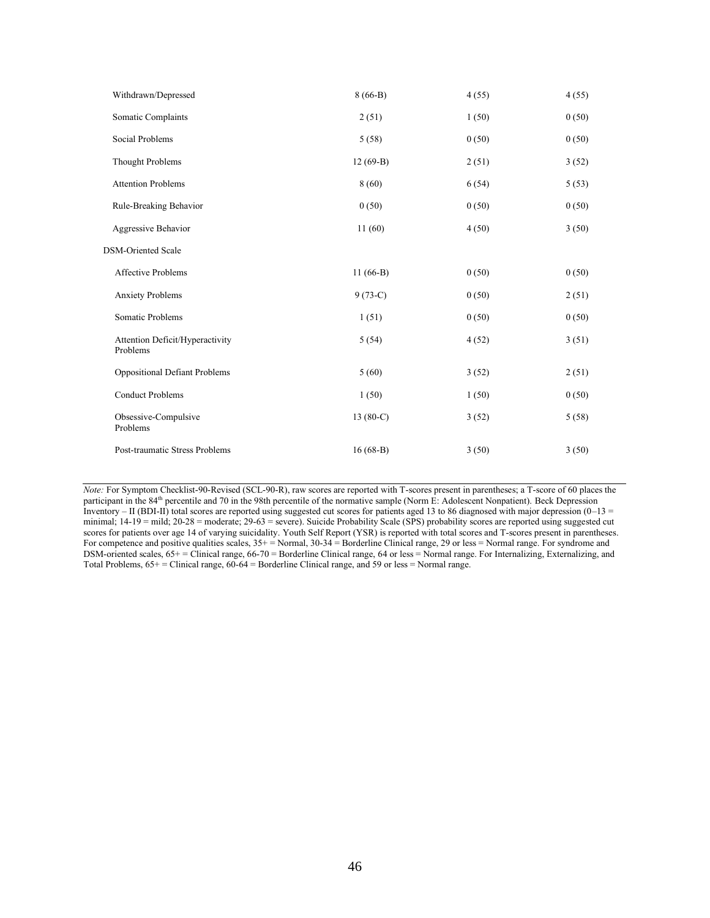| Withdrawn/Depressed                         | $8(66-B)$   | 4(55) | 4(55) |
|---------------------------------------------|-------------|-------|-------|
| Somatic Complaints                          | 2(51)       | 1(50) | 0(50) |
| Social Problems                             | 5(58)       | 0(50) | 0(50) |
| <b>Thought Problems</b>                     | $12(69-B)$  | 2(51) | 3(52) |
| <b>Attention Problems</b>                   | 8(60)       | 6(54) | 5(53) |
| Rule-Breaking Behavior                      | 0(50)       | 0(50) | 0(50) |
| Aggressive Behavior                         | 11(60)      | 4(50) | 3(50) |
| <b>DSM-Oriented Scale</b>                   |             |       |       |
| <b>Affective Problems</b>                   | $11(66-B)$  | 0(50) | 0(50) |
| <b>Anxiety Problems</b>                     | $9(73-C)$   | 0(50) | 2(51) |
| Somatic Problems                            | 1(51)       | 0(50) | 0(50) |
| Attention Deficit/Hyperactivity<br>Problems | 5(54)       | 4(52) | 3(51) |
| <b>Oppositional Defiant Problems</b>        | 5(60)       | 3(52) | 2(51) |
| <b>Conduct Problems</b>                     | 1(50)       | 1(50) | 0(50) |
| Obsessive-Compulsive<br>Problems            | 13 $(80-C)$ | 3(52) | 5(58) |
| Post-traumatic Stress Problems              | $16(68-B)$  | 3(50) | 3(50) |

*Note:* For Symptom Checklist-90-Revised (SCL-90-R), raw scores are reported with T-scores present in parentheses; a T-score of 60 places the participant in the 84<sup>th</sup> percentile and 70 in the 98th percentile of the normative sample (Norm E: Adolescent Nonpatient). Beck Depression Inventory – II (BDI-II) total scores are reported using suggested cut scores for patients aged 13 to 86 diagnosed with major depression  $(0-13)$ minimal;  $14-19$  = mild;  $20-28$  = moderate;  $29-63$  = severe). Suicide Probability Scale (SPS) probability scores are reported using suggested cut scores for patients over age 14 of varying suicidality. Youth Self Report (YSR) is reported with total scores and T-scores present in parentheses. For competence and positive qualities scales,  $35+=$  Normal,  $30-34=$  Borderline Clinical range, 29 or less = Normal range. For syndrome and DSM-oriented scales, 65+ = Clinical range, 66-70 = Borderline Clinical range, 64 or less = Normal range. For Internalizing, Externalizing, and Total Problems,  $65+$  = Clinical range,  $60-64$  = Borderline Clinical range, and 59 or less = Normal range.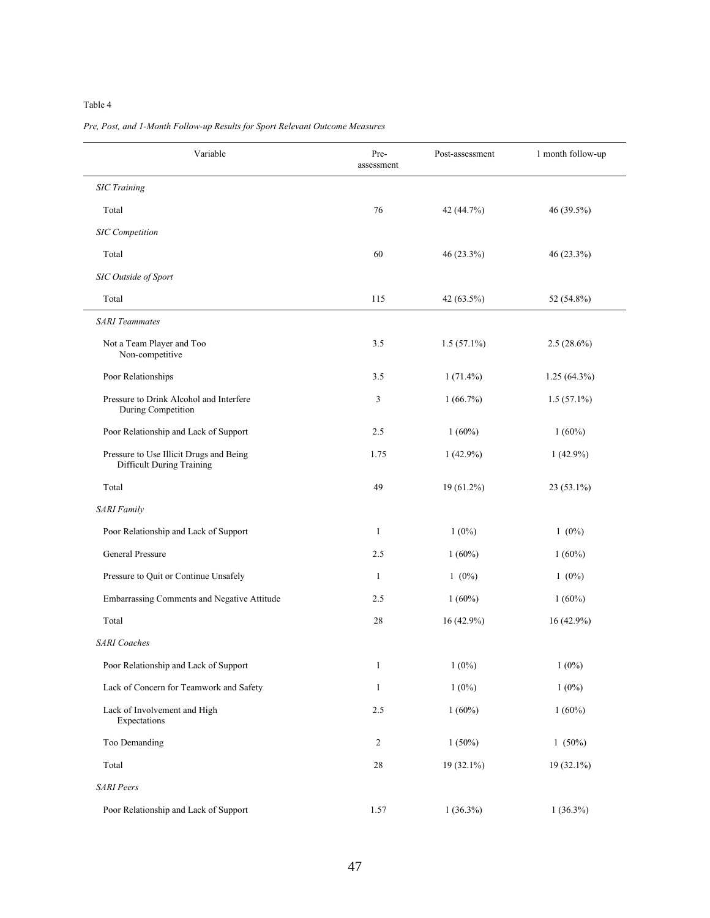| Variable                                                             | Pre-<br>assessment | Post-assessment | 1 month follow-up |
|----------------------------------------------------------------------|--------------------|-----------------|-------------------|
| <b>SIC</b> Training                                                  |                    |                 |                   |
| Total                                                                | 76                 | 42 (44.7%)      | 46 (39.5%)        |
| <b>SIC</b> Competition                                               |                    |                 |                   |
| Total                                                                | 60                 | 46 (23.3%)      | 46 (23.3%)        |
| SIC Outside of Sport                                                 |                    |                 |                   |
| Total                                                                | 115                | 42 (63.5%)      | 52 (54.8%)        |
| <b>SARI</b> Teammates                                                |                    |                 |                   |
| Not a Team Player and Too<br>Non-competitive                         | 3.5                | $1.5(57.1\%)$   | $2.5(28.6\%)$     |
| Poor Relationships                                                   | 3.5                | $1(71.4\%)$     | $1.25(64.3\%)$    |
| Pressure to Drink Alcohol and Interfere<br>During Competition        | 3                  | 1(66.7%)        | $1.5(57.1\%)$     |
| Poor Relationship and Lack of Support                                | 2.5                | $1(60\%)$       | $1(60\%)$         |
| Pressure to Use Illicit Drugs and Being<br>Difficult During Training | 1.75               | $1(42.9\%)$     | $1(42.9\%)$       |
| Total                                                                | 49                 | 19 (61.2%)      | 23 (53.1%)        |
| <b>SARI Family</b>                                                   |                    |                 |                   |
| Poor Relationship and Lack of Support                                | $\mathbf{1}$       | $1(0\%)$        | $1(0\%)$          |
| General Pressure                                                     | 2.5                | $1(60\%)$       | $1(60\%)$         |
| Pressure to Quit or Continue Unsafely                                | $\mathbf{1}$       | $1(0\%)$        | $1(0\%)$          |
| Embarrassing Comments and Negative Attitude                          | 2.5                | $1(60\%)$       | $1(60\%)$         |
| Total                                                                | 28                 | 16 (42.9%)      | 16 (42.9%)        |
| <b>SARI</b> Coaches                                                  |                    |                 |                   |
| Poor Relationship and Lack of Support                                | 1                  | $1(0\%)$        | $1(0\%)$          |
| Lack of Concern for Teamwork and Safety                              | $\mathbf{1}$       | $1(0\%)$        | $1(0\%)$          |
| Lack of Involvement and High<br>Expectations                         | 2.5                | $1(60\%)$       | $1(60\%)$         |
| Too Demanding                                                        | $\sqrt{2}$         | $1(50\%)$       | $1(50\%)$         |
| Total                                                                | $28\,$             | 19 (32.1%)      | $19(32.1\%)$      |
| <b>SARI Peers</b>                                                    |                    |                 |                   |
| Poor Relationship and Lack of Support                                | 1.57               | $1(36.3\%)$     | $1(36.3\%)$       |

## *Pre, Post, and 1-Month Follow-up Results for Sport Relevant Outcome Measures*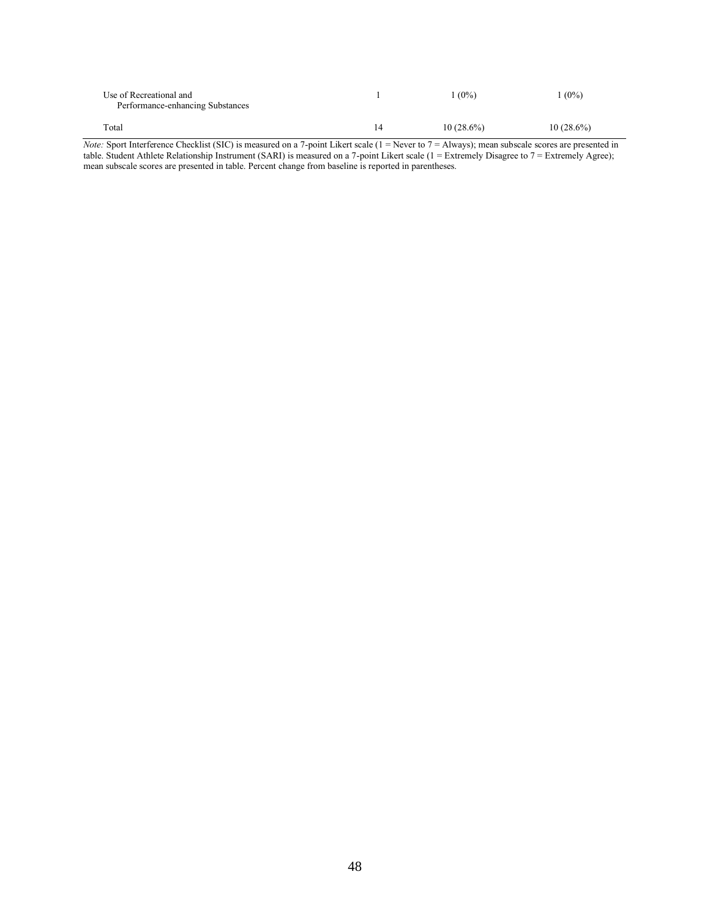| Use of Recreational and<br>Performance-enhancing Substances |    | $(0\%)$      | $1(0\%)$     |
|-------------------------------------------------------------|----|--------------|--------------|
| Total                                                       | 14 | $10(28.6\%)$ | $10(28.6\%)$ |

*Note:* Sport Interference Checklist (SIC) is measured on a 7-point Likert scale (1 = Never to 7 = Always); mean subscale scores are presented in table. Student Athlete Relationship Instrument (SARI) is measured on a 7-point Likert scale (1 = Extremely Disagree to 7 = Extremely Agree); mean subscale scores are presented in table. Percent change from baseline is reported in parentheses.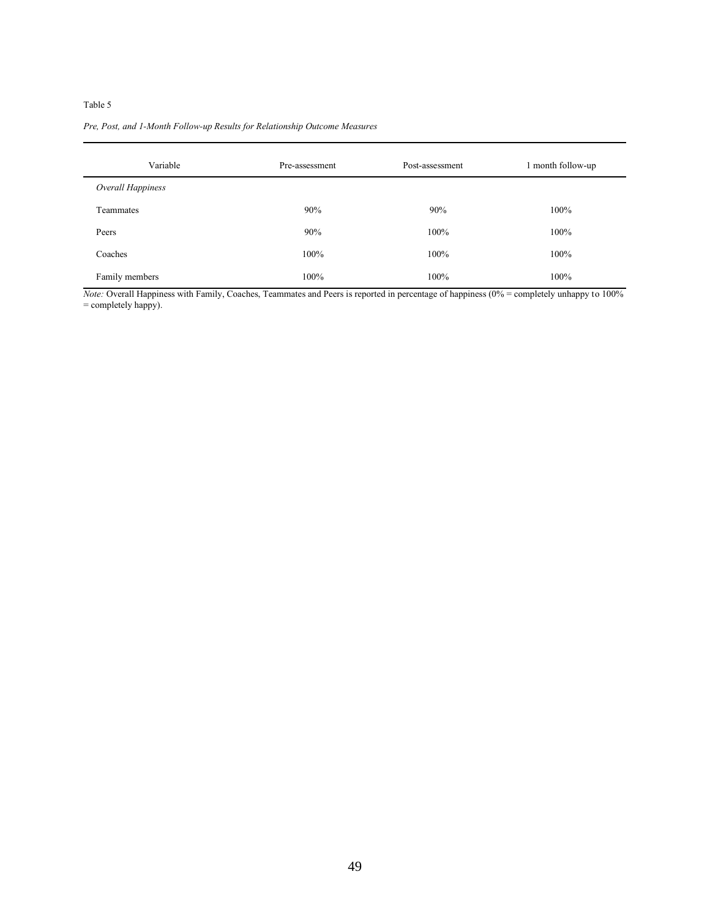#### *Pre, Post, and 1-Month Follow-up Results for Relationship Outcome Measures*

| Variable          | Pre-assessment | Post-assessment | 1 month follow-up |
|-------------------|----------------|-----------------|-------------------|
| Overall Happiness |                |                 |                   |
| Teammates         | 90%            | 90%             | 100%              |
| Peers             | 90%            | 100%            | 100%              |
| Coaches           | 100%           | 100%            | 100%              |
| Family members    | 100%           | 100%            | 100%              |

*Note:* Overall Happiness with Family, Coaches, Teammates and Peers is reported in percentage of happiness (0% = completely unhappy to 100% = completely happy).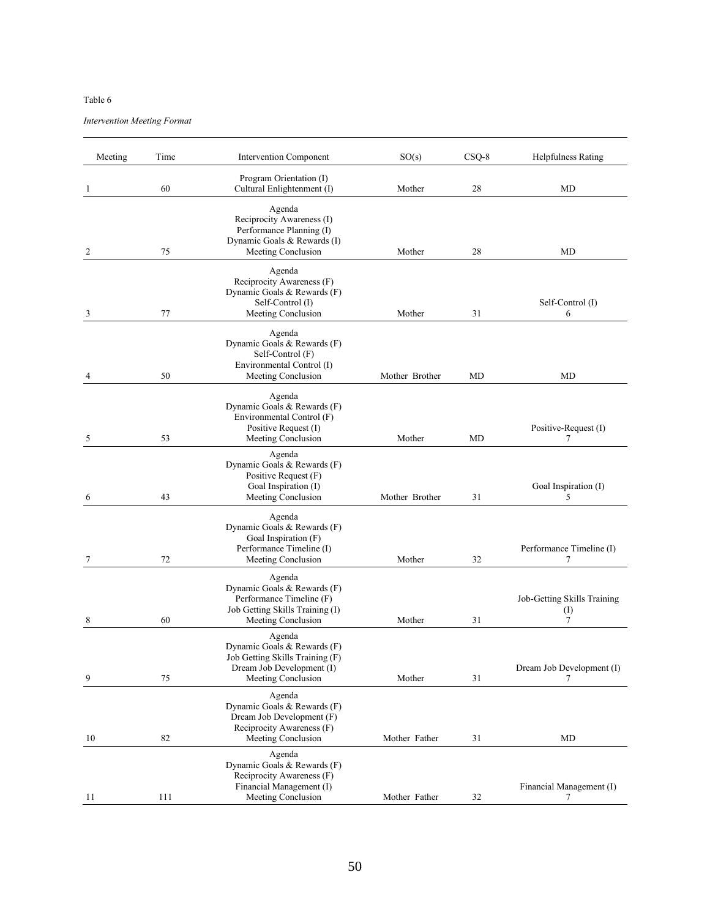*Intervention Meeting Format* 

| Meeting | Time | Intervention Component                                                                                                      | SO(s)          | $CSQ-8$ | <b>Helpfulness Rating</b>                     |
|---------|------|-----------------------------------------------------------------------------------------------------------------------------|----------------|---------|-----------------------------------------------|
| 1       | 60   | Program Orientation (I)<br>Cultural Enlightenment (I)                                                                       | Mother         | 28      | MD                                            |
| 2       | 75   | Agenda<br>Reciprocity Awareness (I)<br>Performance Planning (I)<br>Dynamic Goals & Rewards (I)<br>Meeting Conclusion        | Mother         | 28      | MD                                            |
| 3       | 77   | Agenda<br>Reciprocity Awareness (F)<br>Dynamic Goals & Rewards (F)<br>Self-Control (I)<br>Meeting Conclusion                | Mother         | 31      | Self-Control (I)<br>6                         |
| 4       | 50   | Agenda<br>Dynamic Goals & Rewards (F)<br>Self-Control (F)<br>Environmental Control (I)<br>Meeting Conclusion                | Mother Brother | MD      | MD                                            |
| 5       | 53   | Agenda<br>Dynamic Goals & Rewards (F)<br>Environmental Control (F)<br>Positive Request (I)<br>Meeting Conclusion            | Mother         | MD      | Positive-Request (I)<br>7                     |
| 6       | 43   | Agenda<br>Dynamic Goals & Rewards (F)<br>Positive Request (F)<br>Goal Inspiration (I)<br>Meeting Conclusion                 | Mother Brother | 31      | Goal Inspiration (I)<br>5                     |
| 7       | 72   | Agenda<br>Dynamic Goals & Rewards (F)<br>Goal Inspiration (F)<br>Performance Timeline (I)<br>Meeting Conclusion             | Mother         | 32      | Performance Timeline (I)<br>7                 |
| 8       | 60   | Agenda<br>Dynamic Goals & Rewards (F)<br>Performance Timeline (F)<br>Job Getting Skills Training (I)<br>Meeting Conclusion  | Mother         | 31      | Job-Getting Skills Training<br>$\rm (I)$<br>7 |
| 9       | 75   | Agenda<br>Dynamic Goals & Rewards (F)<br>Job Getting Skills Training (F)<br>Dream Job Development (I)<br>Meeting Conclusion | Mother         | 31      | Dream Job Development (I)<br>7                |
| 10      | 82   | Agenda<br>Dynamic Goals & Rewards (F)<br>Dream Job Development (F)<br>Reciprocity Awareness (F)<br>Meeting Conclusion       | Mother Father  | 31      | MD                                            |
| 11      | 111  | Agenda<br>Dynamic Goals & Rewards (F)<br>Reciprocity Awareness (F)<br>Financial Management (I)<br>Meeting Conclusion        | Mother Father  | 32      | Financial Management (I)<br>7                 |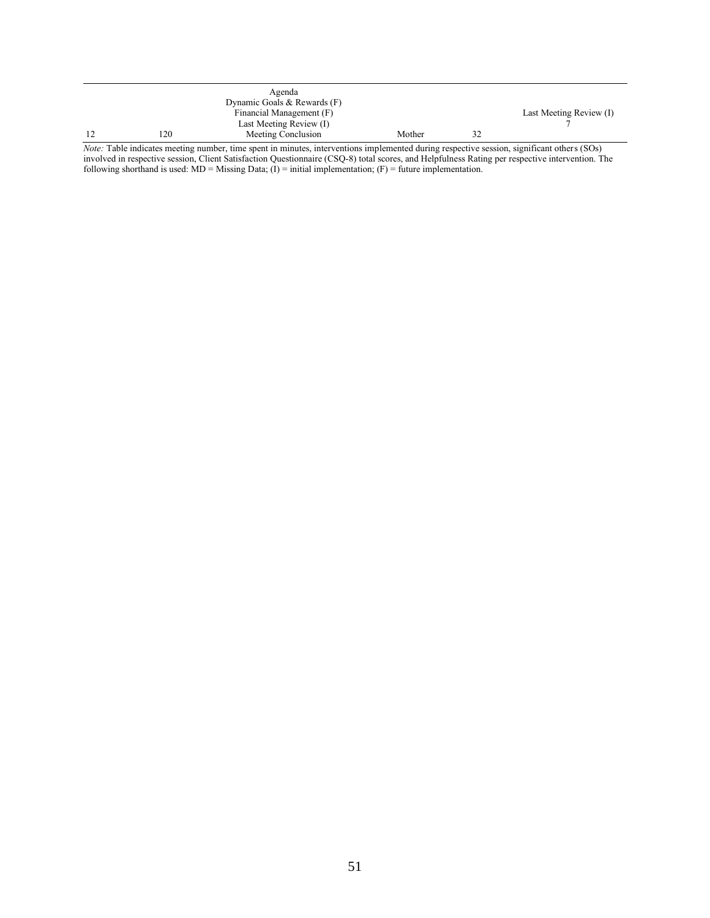|    | Agenda<br>Dynamic Goals & Rewards (F) |        |    |                         |
|----|---------------------------------------|--------|----|-------------------------|
|    | Financial Management (F)              |        |    | Last Meeting Review (I) |
|    | Last Meeting Review (I)               |        |    |                         |
| 20 | Meeting Conclusion                    | Mother | 32 |                         |

*Note:* Table indicates meeting number, time spent in minutes, interventions implemented during respective session, significant others (SOs) involved in respective session, Client Satisfaction Questionnaire (CSQ-8) total scores, and Helpfulness Rating per respective intervention. The following shorthand is used:  $MD =$  Missing Data; (I) = initial implementation; (F) = future implementation.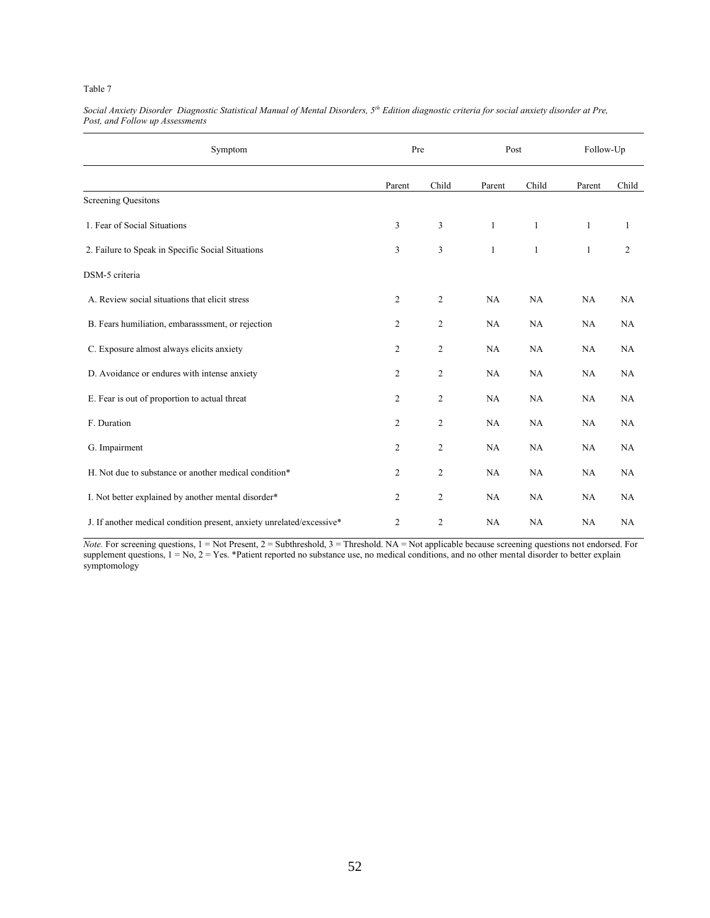| Symptom                                                               | Pre            |                | Post         |              | Follow-Up    |                |
|-----------------------------------------------------------------------|----------------|----------------|--------------|--------------|--------------|----------------|
|                                                                       | Parent         | Child          | Parent       | Child        | Parent       | Child          |
| <b>Screening Quesitons</b>                                            |                |                |              |              |              |                |
| 1. Fear of Social Situations                                          | 3              | 3              | $\mathbf{1}$ | $\mathbf{1}$ | $\mathbf{1}$ | 1              |
| 2. Failure to Speak in Specific Social Situations                     | 3              | 3              | $\mathbf{1}$ | $\mathbf{1}$ | 1            | $\overline{c}$ |
| DSM-5 criteria                                                        |                |                |              |              |              |                |
| A. Review social situations that elicit stress                        | $\overline{c}$ | $\overline{c}$ | NA           | NA           | NA           | NA             |
| B. Fears humiliation, embarasssment, or rejection                     | 2              | $\overline{c}$ | NA           | NA           | NA           | NA             |
| C. Exposure almost always elicits anxiety                             | $\overline{c}$ | $\overline{2}$ | NA           | NA           | NA           | NA             |
| D. Avoidance or endures with intense anxiety                          | 2              | 2              | NA           | NA           | NA           | NA             |
| E. Fear is out of proportion to actual threat                         | 2              | $\overline{c}$ | NA           | NA           | NA           | NA             |
| F. Duration                                                           | 2              | $\overline{c}$ | NA           | NA           | NA           | NA             |
| G. Impairment                                                         | 2              | 2              | NA           | <b>NA</b>    | NA           | NA             |
| H. Not due to substance or another medical condition*                 | $\overline{c}$ | $\mathbf{2}$   | NA           | NA           | NA           | NA             |
| I. Not better explained by another mental disorder*                   | 2              | $\overline{2}$ | NA           | NA           | NA           | NA             |
| J. If another medical condition present, anxiety unrelated/excessive* | 2              | 2              | NA           | NA           | NA           | NA             |

*Social Anxiety Disorder Diagnostic Statistical Manual of Mental Disorders, 5th Edition diagnostic criteria for social anxiety disorder at Pre, Post, and Follow up Assessments*

*Note.* For screening questions, 1 = Not Present, 2 = Subthreshold, 3 = Threshold. NA = Not applicable because screening questions not endorsed. For supplement questions,  $1 = No$ ,  $2 = Yes$ . \*Patient reported no substance use, no medical conditions, and no other mental disorder to better explain symptomology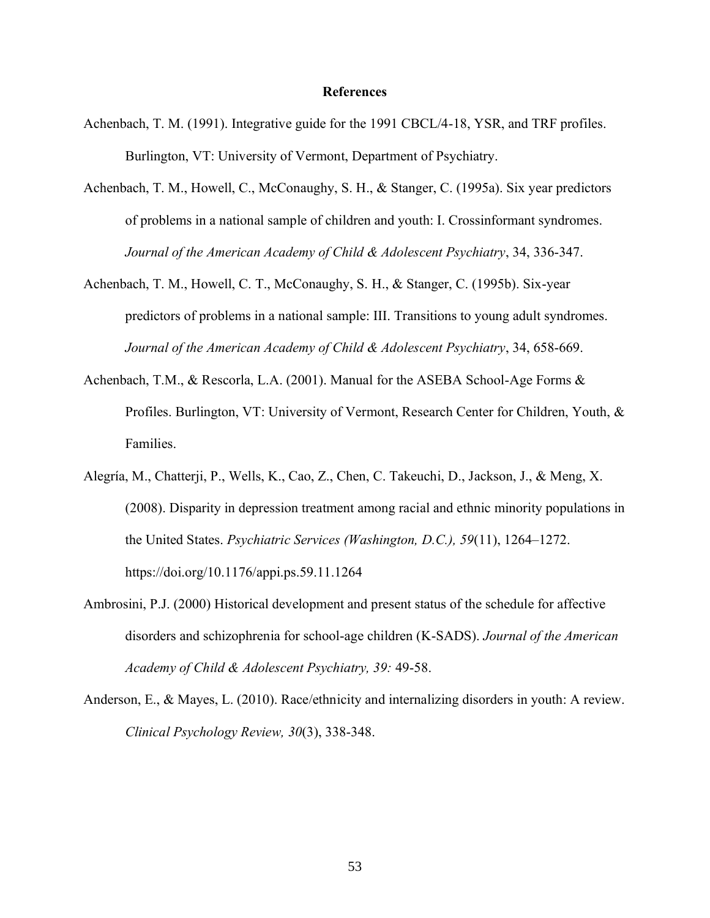### **References**

- Achenbach, T. M. (1991). Integrative guide for the 1991 CBCL/4-18, YSR, and TRF profiles. Burlington, VT: University of Vermont, Department of Psychiatry.
- Achenbach, T. M., Howell, C., McConaughy, S. H., & Stanger, C. (1995a). Six year predictors of problems in a national sample of children and youth: I. Crossinformant syndromes. *Journal of the American Academy of Child & Adolescent Psychiatry*, 34, 336-347.
- Achenbach, T. M., Howell, C. T., McConaughy, S. H., & Stanger, C. (1995b). Six-year predictors of problems in a national sample: III. Transitions to young adult syndromes. *Journal of the American Academy of Child & Adolescent Psychiatry*, 34, 658-669.
- Achenbach, T.M., & Rescorla, L.A. (2001). Manual for the ASEBA School-Age Forms & Profiles. Burlington, VT: University of Vermont, Research Center for Children, Youth, & Families.
- Alegría, M., Chatterji, P., Wells, K., Cao, Z., Chen, C. Takeuchi, D., Jackson, J., & Meng, X. (2008). Disparity in depression treatment among racial and ethnic minority populations in the United States. *Psychiatric Services (Washington, D.C.), 59*(11), 1264–1272. https://doi.org/10.1176/appi.ps.59.11.1264
- Ambrosini, P.J. (2000) Historical development and present status of the schedule for affective disorders and schizophrenia for school-age children (K-SADS). *Journal of the American Academy of Child & Adolescent Psychiatry, 39:* 49-58.
- Anderson, E., & Mayes, L. (2010). Race/ethnicity and internalizing disorders in youth: A review. *Clinical Psychology Review, 30*(3), 338-348.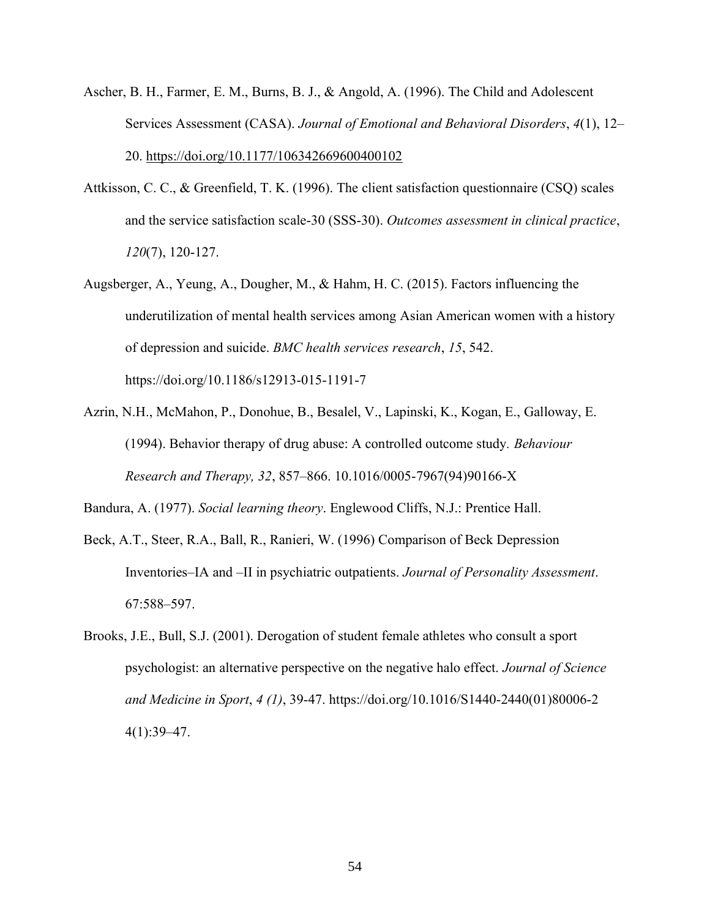- Ascher, B. H., Farmer, E. M., Burns, B. J., & Angold, A. (1996). The Child and Adolescent Services Assessment (CASA). *Journal of Emotional and Behavioral Disorders*, *4*(1), 12– 20. https://doi.org/10.1177/106342669600400102
- Attkisson, C. C., & Greenfield, T. K. (1996). The client satisfaction questionnaire (CSQ) scales and the service satisfaction scale-30 (SSS-30). *Outcomes assessment in clinical practice*, *120*(7), 120-127.
- Augsberger, A., Yeung, A., Dougher, M., & Hahm, H. C. (2015). Factors influencing the underutilization of mental health services among Asian American women with a history of depression and suicide. *BMC health services research*, *15*, 542. https://doi.org/10.1186/s12913-015-1191-7
- Azrin, N.H., McMahon, P., Donohue, B., Besalel, V., Lapinski, K., Kogan, E., Galloway, E. (1994). Behavior therapy of drug abuse: A controlled outcome study*. Behaviour Research and Therapy, 32*, 857–866. 10.1016/0005-7967(94)90166-X

Bandura, A. (1977). *Social learning theory*. Englewood Cliffs, N.J.: Prentice Hall.

- Beck, A.T., Steer, R.A., Ball, R., Ranieri, W. (1996) Comparison of Beck Depression Inventories–IA and –II in psychiatric outpatients. *Journal of Personality Assessment*. 67:588–597.
- Brooks, J.E., Bull, S.J. (2001). Derogation of student female athletes who consult a sport psychologist: an alternative perspective on the negative halo effect. *Journal of Science and Medicine in Sport*, *4 (1)*, 39-47. https://doi.org/10.1016/S1440-2440(01)80006-2 4(1):39–47.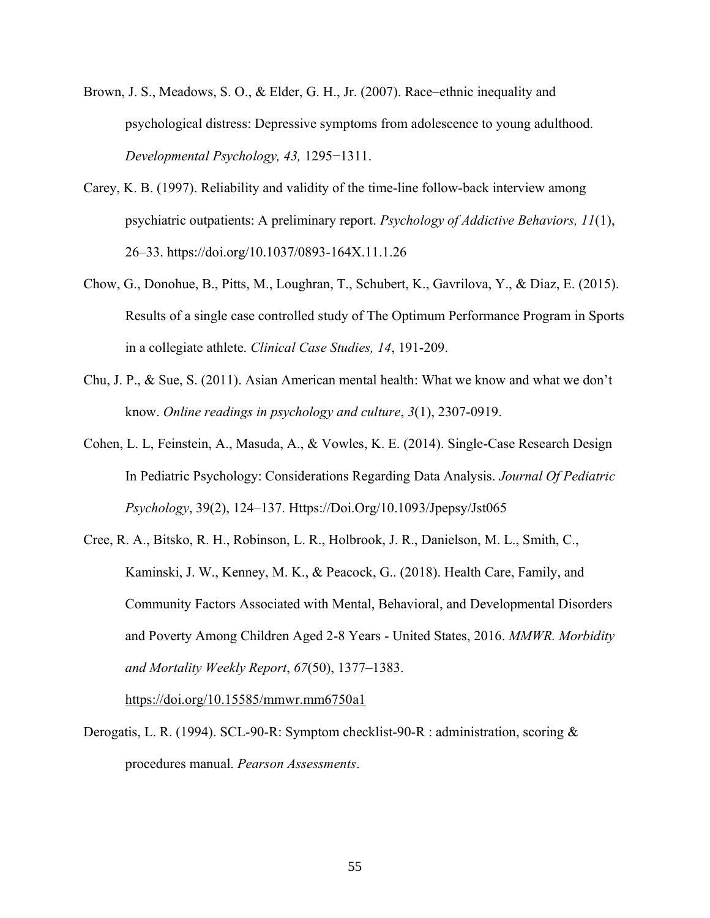- Brown, J. S., Meadows, S. O., & Elder, G. H., Jr. (2007). Race–ethnic inequality and psychological distress: Depressive symptoms from adolescence to young adulthood. *Developmental Psychology, 43,* 1295−1311.
- Carey, K. B. (1997). Reliability and validity of the time-line follow-back interview among psychiatric outpatients: A preliminary report. *Psychology of Addictive Behaviors, 11*(1), 26–33. https://doi.org/10.1037/0893-164X.11.1.26
- Chow, G., Donohue, B., Pitts, M., Loughran, T., Schubert, K., Gavrilova, Y., & Diaz, E. (2015). Results of a single case controlled study of The Optimum Performance Program in Sports in a collegiate athlete. *Clinical Case Studies, 14*, 191-209.
- Chu, J. P., & Sue, S. (2011). Asian American mental health: What we know and what we don't know. *Online readings in psychology and culture*, *3*(1), 2307-0919.
- Cohen, L. L, Feinstein, A., Masuda, A., & Vowles, K. E. (2014). Single-Case Research Design In Pediatric Psychology: Considerations Regarding Data Analysis. *Journal Of Pediatric Psychology*, 39(2), 124–137. Https://Doi.Org/10.1093/Jpepsy/Jst065
- Cree, R. A., Bitsko, R. H., Robinson, L. R., Holbrook, J. R., Danielson, M. L., Smith, C., Kaminski, J. W., Kenney, M. K., & Peacock, G.. (2018). Health Care, Family, and Community Factors Associated with Mental, Behavioral, and Developmental Disorders and Poverty Among Children Aged 2-8 Years - United States, 2016. *MMWR. Morbidity and Mortality Weekly Report*, *67*(50), 1377–1383.

https://doi.org/10.15585/mmwr.mm6750a1

Derogatis, L. R. (1994). SCL-90-R: Symptom checklist-90-R : administration, scoring & procedures manual. *Pearson Assessments*.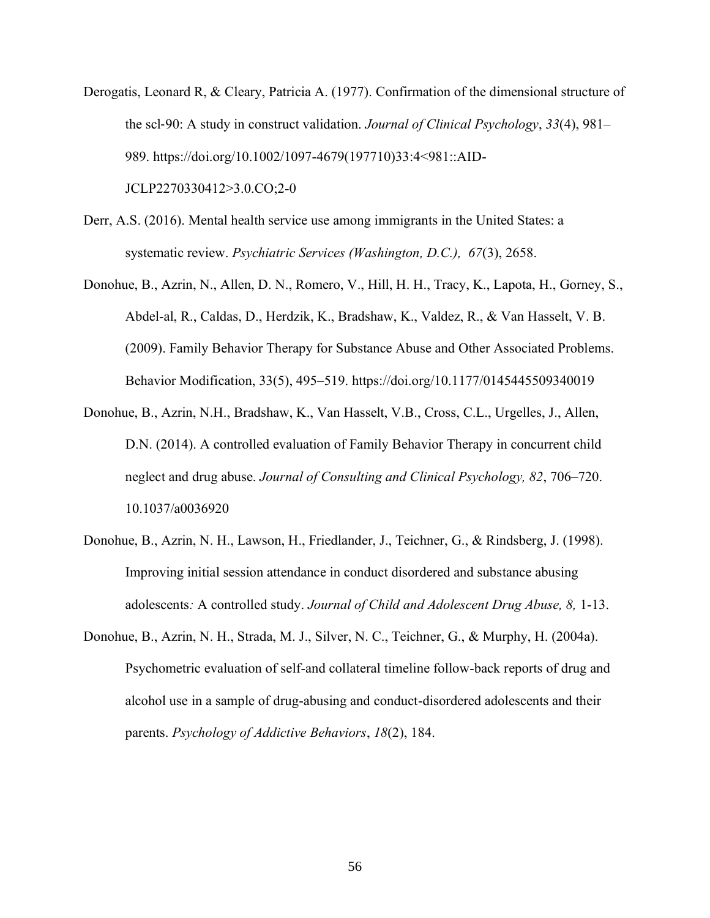- Derogatis, Leonard R, & Cleary, Patricia A. (1977). Confirmation of the dimensional structure of the scl‐90: A study in construct validation. *Journal of Clinical Psychology*, *33*(4), 981– 989. https://doi.org/10.1002/1097-4679(197710)33:4<981::AID-JCLP2270330412>3.0.CO;2-0
- Derr, A.S. (2016). Mental health service use among immigrants in the United States: a systematic review. *Psychiatric Services (Washington, D.C.), 67*(3), 2658.
- Donohue, B., Azrin, N., Allen, D. N., Romero, V., Hill, H. H., Tracy, K., Lapota, H., Gorney, S., Abdel-al, R., Caldas, D., Herdzik, K., Bradshaw, K., Valdez, R., & Van Hasselt, V. B. (2009). Family Behavior Therapy for Substance Abuse and Other Associated Problems. Behavior Modification, 33(5), 495–519. https://doi.org/10.1177/0145445509340019
- Donohue, B., Azrin, N.H., Bradshaw, K., Van Hasselt, V.B., Cross, C.L., Urgelles, J., Allen, D.N. (2014). A controlled evaluation of Family Behavior Therapy in concurrent child neglect and drug abuse. *Journal of Consulting and Clinical Psychology, 82*, 706–720. 10.1037/a0036920
- Donohue, B., Azrin, N. H., Lawson, H., Friedlander, J., Teichner, G., & Rindsberg, J. (1998). Improving initial session attendance in conduct disordered and substance abusing adolescents*:* A controlled study. *Journal of Child and Adolescent Drug Abuse, 8,* 1-13.
- Donohue, B., Azrin, N. H., Strada, M. J., Silver, N. C., Teichner, G., & Murphy, H. (2004a). Psychometric evaluation of self-and collateral timeline follow-back reports of drug and alcohol use in a sample of drug-abusing and conduct-disordered adolescents and their parents. *Psychology of Addictive Behaviors*, *18*(2), 184.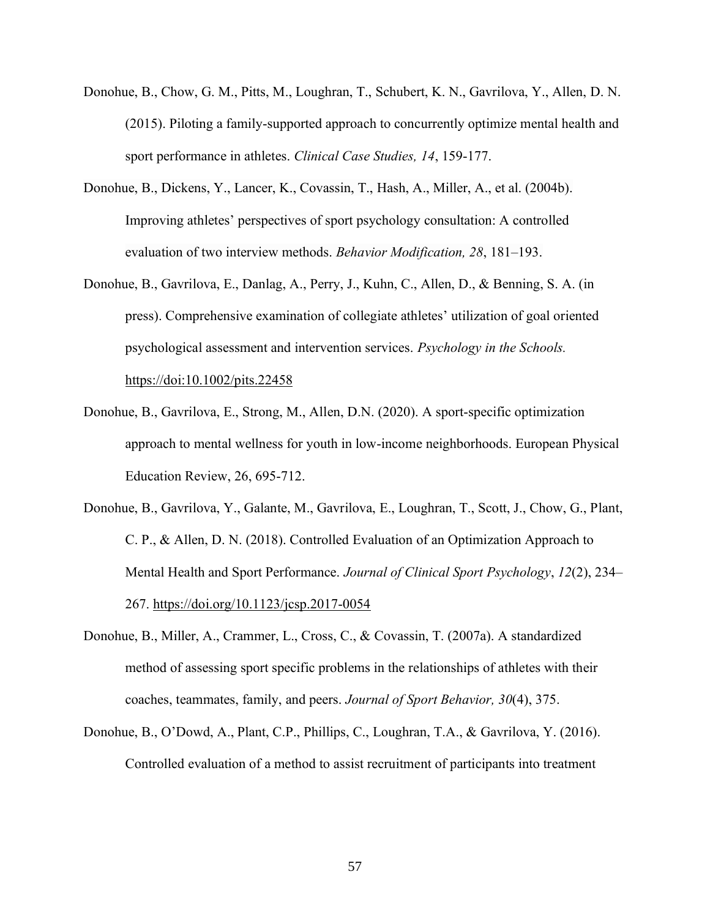- Donohue, B., Chow, G. M., Pitts, M., Loughran, T., Schubert, K. N., Gavrilova, Y., Allen, D. N. (2015). Piloting a family-supported approach to concurrently optimize mental health and sport performance in athletes. *Clinical Case Studies, 14*, 159-177.
- Donohue, B., Dickens, Y., Lancer, K., Covassin, T., Hash, A., Miller, A., et al. (2004b). Improving athletes' perspectives of sport psychology consultation: A controlled evaluation of two interview methods. *Behavior Modification, 28*, 181–193.
- Donohue, B., Gavrilova, E., Danlag, A., Perry, J., Kuhn, C., Allen, D., & Benning, S. A. (in press). Comprehensive examination of collegiate athletes' utilization of goal oriented psychological assessment and intervention services. *Psychology in the Schools.*  https://doi:10.1002/pits.22458
- Donohue, B., Gavrilova, E., Strong, M., Allen, D.N. (2020). A sport-specific optimization approach to mental wellness for youth in low-income neighborhoods. European Physical Education Review, 26, 695-712.
- Donohue, B., Gavrilova, Y., Galante, M., Gavrilova, E., Loughran, T., Scott, J., Chow, G., Plant, C. P., & Allen, D. N. (2018). Controlled Evaluation of an Optimization Approach to Mental Health and Sport Performance. *Journal of Clinical Sport Psychology*, *12*(2), 234– 267. https://doi.org/10.1123/jcsp.2017-0054
- Donohue, B., Miller, A., Crammer, L., Cross, C., & Covassin, T. (2007a). A standardized method of assessing sport specific problems in the relationships of athletes with their coaches, teammates, family, and peers. *Journal of Sport Behavior, 30*(4), 375.
- Donohue, B., O'Dowd, A., Plant, C.P., Phillips, C., Loughran, T.A., & Gavrilova, Y. (2016). Controlled evaluation of a method to assist recruitment of participants into treatment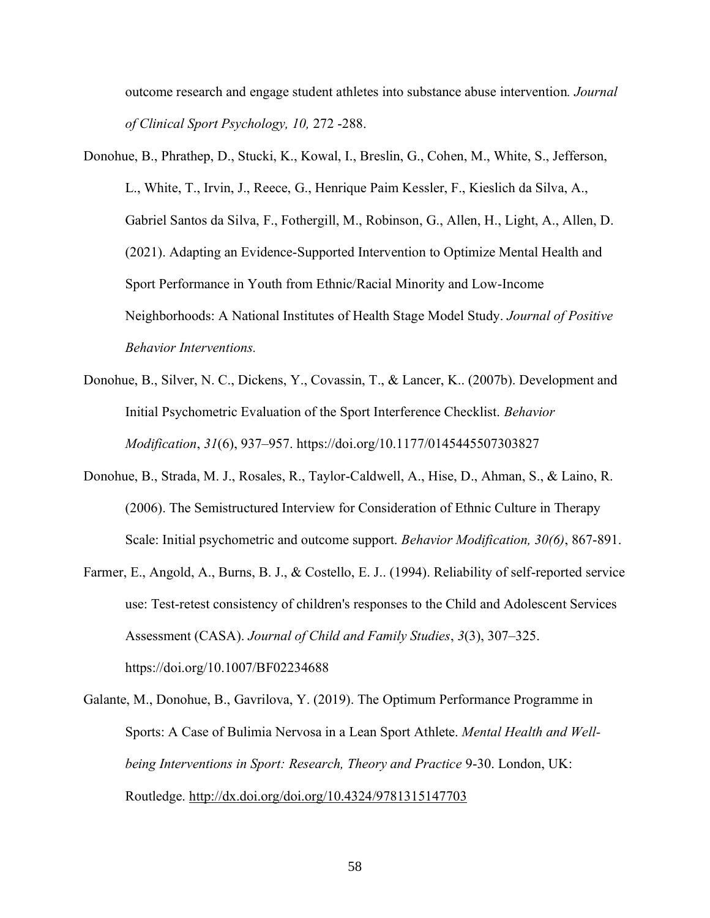outcome research and engage student athletes into substance abuse intervention*. Journal of Clinical Sport Psychology, 10,* 272 -288.

- Donohue, B., Phrathep, D., Stucki, K., Kowal, I., Breslin, G., Cohen, M., White, S., Jefferson, L., White, T., Irvin, J., Reece, G., Henrique Paim Kessler, F., Kieslich da Silva, A., Gabriel Santos da Silva, F., Fothergill, M., Robinson, G., Allen, H., Light, A., Allen, D. (2021). Adapting an Evidence-Supported Intervention to Optimize Mental Health and Sport Performance in Youth from Ethnic/Racial Minority and Low-Income Neighborhoods: A National Institutes of Health Stage Model Study. *Journal of Positive Behavior Interventions.*
- Donohue, B., Silver, N. C., Dickens, Y., Covassin, T., & Lancer, K.. (2007b). Development and Initial Psychometric Evaluation of the Sport Interference Checklist. *Behavior Modification*, *31*(6), 937–957. https://doi.org/10.1177/0145445507303827
- Donohue, B., Strada, M. J., Rosales, R., Taylor-Caldwell, A., Hise, D., Ahman, S., & Laino, R. (2006). The Semistructured Interview for Consideration of Ethnic Culture in Therapy Scale: Initial psychometric and outcome support. *Behavior Modification, 30(6)*, 867-891.
- Farmer, E., Angold, A., Burns, B. J., & Costello, E. J.. (1994). Reliability of self-reported service use: Test-retest consistency of children's responses to the Child and Adolescent Services Assessment (CASA). *Journal of Child and Family Studies*, *3*(3), 307–325. https://doi.org/10.1007/BF02234688
- Galante, M., Donohue, B., Gavrilova, Y. (2019). The Optimum Performance Programme in Sports: A Case of Bulimia Nervosa in a Lean Sport Athlete. *Mental Health and Wellbeing Interventions in Sport: Research, Theory and Practice* 9-30. London, UK: Routledge. http://dx.doi.org/doi.org/10.4324/9781315147703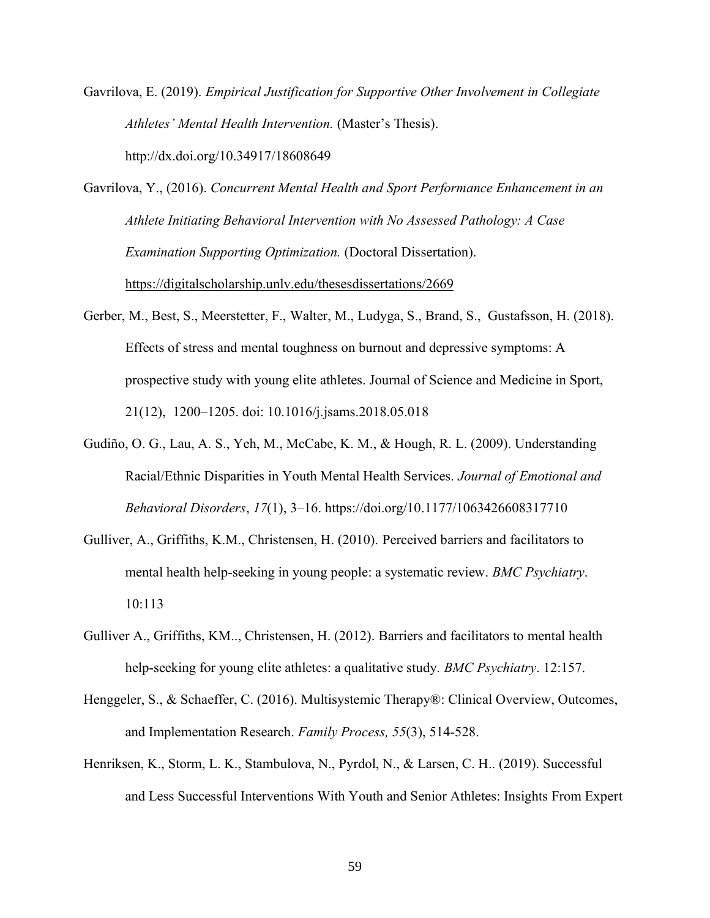Gavrilova, E. (2019). *Empirical Justification for Supportive Other Involvement in Collegiate Athletes' Mental Health Intervention.* (Master's Thesis). http://dx.doi.org/10.34917/18608649

Gavrilova, Y., (2016). *Concurrent Mental Health and Sport Performance Enhancement in an Athlete Initiating Behavioral Intervention with No Assessed Pathology: A Case Examination Supporting Optimization.* (Doctoral Dissertation). https://digitalscholarship.unlv.edu/thesesdissertations/2669

- Gerber, M., Best, S., Meerstetter, F., Walter, M., Ludyga, S., Brand, S., Gustafsson, H. (2018). Effects of stress and mental toughness on burnout and depressive symptoms: A prospective study with young elite athletes. Journal of Science and Medicine in Sport, 21(12), 1200–1205. doi: 10.1016/j.jsams.2018.05.018
- Gudiño, O. G., Lau, A. S., Yeh, M., McCabe, K. M., & Hough, R. L. (2009). Understanding Racial/Ethnic Disparities in Youth Mental Health Services. *Journal of Emotional and Behavioral Disorders*, *17*(1), 3–16. https://doi.org/10.1177/1063426608317710
- Gulliver, A., Griffiths, K.M., Christensen, H. (2010). Perceived barriers and facilitators to mental health help-seeking in young people: a systematic review. *BMC Psychiatry*. 10:113
- Gulliver A., Griffiths, KM.., Christensen, H. (2012). Barriers and facilitators to mental health help-seeking for young elite athletes: a qualitative study*. BMC Psychiatry*. 12:157.
- Henggeler, S., & Schaeffer, C. (2016). Multisystemic Therapy®: Clinical Overview, Outcomes, and Implementation Research. *Family Process, 55*(3), 514-528.
- Henriksen, K., Storm, L. K., Stambulova, N., Pyrdol, N., & Larsen, C. H.. (2019). Successful and Less Successful Interventions With Youth and Senior Athletes: Insights From Expert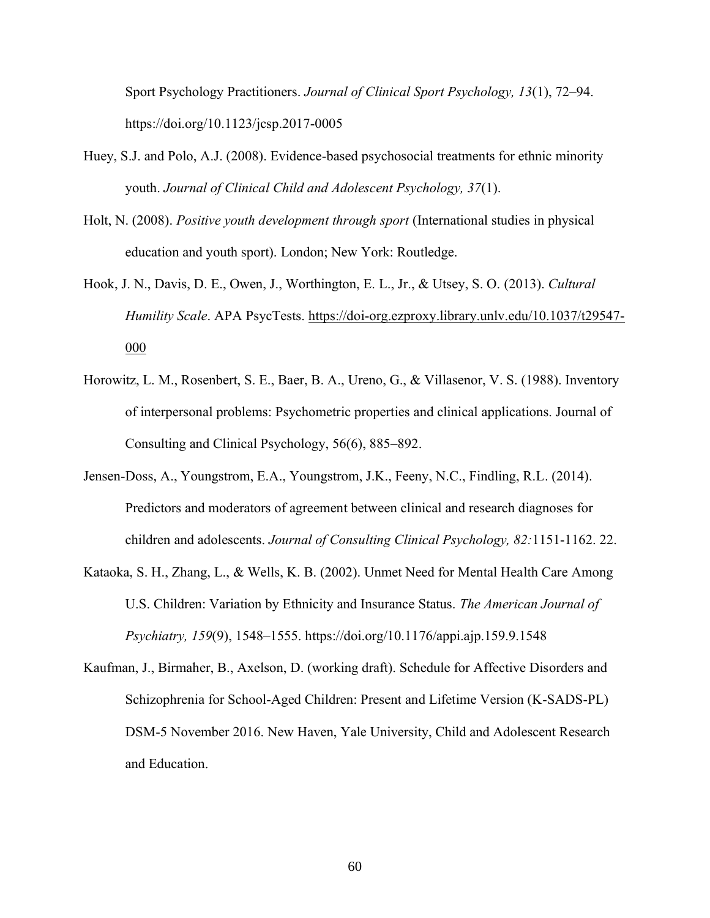Sport Psychology Practitioners. *Journal of Clinical Sport Psychology, 13*(1), 72–94. https://doi.org/10.1123/jcsp.2017-0005

- Huey, S.J. and Polo, A.J. (2008). Evidence-based psychosocial treatments for ethnic minority youth. *Journal of Clinical Child and Adolescent Psychology, 37*(1).
- Holt, N. (2008). *Positive youth development through sport* (International studies in physical education and youth sport). London; New York: Routledge.
- Hook, J. N., Davis, D. E., Owen, J., Worthington, E. L., Jr., & Utsey, S. O. (2013). *Cultural Humility Scale*. APA PsycTests. https://doi-org.ezproxy.library.unlv.edu/10.1037/t29547- 000
- Horowitz, L. M., Rosenbert, S. E., Baer, B. A., Ureno, G., & Villasenor, V. S. (1988). Inventory of interpersonal problems: Psychometric properties and clinical applications. Journal of Consulting and Clinical Psychology, 56(6), 885–892.
- Jensen-Doss, A., Youngstrom, E.A., Youngstrom, J.K., Feeny, N.C., Findling, R.L. (2014). Predictors and moderators of agreement between clinical and research diagnoses for children and adolescents. *Journal of Consulting Clinical Psychology, 82:*1151-1162. 22.
- Kataoka, S. H., Zhang, L., & Wells, K. B. (2002). Unmet Need for Mental Health Care Among U.S. Children: Variation by Ethnicity and Insurance Status. *The American Journal of Psychiatry, 159*(9), 1548–1555. https://doi.org/10.1176/appi.ajp.159.9.1548
- Kaufman, J., Birmaher, B., Axelson, D. (working draft). Schedule for Affective Disorders and Schizophrenia for School-Aged Children: Present and Lifetime Version (K-SADS-PL) DSM-5 November 2016. New Haven, Yale University, Child and Adolescent Research and Education.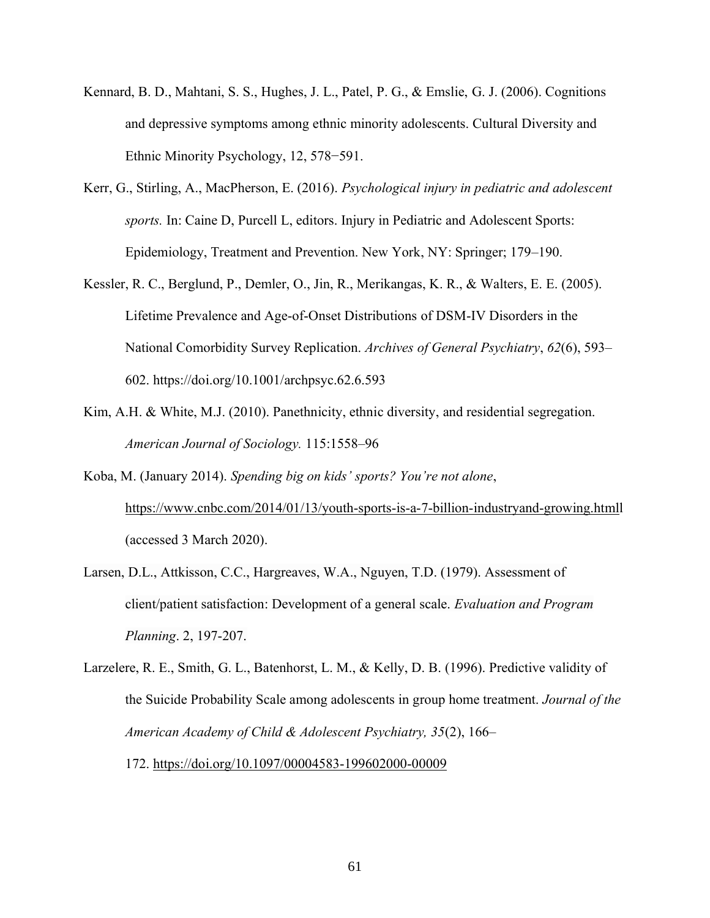- Kennard, B. D., Mahtani, S. S., Hughes, J. L., Patel, P. G., & Emslie, G. J. (2006). Cognitions and depressive symptoms among ethnic minority adolescents. Cultural Diversity and Ethnic Minority Psychology, 12, 578−591.
- Kerr, G., Stirling, A., MacPherson, E. (2016). *Psychological injury in pediatric and adolescent sports.* In: Caine D, Purcell L, editors. Injury in Pediatric and Adolescent Sports: Epidemiology, Treatment and Prevention. New York, NY: Springer; 179–190.
- Kessler, R. C., Berglund, P., Demler, O., Jin, R., Merikangas, K. R., & Walters, E. E. (2005). Lifetime Prevalence and Age-of-Onset Distributions of DSM-IV Disorders in the National Comorbidity Survey Replication. *Archives of General Psychiatry*, *62*(6), 593– 602. https://doi.org/10.1001/archpsyc.62.6.593
- Kim, A.H. & White, M.J. (2010). Panethnicity, ethnic diversity, and residential segregation. *American Journal of Sociology.* 115:1558–96
- Koba, M. (January 2014). *Spending big on kids' sports? You're not alone*, https://www.cnbc.com/2014/01/13/youth-sports-is-a-7-billion-industryand-growing.htmll (accessed 3 March 2020).
- Larsen, D.L., Attkisson, C.C., Hargreaves, W.A., Nguyen, T.D. (1979). Assessment of client/patient satisfaction: Development of a general scale. *Evaluation and Program Planning*. 2, 197-207.
- Larzelere, R. E., Smith, G. L., Batenhorst, L. M., & Kelly, D. B. (1996). Predictive validity of the Suicide Probability Scale among adolescents in group home treatment. *Journal of the American Academy of Child & Adolescent Psychiatry, 35*(2), 166– 172. https://doi.org/10.1097/00004583-199602000-00009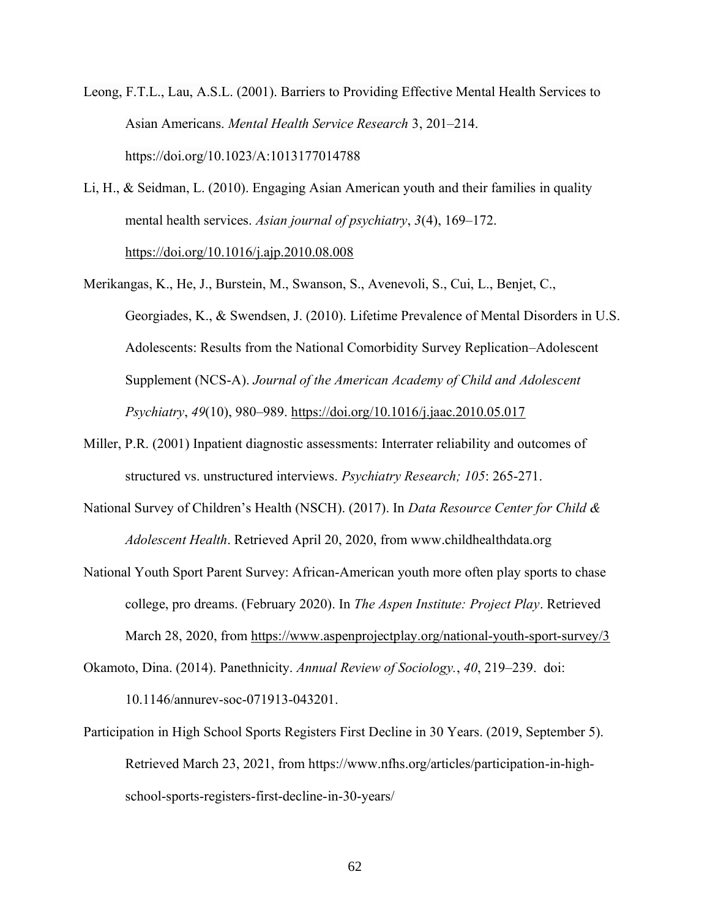Leong, F.T.L., Lau, A.S.L. (2001). Barriers to Providing Effective Mental Health Services to Asian Americans. *Mental Health Service Research* 3, 201–214. https://doi.org/10.1023/A:1013177014788

- Li, H., & Seidman, L. (2010). Engaging Asian American youth and their families in quality mental health services. *Asian journal of psychiatry*, *3*(4), 169–172. https://doi.org/10.1016/j.ajp.2010.08.008
- Merikangas, K., He, J., Burstein, M., Swanson, S., Avenevoli, S., Cui, L., Benjet, C., Georgiades, K., & Swendsen, J. (2010). Lifetime Prevalence of Mental Disorders in U.S. Adolescents: Results from the National Comorbidity Survey Replication–Adolescent Supplement (NCS-A). *Journal of the American Academy of Child and Adolescent Psychiatry*, *49*(10), 980–989. https://doi.org/10.1016/j.jaac.2010.05.017
- Miller, P.R. (2001) Inpatient diagnostic assessments: Interrater reliability and outcomes of structured vs. unstructured interviews. *Psychiatry Research; 105*: 265-271.
- National Survey of Children's Health (NSCH). (2017). In *Data Resource Center for Child & Adolescent Health*. Retrieved April 20, 2020, from www.childhealthdata.org
- National Youth Sport Parent Survey: African-American youth more often play sports to chase college, pro dreams. (February 2020). In *The Aspen Institute: Project Play*. Retrieved March 28, 2020, from https://www.aspenprojectplay.org/national-youth-sport-survey/3
- Okamoto, Dina. (2014). Panethnicity. *Annual Review of Sociology.*, *40*, 219–239. doi: 10.1146/annurev-soc-071913-043201.
- Participation in High School Sports Registers First Decline in 30 Years. (2019, September 5). Retrieved March 23, 2021, from https://www.nfhs.org/articles/participation-in-highschool-sports-registers-first-decline-in-30-years/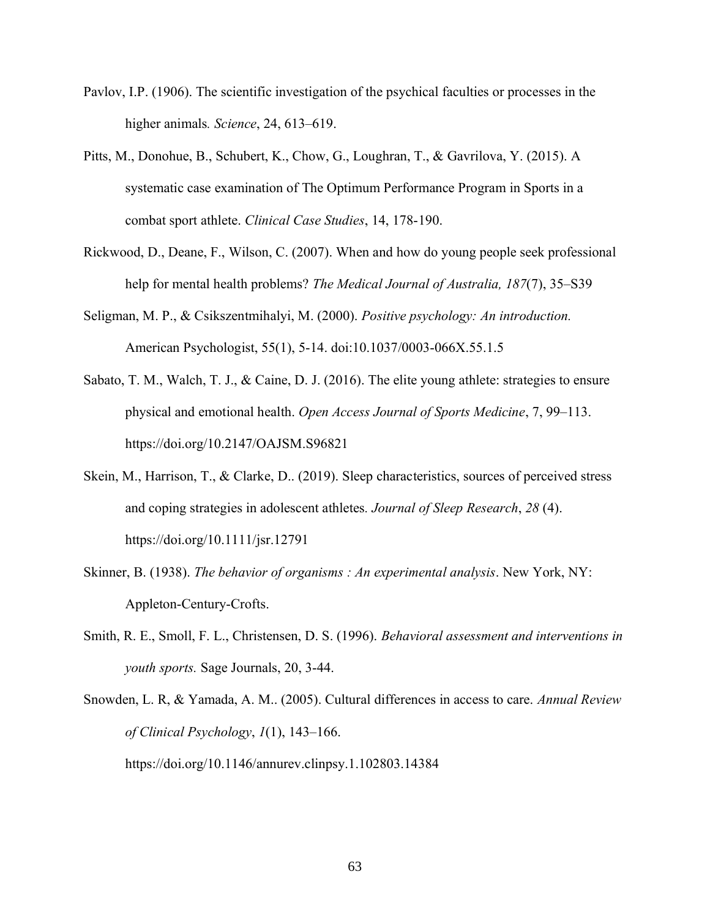- Pavlov, I.P. (1906). The scientific investigation of the psychical faculties or processes in the higher animals*. Science*, 24, 613–619.
- Pitts, M., Donohue, B., Schubert, K., Chow, G., Loughran, T., & Gavrilova, Y. (2015). A systematic case examination of The Optimum Performance Program in Sports in a combat sport athlete. *Clinical Case Studies*, 14, 178-190.
- Rickwood, D., Deane, F., Wilson, C. (2007). When and how do young people seek professional help for mental health problems? *The Medical Journal of Australia, 187*(7), 35–S39
- Seligman, M. P., & Csikszentmihalyi, M. (2000). *Positive psychology: An introduction.*  American Psychologist, 55(1), 5-14. doi:10.1037/0003-066X.55.1.5
- Sabato, T. M., Walch, T. J., & Caine, D. J. (2016). The elite young athlete: strategies to ensure physical and emotional health. *Open Access Journal of Sports Medicine*, 7, 99–113. https://doi.org/10.2147/OAJSM.S96821
- Skein, M., Harrison, T., & Clarke, D.. (2019). Sleep characteristics, sources of perceived stress and coping strategies in adolescent athletes*. Journal of Sleep Research*, *28* (4). https://doi.org/10.1111/jsr.12791
- Skinner, B. (1938). *The behavior of organisms : An experimental analysis*. New York, NY: Appleton-Century-Crofts.
- Smith, R. E., Smoll, F. L., Christensen, D. S. (1996). *Behavioral assessment and interventions in youth sports.* Sage Journals, 20, 3-44.
- Snowden, L. R, & Yamada, A. M.. (2005). Cultural differences in access to care. *Annual Review of Clinical Psychology*, *1*(1), 143–166. https://doi.org/10.1146/annurev.clinpsy.1.102803.14384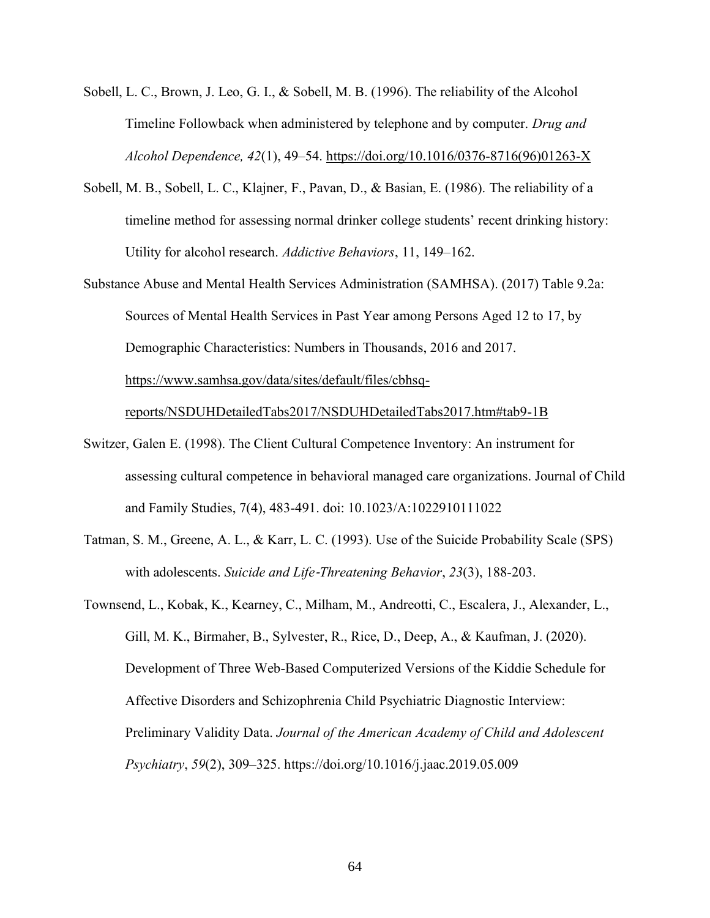- Sobell, L. C., Brown, J. Leo, G. I., & Sobell, M. B. (1996). The reliability of the Alcohol Timeline Followback when administered by telephone and by computer. *Drug and Alcohol Dependence, 42*(1), 49–54. https://doi.org/10.1016/0376-8716(96)01263-X
- Sobell, M. B., Sobell, L. C., Klajner, F., Pavan, D., & Basian, E. (1986). The reliability of a timeline method for assessing normal drinker college students' recent drinking history: Utility for alcohol research. *Addictive Behaviors*, 11, 149–162.
- Substance Abuse and Mental Health Services Administration (SAMHSA). (2017) Table 9.2a: Sources of Mental Health Services in Past Year among Persons Aged 12 to 17, by Demographic Characteristics: Numbers in Thousands, 2016 and 2017. https://www.samhsa.gov/data/sites/default/files/cbhsq-

reports/NSDUHDetailedTabs2017/NSDUHDetailedTabs2017.htm#tab9-1B

- Switzer, Galen E. (1998). The Client Cultural Competence Inventory: An instrument for assessing cultural competence in behavioral managed care organizations. Journal of Child and Family Studies, 7(4), 483-491. doi: 10.1023/A:1022910111022
- Tatman, S. M., Greene, A. L., & Karr, L. C. (1993). Use of the Suicide Probability Scale (SPS) with adolescents. *Suicide and Life*‐*Threatening Behavior*, *23*(3), 188-203.
- Townsend, L., Kobak, K., Kearney, C., Milham, M., Andreotti, C., Escalera, J., Alexander, L., Gill, M. K., Birmaher, B., Sylvester, R., Rice, D., Deep, A., & Kaufman, J. (2020). Development of Three Web-Based Computerized Versions of the Kiddie Schedule for Affective Disorders and Schizophrenia Child Psychiatric Diagnostic Interview: Preliminary Validity Data. *Journal of the American Academy of Child and Adolescent Psychiatry*, *59*(2), 309–325. https://doi.org/10.1016/j.jaac.2019.05.009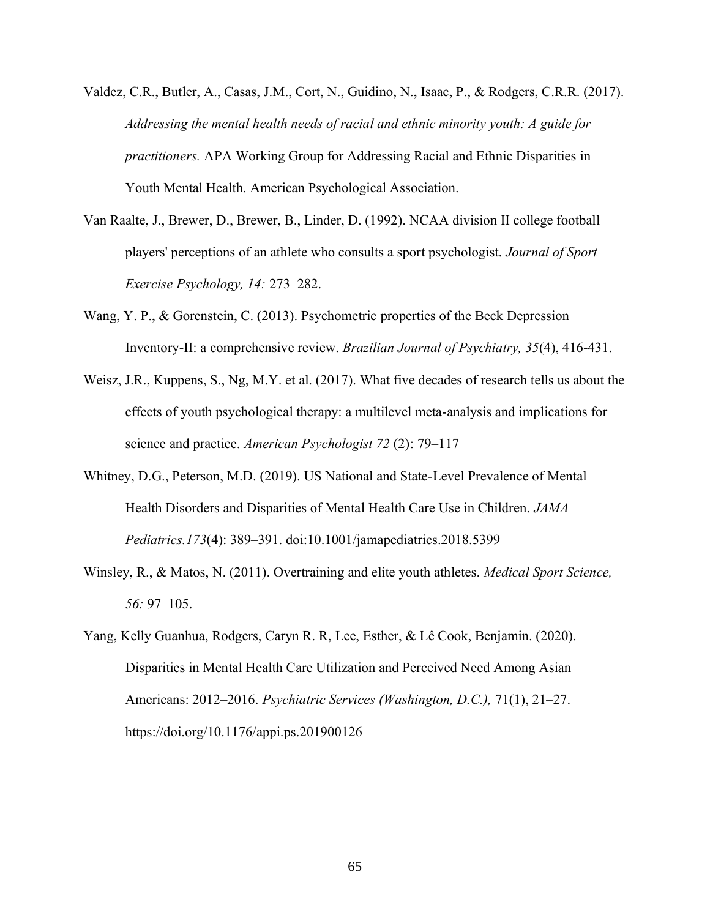- Valdez, C.R., Butler, A., Casas, J.M., Cort, N., Guidino, N., Isaac, P., & Rodgers, C.R.R. (2017). *Addressing the mental health needs of racial and ethnic minority youth: A guide for practitioners.* APA Working Group for Addressing Racial and Ethnic Disparities in Youth Mental Health. American Psychological Association.
- Van Raalte, J., Brewer, D., Brewer, B., Linder, D. (1992). NCAA division II college football players' perceptions of an athlete who consults a sport psychologist. *Journal of Sport Exercise Psychology, 14:* 273–282.
- Wang, Y. P., & Gorenstein, C. (2013). Psychometric properties of the Beck Depression Inventory-II: a comprehensive review. *Brazilian Journal of Psychiatry, 35*(4), 416-431.
- Weisz, J.R., Kuppens, S., Ng, M.Y. et al. (2017). What five decades of research tells us about the effects of youth psychological therapy: a multilevel meta-analysis and implications for science and practice. *American Psychologist 72* (2): 79–117
- Whitney, D.G., Peterson, M.D. (2019). US National and State-Level Prevalence of Mental Health Disorders and Disparities of Mental Health Care Use in Children. *JAMA Pediatrics.173*(4): 389–391. doi:10.1001/jamapediatrics.2018.5399
- Winsley, R., & Matos, N. (2011). Overtraining and elite youth athletes. *Medical Sport Science, 56:* 97–105.
- Yang, Kelly Guanhua, Rodgers, Caryn R. R, Lee, Esther, & Lê Cook, Benjamin. (2020). Disparities in Mental Health Care Utilization and Perceived Need Among Asian Americans: 2012–2016. *Psychiatric Services (Washington, D.C.),* 71(1), 21–27. https://doi.org/10.1176/appi.ps.201900126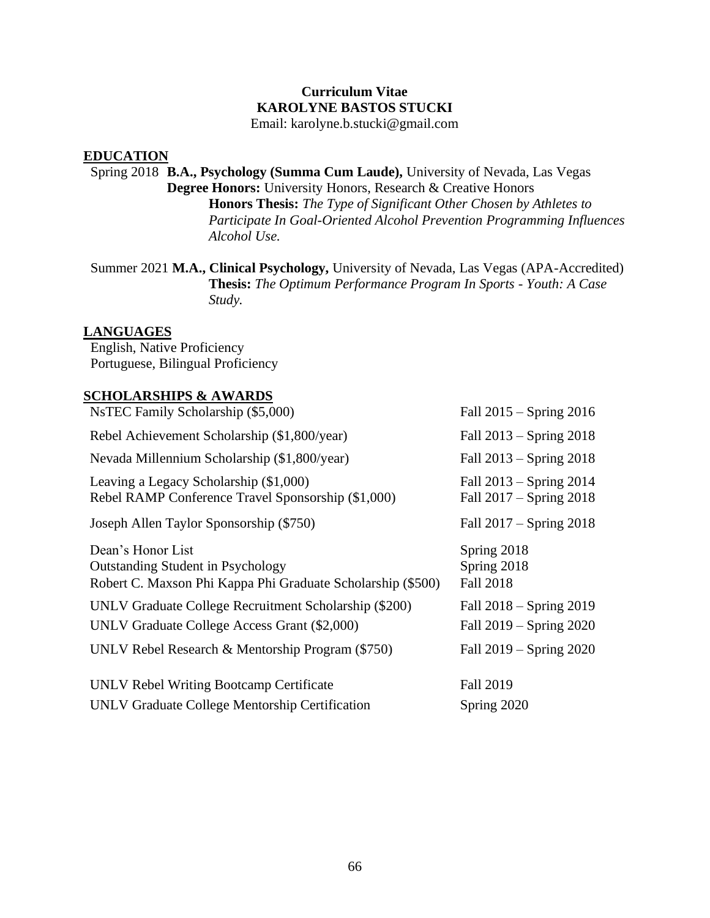# **Curriculum Vitae KAROLYNE BASTOS STUCKI**

Email: karolyne.b.stucki@gmail.com

## **EDUCATION**

 Spring 2018 **B.A., Psychology (Summa Cum Laude),** University of Nevada, Las Vegas **Degree Honors:** University Honors, Research & Creative Honors **Honors Thesis:** *The Type of Significant Other Chosen by Athletes to Participate In Goal-Oriented Alcohol Prevention Programming Influences Alcohol Use.*

 Summer 2021 **M.A., Clinical Psychology,** University of Nevada, Las Vegas (APA-Accredited) **Thesis:** *The Optimum Performance Program In Sports - Youth: A Case Study.*

## **LANGUAGES**

 English, Native Proficiency Portuguese, Bilingual Proficiency

# **SCHOLARSHIPS & AWARDS**

| NsTEC Family Scholarship (\$5,000)                                                                                           | Fall $2015 -$ Spring $2016$                                |
|------------------------------------------------------------------------------------------------------------------------------|------------------------------------------------------------|
| Rebel Achievement Scholarship (\$1,800/year)                                                                                 | Fall $2013 -$ Spring $2018$                                |
| Nevada Millennium Scholarship (\$1,800/year)                                                                                 | Fall $2013 -$ Spring $2018$                                |
| Leaving a Legacy Scholarship (\$1,000)<br>Rebel RAMP Conference Travel Sponsorship (\$1,000)                                 | Fall $2013 -$ Spring $2014$<br>Fall $2017 -$ Spring $2018$ |
| Joseph Allen Taylor Sponsorship (\$750)                                                                                      | Fall $2017 -$ Spring $2018$                                |
| Dean's Honor List<br><b>Outstanding Student in Psychology</b><br>Robert C. Maxson Phi Kappa Phi Graduate Scholarship (\$500) | Spring 2018<br>Spring 2018<br><b>Fall 2018</b>             |
| UNLV Graduate College Recruitment Scholarship (\$200)<br>UNLV Graduate College Access Grant (\$2,000)                        | Fall $2018 -$ Spring $2019$<br>Fall $2019 -$ Spring $2020$ |
| UNLV Rebel Research & Mentorship Program (\$750)                                                                             | Fall $2019 -$ Spring $2020$                                |
| UNLV Rebel Writing Bootcamp Certificate                                                                                      | <b>Fall 2019</b>                                           |
| UNLV Graduate College Mentorship Certification                                                                               | Spring 2020                                                |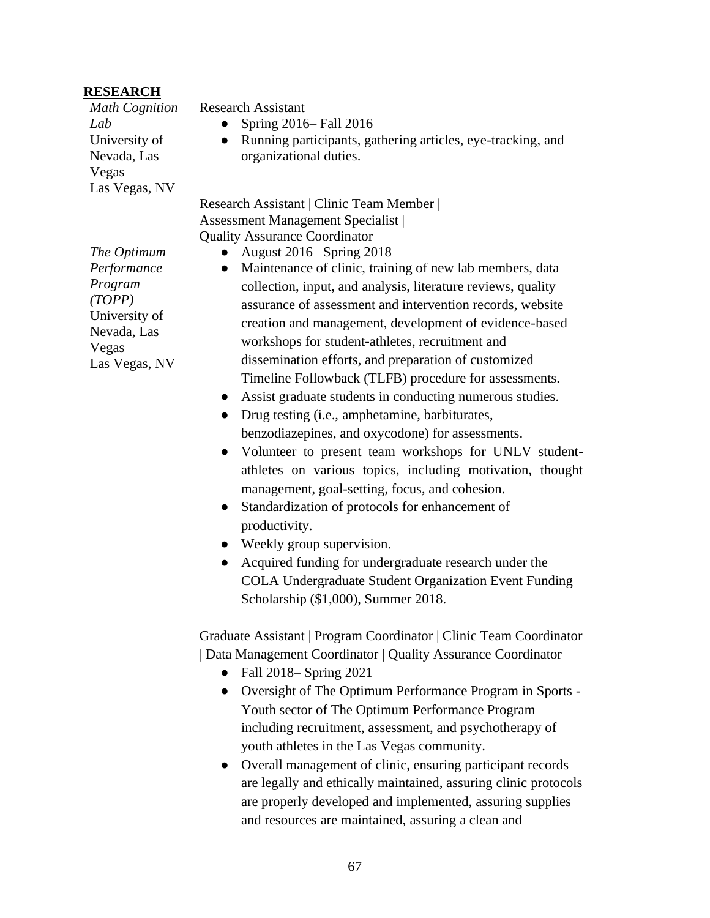#### **RESEARCH**

*Math Cognition Lab* University of Nevada, Las Vegas Las Vegas, NV

Research Assistant

- Spring  $2016$  Fall  $2016$
- Running participants, gathering articles, eye-tracking, and organizational duties.

Research Assistant | Clinic Team Member | Assessment Management Specialist | Quality Assurance Coordinator

- August 2016– Spring 2018
- Maintenance of clinic, training of new lab members, data collection, input, and analysis, literature reviews, quality assurance of assessment and intervention records, website creation and management, development of evidence-based workshops for student-athletes, recruitment and dissemination efforts, and preparation of customized Timeline Followback (TLFB) procedure for assessments.
- Assist graduate students in conducting numerous studies.
- Drug testing (i.e., amphetamine, barbiturates, benzodiazepines, and oxycodone) for assessments.
- Volunteer to present team workshops for UNLV studentathletes on various topics, including motivation, thought management, goal-setting, focus, and cohesion.
- Standardization of protocols for enhancement of productivity.
- Weekly group supervision.
- Acquired funding for undergraduate research under the COLA Undergraduate Student Organization Event Funding Scholarship (\$1,000), Summer 2018.

Graduate Assistant | Program Coordinator | Clinic Team Coordinator | Data Management Coordinator | Quality Assurance Coordinator

- Fall 2018– Spring 2021
- Oversight of The Optimum Performance Program in Sports Youth sector of The Optimum Performance Program including recruitment, assessment, and psychotherapy of youth athletes in the Las Vegas community.
- Overall management of clinic, ensuring participant records are legally and ethically maintained, assuring clinic protocols are properly developed and implemented, assuring supplies and resources are maintained, assuring a clean and

*The Optimum Performance Program (TOPP)* University of Nevada, Las Vegas Las Vegas, NV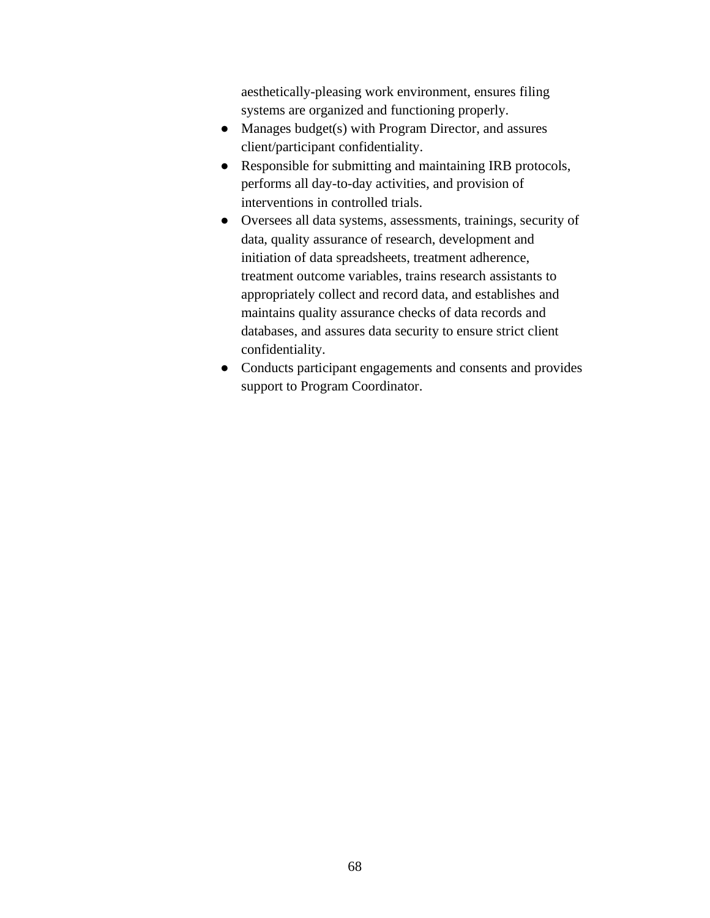aesthetically-pleasing work environment, ensures filing systems are organized and functioning properly.

- Manages budget(s) with Program Director, and assures client/participant confidentiality.
- Responsible for submitting and maintaining IRB protocols, performs all day-to-day activities, and provision of interventions in controlled trials.
- Oversees all data systems, assessments, trainings, security of data, quality assurance of research, development and initiation of data spreadsheets, treatment adherence, treatment outcome variables, trains research assistants to appropriately collect and record data, and establishes and maintains quality assurance checks of data records and databases, and assures data security to ensure strict client confidentiality.
- Conducts participant engagements and consents and provides support to Program Coordinator.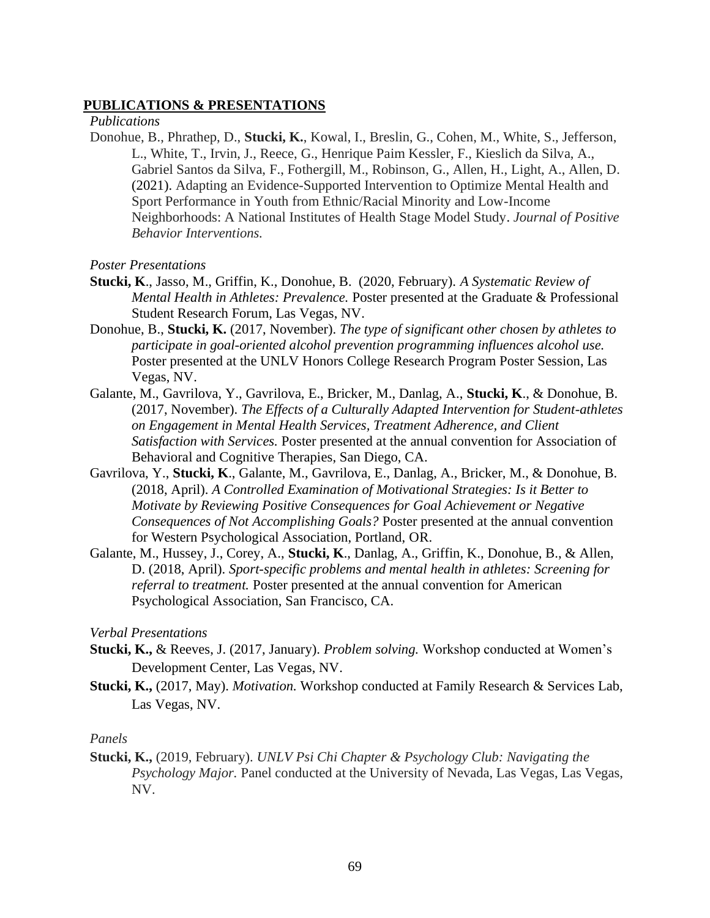#### **PUBLICATIONS & PRESENTATIONS**

*Publications*

- Donohue, B., Phrathep, D., **Stucki, K.**, Kowal, I., Breslin, G., Cohen, M., White, S., Jefferson, L., White, T., Irvin, J., Reece, G., Henrique Paim Kessler, F., Kieslich da Silva, A., Gabriel Santos da Silva, F., Fothergill, M., Robinson, G., Allen, H., Light, A., Allen, D. (2021). Adapting an Evidence-Supported Intervention to Optimize Mental Health and Sport Performance in Youth from Ethnic/Racial Minority and Low-Income Neighborhoods: A National Institutes of Health Stage Model Study. *Journal of Positive Behavior Interventions.*
- *Poster Presentations*
- **Stucki, K**., Jasso, M., Griffin, K., Donohue, B. (2020, February). *A Systematic Review of Mental Health in Athletes: Prevalence.* Poster presented at the Graduate & Professional Student Research Forum, Las Vegas, NV.
- Donohue, B., **Stucki, K.** (2017, November). *The type of significant other chosen by athletes to participate in goal-oriented alcohol prevention programming influences alcohol use.*  Poster presented at the UNLV Honors College Research Program Poster Session, Las Vegas, NV.
- Galante, M., Gavrilova, Y., Gavrilova, E., Bricker, M., Danlag, A., **Stucki, K**., & Donohue, B. (2017, November). *The Effects of a Culturally Adapted Intervention for Student-athletes on Engagement in Mental Health Services, Treatment Adherence, and Client Satisfaction with Services.* Poster presented at the annual convention for Association of Behavioral and Cognitive Therapies, San Diego, CA.
- Gavrilova, Y., **Stucki, K**., Galante, M., Gavrilova, E., Danlag, A., Bricker, M., & Donohue, B. (2018, April). *A Controlled Examination of Motivational Strategies: Is it Better to Motivate by Reviewing Positive Consequences for Goal Achievement or Negative Consequences of Not Accomplishing Goals?* Poster presented at the annual convention for Western Psychological Association, Portland, OR.
- Galante, M., Hussey, J., Corey, A., **Stucki, K**., Danlag, A., Griffin, K., Donohue, B., & Allen, D. (2018, April). *Sport-specific problems and mental health in athletes: Screening for referral to treatment.* Poster presented at the annual convention for American Psychological Association, San Francisco, CA.

*Verbal Presentations*

- **Stucki, K.,** & Reeves, J. (2017, January). *Problem solving.* Workshop conducted at Women's Development Center, Las Vegas, NV.
- **Stucki, K.,** (2017, May). *Motivation.* Workshop conducted at Family Research & Services Lab, Las Vegas, NV.

#### *Panels*

**Stucki, K.,** (2019, February). *UNLV Psi Chi Chapter & Psychology Club: Navigating the Psychology Major.* Panel conducted at the University of Nevada, Las Vegas, Las Vegas, NV.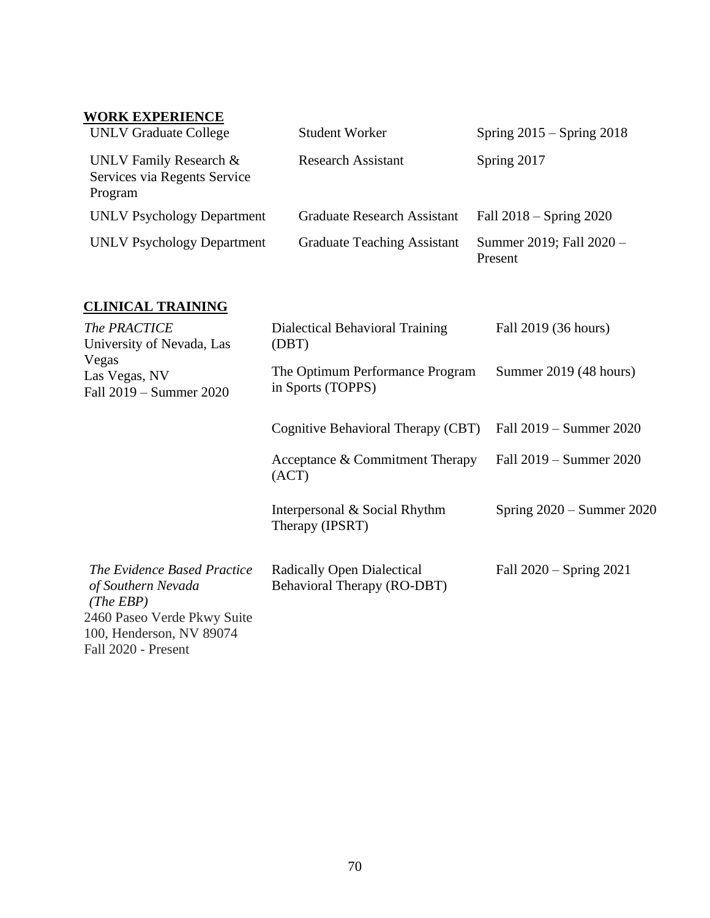# **WORK EXPERIENCE**

| <b>UNLV Graduate College</b>                                      | <b>Student Worker</b>              | Spring $2015 -$ Spring $2018$       |
|-------------------------------------------------------------------|------------------------------------|-------------------------------------|
| UNLV Family Research &<br>Services via Regents Service<br>Program | <b>Research Assistant</b>          | Spring 2017                         |
| <b>UNLV Psychology Department</b>                                 | <b>Graduate Research Assistant</b> | Fall $2018 -$ Spring $2020$         |
| <b>UNLV Psychology Department</b>                                 | <b>Graduate Teaching Assistant</b> | Summer 2019; Fall 2020 -<br>Present |

### **CLINICAL TRAINING**

| The PRACTICE<br>University of Nevada, Las                                                                                                        | Dialectical Behavioral Training<br>(DBT)                         | Fall 2019 (36 hours)        |
|--------------------------------------------------------------------------------------------------------------------------------------------------|------------------------------------------------------------------|-----------------------------|
| Vegas<br>Las Vegas, NV<br>Fall 2019 – Summer 2020                                                                                                | The Optimum Performance Program<br>in Sports (TOPPS)             | Summer 2019 (48 hours)      |
|                                                                                                                                                  | Cognitive Behavioral Therapy (CBT)                               | Fall 2019 – Summer 2020     |
|                                                                                                                                                  | Acceptance & Commitment Therapy<br>(ACT)                         | Fall 2019 – Summer 2020     |
|                                                                                                                                                  | Interpersonal & Social Rhythm<br>Therapy (IPSRT)                 | Spring $2020 -$ Summer 2020 |
| The Evidence Based Practice<br>of Southern Nevada<br>(The EBP)<br>2460 Paseo Verde Pkwy Suite<br>100, Henderson, NV 89074<br>Fall 2020 - Present | <b>Radically Open Dialectical</b><br>Behavioral Therapy (RO-DBT) | Fall 2020 – Spring 2021     |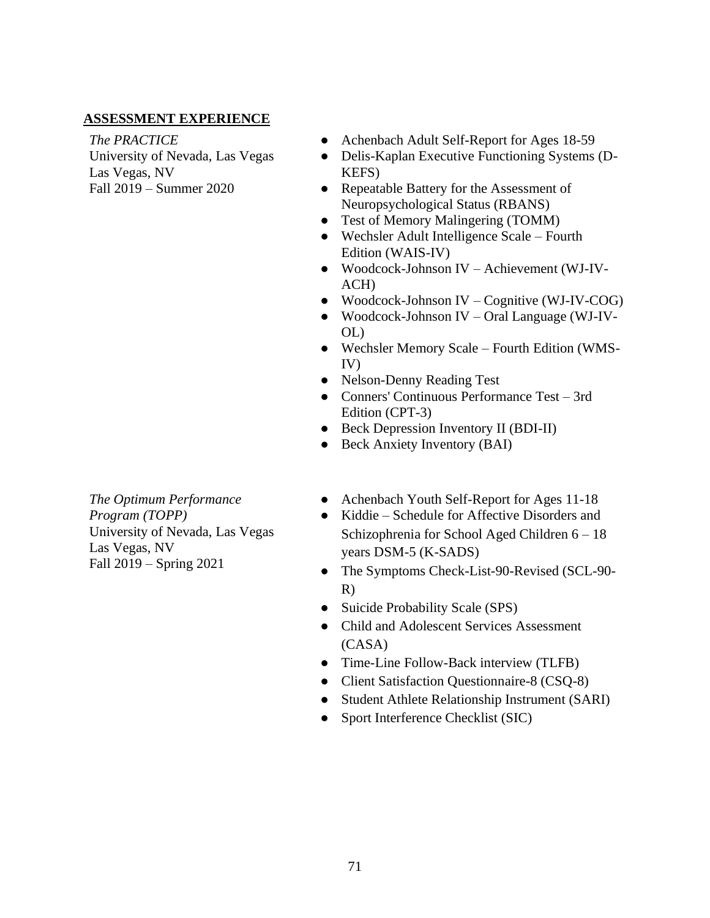### **ASSESSMENT EXPERIENCE**

*The PRACTICE* University of Nevada, Las Vegas

Las Vegas, NV Fall 2019 – Summer 2020

*The Optimum Performance Program (TOPP)* University of Nevada, Las Vegas Las Vegas, NV Fall 2019 – Spring 2021

- Achenbach Adult Self-Report for Ages 18-59
- Delis-Kaplan Executive Functioning Systems (D-KEFS)
- Repeatable Battery for the Assessment of Neuropsychological Status (RBANS)
- Test of Memory Malingering (TOMM)
- Wechsler Adult Intelligence Scale Fourth Edition (WAIS-IV)
- Woodcock-Johnson IV Achievement (WJ-IV-ACH)
- Woodcock-Johnson IV Cognitive (WJ-IV-COG)
- Woodcock-Johnson IV Oral Language (WJ-IV-OL)
- Wechsler Memory Scale Fourth Edition (WMS-IV)
- Nelson-Denny Reading Test
- Conners' Continuous Performance Test 3rd Edition (CPT-3)
- Beck Depression Inventory II (BDI-II)
- Beck Anxiety Inventory (BAI)
- Achenbach Youth Self-Report for Ages 11-18
- Kiddie Schedule for Affective Disorders and Schizophrenia for School Aged Children 6 – 18 years DSM-5 (K-SADS)
- The Symptoms Check-List-90-Revised (SCL-90- R)
- Suicide Probability Scale (SPS)
- Child and Adolescent Services Assessment (CASA)
- Time-Line Follow-Back interview (TLFB)
- Client Satisfaction Questionnaire-8 (CSQ-8)
- Student Athlete Relationship Instrument (SARI)
- Sport Interference Checklist (SIC)